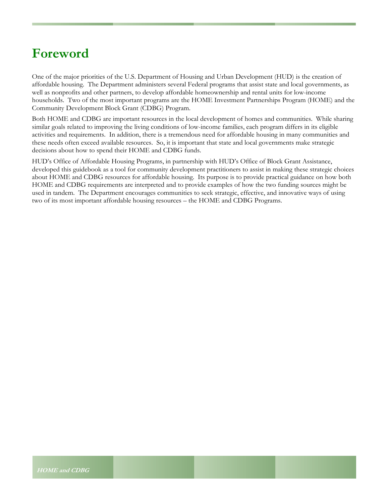## **Foreword**

One of the major priorities of the U.S. Department of Housing and Urban Development (HUD) is the creation of affordable housing. The Department administers several Federal programs that assist state and local governments, as well as nonprofits and other partners, to develop affordable homeownership and rental units for low-income households. Two of the most important programs are the HOME Investment Partnerships Program (HOME) and the Community Development Block Grant (CDBG) Program.

Both HOME and CDBG are important resources in the local development of homes and communities. While sharing similar goals related to improving the living conditions of low-income families, each program differs in its eligible activities and requirements. In addition, there is a tremendous need for affordable housing in many communities and these needs often exceed available resources. So, it is important that state and local governments make strategic decisions about how to spend their HOME and CDBG funds.

HUD's Office of Affordable Housing Programs, in partnership with HUD's Office of Block Grant Assistance, developed this guidebook as a tool for community development practitioners to assist in making these strategic choices about HOME and CDBG resources for affordable housing. Its purpose is to provide practical guidance on how both HOME and CDBG requirements are interpreted and to provide examples of how the two funding sources might be used in tandem. The Department encourages communities to seek strategic, effective, and innovative ways of using two of its most important affordable housing resources – the HOME and CDBG Programs.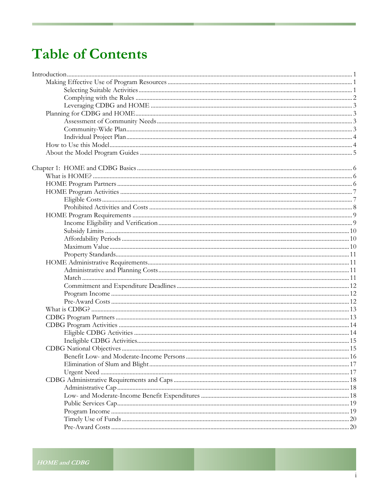# **Table of Contents**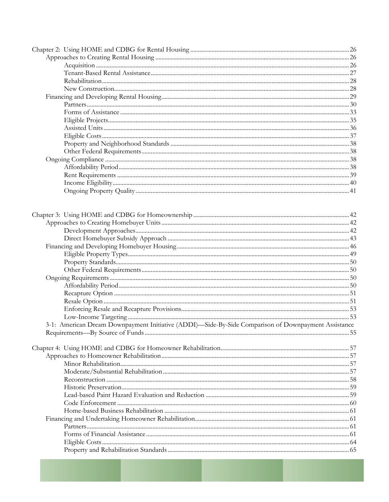| 3-1: American Dream Downpayment Initiative (ADDI)-Side-By-Side Comparison of Downpayment Assistance |  |
|-----------------------------------------------------------------------------------------------------|--|
|                                                                                                     |  |
|                                                                                                     |  |
|                                                                                                     |  |
|                                                                                                     |  |
|                                                                                                     |  |
|                                                                                                     |  |
|                                                                                                     |  |
|                                                                                                     |  |
|                                                                                                     |  |
|                                                                                                     |  |
|                                                                                                     |  |
|                                                                                                     |  |
|                                                                                                     |  |
|                                                                                                     |  |
|                                                                                                     |  |
|                                                                                                     |  |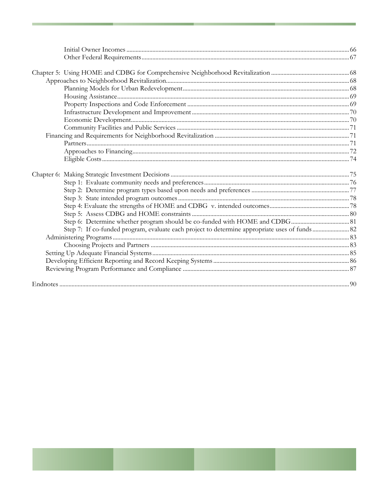| Endnotes <b>Endnotes</b> | 90 |
|--------------------------|----|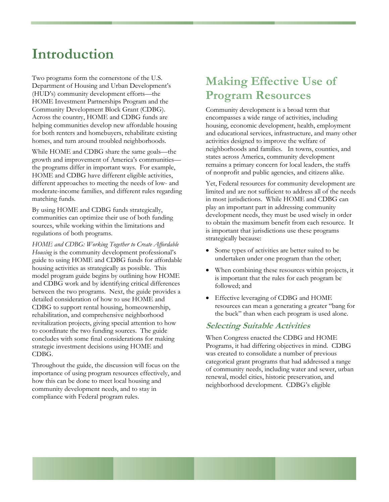# <span id="page-6-0"></span>**Introduction**

Two programs form the cornerstone of the U.S. Department of Housing and Urban Development's (HUD's) community development efforts—the HOME Investment Partnerships Program and the Community Development Block Grant (CDBG). Across the country, HOME and CDBG funds are helping communities develop new affordable housing for both renters and homebuyers, rehabilitate existing homes, and turn around troubled neighborhoods.

While HOME and CDBG share the same goals—the growth and improvement of America's communities the programs differ in important ways. For example, HOME and CDBG have different eligible activities, different approaches to meeting the needs of low- and moderate-income families, and different rules regarding matching funds.

By using HOME and CDBG funds strategically, communities can optimize their use of both funding sources, while working within the limitations and regulations of both programs.

*HOME and CDBG: Working Together to Create Affordable Housing* is the community development professional's guide to using HOME and CDBG funds for affordable housing activities as strategically as possible. This model program guide begins by outlining how HOME and CDBG work and by identifying critical differences between the two programs. Next, the guide provides a detailed consideration of how to use HOME and CDBG to support rental housing, homeownership, rehabilitation, and comprehensive neighborhood revitalization projects, giving special attention to how to coordinate the two funding sources. The guide concludes with some final considerations for making strategic investment decisions using HOME and CDBG.

Throughout the guide, the discussion will focus on the importance of using program resources effectively, and how this can be done to meet local housing and community development needs, and to stay in compliance with Federal program rules.

## **Making Effective Use of Program Resources**

Community development is a broad term that encompasses a wide range of activities, including housing, economic development, health, employment and educational services, infrastructure, and many other activities designed to improve the welfare of neighborhoods and families. In towns, counties, and states across America, community development remains a primary concern for local leaders, the staffs of nonprofit and public agencies, and citizens alike.

Yet, Federal resources for community development are limited and are not sufficient to address all of the needs in most jurisdictions. While HOME and CDBG can play an important part in addressing community development needs, they must be used wisely in order to obtain the maximum benefit from each resource. It is important that jurisdictions use these programs strategically because:

- Some types of activities are better suited to be undertaken under one program than the other;
- When combining these resources within projects, it is important that the rules for each program be followed; and
- Effective leveraging of CDBG and HOME resources can mean a generating a greater "bang for the buck" than when each program is used alone.

### **Selecting Suitable Activities**

When Congress enacted the CDBG and HOME Programs, it had differing objectives in mind. CDBG was created to consolidate a number of previous categorical grant programs that had addressed a range of community needs, including water and sewer, urban renewal, model cities, historic preservation, and neighborhood development. CDBG's eligible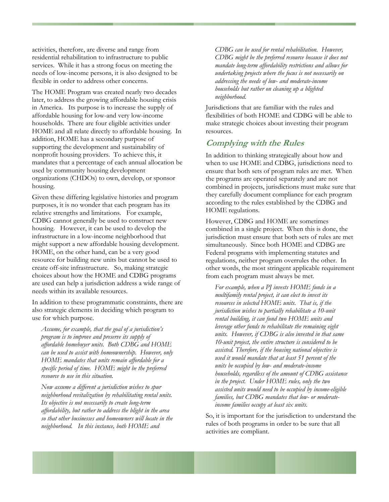<span id="page-7-0"></span>activities, therefore, are diverse and range from residential rehabilitation to infrastructure to public services. While it has a strong focus on meeting the needs of low-income persons, it is also designed to be flexible in order to address other concerns.

The HOME Program was created nearly two decades later, to address the growing affordable housing crisis in America. Its purpose is to increase the supply of affordable housing for low-and very low-income households. There are four eligible activities under HOME and all relate directly to affordable housing. In addition, HOME has a secondary purpose of supporting the development and sustainability of nonprofit housing providers. To achieve this, it mandates that a percentage of each annual allocation be used by community housing development organizations (CHDOs) to own, develop, or sponsor housing.

Given these differing legislative histories and program purposes, it is no wonder that each program has its relative strengths and limitations. For example, CDBG cannot generally be used to construct new housing. However, it can be used to develop the infrastructure in a low-income neighborhood that might support a new affordable housing development. HOME, on the other hand, can be a very good resource for building new units but cannot be used to create off-site infrastructure. So, making strategic choices about how the HOME and CDBG programs are used can help a jurisdiction address a wide range of needs within its available resources.

In addition to these programmatic constraints, there are also strategic elements in deciding which program to use for which purpose.

*Assume, for example, that the goal of a jurisdiction's program is to improve and preserve its supply of affordable homebuyer units. Both CDBG and HOME can be used to assist with homeownership. However, only HOME mandates that units remain affordable for a specific period of time. HOME might be the preferred resource to use in this situation.* 

*Now assume a different a jurisdiction wishes to spur neighborhood revitalization by rehabilitating rental units. Its objective is not necessarily to create long-term affordability, but rather to address the blight in the area so that other businesses and homeowners will locate in the neighborhood. In this instance, both HOME and* 

*CDBG can be used for rental rehabilitation. However, CDBG might be the preferred resource because it does not mandate long-term affordability restrictions and allows for undertaking projects where the focus is not necessarily on addressing the needs of low- and moderate-income households but rather on cleaning up a blighted neighborhood.* 

Jurisdictions that are familiar with the rules and flexibilities of both HOME and CDBG will be able to make strategic choices about investing their program resources.

### **Complying with the Rules**

In addition to thinking strategically about how and when to use HOME and CDBG, jurisdictions need to ensure that both sets of program rules are met. When the programs are operated separately and are not combined in projects, jurisdictions must make sure that they carefully document compliance for each program according to the rules established by the CDBG and HOME regulations.

However, CDBG and HOME are sometimes combined in a single project. When this is done, the jurisdiction must ensure that both sets of rules are met simultaneously. Since both HOME and CDBG are Federal programs with implementing statutes and regulations, neither program overrules the other. In other words, the most stringent applicable requirement from each program must always be met.

*For example, when a PJ invests HOME funds in a multifamily rental project, it can elect to invest its resources in selected HOME units. That is, if the jurisdiction wishes to partially rehabilitate a 10-unit rental building, it can fund two HOME units and leverage other funds to rehabilitate the remaining eight units. However, if CDBG is also invested in that same 10-unit project, the entire structure is considered to be assisted. Therefore, if the housing national objective is used it would mandate that at least 51 percent of the units be occupied by low- and moderate-income households, regardless of the amount of CDBG assistance in the project. Under HOME rules, only the two assisted units would need to be occupied by income-eligible families, but CDBG mandates that low- or moderateincome families occupy at least six units.* 

So, it is important for the jurisdiction to understand the rules of both programs in order to be sure that all activities are compliant.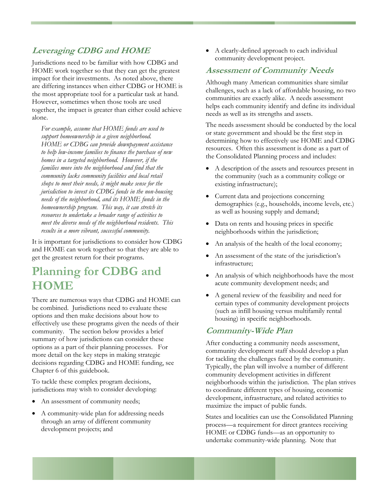### <span id="page-8-0"></span>**Leveraging CDBG and HOME**

Jurisdictions need to be familiar with how CDBG and HOME work together so that they can get the greatest impact for their investments. As noted above, there are differing instances when either CDBG or HOME is the most appropriate tool for a particular task at hand. However, sometimes when those tools are used together, the impact is greater than either could achieve alone.

*For example, assume that HOME funds are used to support homeownership in a given neighborhood. HOME or CDBG can provide downpayment assistance to help low-income families to finance the purchase of new homes in a targeted neighborhood. However, if the families move into the neighborhood and find that the community lacks community facilities and local retail shops to meet their needs, it might make sense for the jurisdiction to invest its CDBG funds in the non-housing needs of the neighborhood, and its HOME funds in the homeownership program. This way, it can stretch its resources to undertake a broader range of activities to meet the diverse needs of the neighborhood residents. This results in a more vibrant, successful community.* 

It is important for jurisdictions to consider how CDBG and HOME can work together so that they are able to get the greatest return for their programs.

## **Planning for CDBG and HOME**

There are numerous ways that CDBG and HOME can be combined. Jurisdictions need to evaluate these options and then make decisions about how to effectively use these programs given the needs of their community. The section below provides a brief summary of how jurisdictions can consider these options as a part of their planning processes. For more detail on the key steps in making strategic decisions regarding CDBG and HOME funding, see Chapter 6 of this guidebook.

To tackle these complex program decisions, jurisdictions may wish to consider developing:

- An assessment of community needs;
- A community-wide plan for addressing needs through an array of different community development projects; and

• A clearly-defined approach to each individual community development project.

#### **Assessment of Community Needs**

Although many American communities share similar challenges, such as a lack of affordable housing, no two communities are exactly alike. A needs assessment helps each community identify and define its individual needs as well as its strengths and assets.

The needs assessment should be conducted by the local or state government and should be the first step in determining how to effectively use HOME and CDBG resources. Often this assessment is done as a part of the Consolidated Planning process and includes:

- A description of the assets and resources present in the community (such as a community college or existing infrastructure);
- Current data and projections concerning demographics (e.g., households, income levels, etc.) as well as housing supply and demand;
- Data on rents and housing prices in specific neighborhoods within the jurisdiction;
- An analysis of the health of the local economy;
- An assessment of the state of the jurisdiction's infrastructure;
- An analysis of which neighborhoods have the most acute community development needs; and
- A general review of the feasibility and need for certain types of community development projects (such as infill housing versus multifamily rental housing) in specific neighborhoods.

### **Community-Wide Plan**

After conducting a community needs assessment, community development staff should develop a plan for tackling the challenges faced by the community. Typically, the plan will involve a number of different community development activities in different neighborhoods within the jurisdiction. The plan strives to coordinate different types of housing, economic development, infrastructure, and related activities to maximize the impact of public funds.

States and localities can use the Consolidated Planning process—a requirement for direct grantees receiving HOME or CDBG funds—as an opportunity to undertake community-wide planning. Note that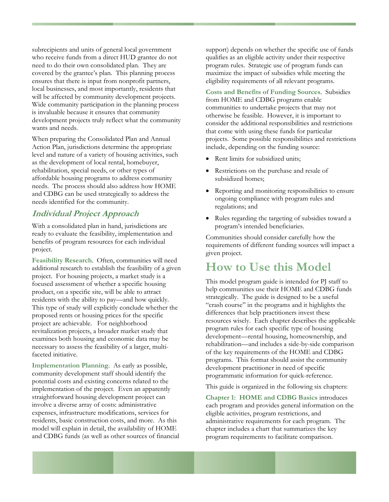<span id="page-9-0"></span>subrecipients and units of general local government who receive funds from a direct HUD grantee do not need to do their own consolidated plan. They are covered by the grantee's plan. This planning process ensures that there is input from nonprofit partners, local businesses, and most importantly, residents that will be affected by community development projects. Wide community participation in the planning process is invaluable because it ensures that community development projects truly reflect what the community wants and needs.

When preparing the Consolidated Plan and Annual Action Plan, jurisdictions determine the appropriate level and nature of a variety of housing activities, such as the development of local rental, homebuyer, rehabilitation, special needs, or other types of affordable housing programs to address community needs. The process should also address how HOME and CDBG can be used strategically to address the needs identified for the community.

### **Individual Project Approach**

With a consolidated plan in hand, jurisdictions are ready to evaluate the feasibility, implementation and benefits of program resources for each individual project.

**Feasibility Research**. Often, communities will need additional research to establish the feasibility of a given project. For housing projects, a market study is a focused assessment of whether a specific housing product, on a specific site, will be able to attract residents with the ability to pay—and how quickly. This type of study will explicitly conclude whether the proposed rents or housing prices for the specific project are achievable. For neighborhood revitalization projects, a broader market study that examines both housing and economic data may be necessary to assess the feasibility of a larger, multifaceted initiative.

**Implementation Planning**. As early as possible, community development staff should identify the potential costs and existing concerns related to the implementation of the project. Even an apparently straightforward housing development project can involve a diverse array of costs: administrative expenses, infrastructure modifications, services for residents, basic construction costs, and more. As this model will explain in detail, the availability of HOME and CDBG funds (as well as other sources of financial

support) depends on whether the specific use of funds qualifies as an eligible activity under their respective program rules. Strategic use of program funds can maximize the impact of subsidies while meeting the eligibility requirements of all relevant programs.

**Costs and Benefits of Funding Sources**. Subsidies from HOME and CDBG programs enable communities to undertake projects that may not otherwise be feasible. However, it is important to consider the additional responsibilities and restrictions that come with using these funds for particular projects. Some possible responsibilities and restrictions include, depending on the funding source:

- Rent limits for subsidized units;
- Restrictions on the purchase and resale of subsidized homes;
- Reporting and monitoring responsibilities to ensure ongoing compliance with program rules and regulations; and
- Rules regarding the targeting of subsidies toward a program's intended beneficiaries.

Communities should consider carefully how the requirements of different funding sources will impact a given project.

### **How to Use this Model**

This model program guide is intended for PJ staff to help communities use their HOME and CDBG funds strategically. The guide is designed to be a useful "crash course" in the programs and it highlights the differences that help practitioners invest these resources wisely. Each chapter describes the applicable program rules for each specific type of housing development—rental housing, homeownership, and rehabilitation—and includes a side-by-side comparison of the key requirements of the HOME and CDBG programs. This format should assist the community development practitioner in need of specific programmatic information for quick-reference.

This guide is organized in the following six chapters:

**Chapter 1: HOME and CDBG Basics** introduces each program and provides general information on the eligible activities, program restrictions, and administrative requirements for each program. The chapter includes a chart that summarizes the key program requirements to facilitate comparison.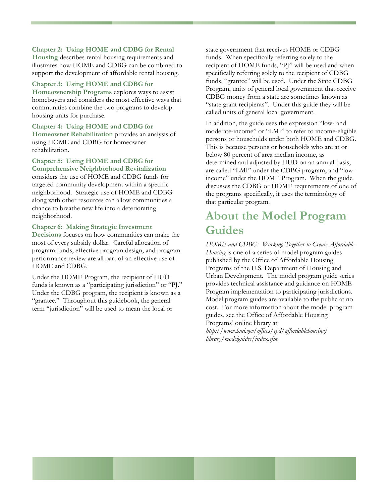#### <span id="page-10-0"></span>**Chapter 2: Using HOME and CDBG for Rental**

**Housing** describes rental housing requirements and illustrates how HOME and CDBG can be combined to support the development of affordable rental housing.

#### **Chapter 3: Using HOME and CDBG for**

**Homeownership Programs** explores ways to assist homebuyers and considers the most effective ways that communities combine the two programs to develop housing units for purchase.

#### **Chapter 4: Using HOME and CDBG for**

**Homeowner Rehabilitation** provides an analysis of using HOME and CDBG for homeowner rehabilitation.

#### **Chapter 5: Using HOME and CDBG for Comprehensive Neighborhood Revitalization**

considers the use of HOME and CDBG funds for targeted community development within a specific neighborhood. Strategic use of HOME and CDBG along with other resources can allow communities a chance to breathe new life into a deteriorating neighborhood.

#### **Chapter 6: Making Strategic Investment**

**Decisions** focuses on how communities can make the most of every subsidy dollar. Careful allocation of program funds, effective program design, and program performance review are all part of an effective use of HOME and CDBG.

Under the HOME Program, the recipient of HUD funds is known as a "participating jurisdiction" or "PJ." Under the CDBG program, the recipient is known as a "grantee." Throughout this guidebook, the general term "jurisdiction" will be used to mean the local or

state government that receives HOME or CDBG funds. When specifically referring solely to the recipient of HOME funds, "PJ" will be used and when specifically referring solely to the recipient of CDBG funds, "grantee" will be used. Under the State CDBG Program, units of general local government that receive CDBG money from a state are sometimes known as "state grant recipients". Under this guide they will be called units of general local government.

In addition, the guide uses the expression "low- and moderate-income" or "LMI" to refer to income-eligible persons or households under both HOME and CDBG. This is because persons or households who are at or below 80 percent of area median income, as determined and adjusted by HUD on an annual basis, are called "LMI" under the CDBG program, and "lowincome" under the HOME Program. When the guide discusses the CDBG or HOME requirements of one of the programs specifically, it uses the terminology of that particular program.

### **About the Model Program Guides**

*HOME and CDBG: Working Together to Create Affordable Housing* is one of a series of model program guides published by the Office of Affordable Housing Programs of the U.S. Department of Housing and Urban Development. The model program guide series provides technical assistance and guidance on HOME Program implementation to participating jurisdictions. Model program guides are available to the public at no cost. For more information about the model program guides, see the Office of Affordable Housing Programs' online library at

*http://www.hud.gov/offices/cpd/affordablehousing/ library/modelguides/index.cfm.*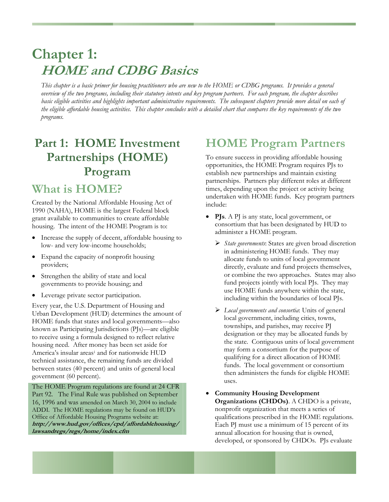# <span id="page-11-0"></span>**Chapter 1: HOME and CDBG Basics**

*This chapter is a basic primer for housing practitioners who are new to the HOME or CDBG programs. It provides a general overview of the two programs, including their statutory intents and key program partners. For each program, the chapter describes basic eligible activities and highlights important administrative requirements. The subsequent chapters provide more detail on each of the eligible affordable housing activities. This chapter concludes with a detailed chart that compares the key requirements of the two programs.* 

# **Part 1: HOME Investment Partnerships (HOME) Program**

### **What is HOME?**

Created by the National Affordable Housing Act of 1990 (NAHA), HOME is the largest Federal block grant available to communities to create affordable housing. The intent of the HOME Program is to:

- Increase the supply of decent, affordable housing to low- and very low-income households;
- Expand the capacity of nonprofit housing providers;
- Strengthen the ability of state and local governments to provide housing; and
- Leverage private sector participation.

Every year, the U.S. Department of Housing and Urban Development (HUD) determines the amount of HOME funds that states and local governments—also known as Participating Jurisdictions (PJs)—are eligible to receive using a formula designed to reflect relative housing need. After money has been set aside for America's insular areas[i](#page-96-0) and for nationwide HUD technical assistance, the remaining funds are divided between states (40 percent) and units of general local government (60 percent).

The HOME Program regulations are found at 24 CFR Part 92. The Final Rule was published on September 16, 1996 and was amended on March 30, 2004 to include ADDI. The HOME regulations may be found on HUD's Office of Affordable Housing Programs website at: **[http://www.hud.gov/offices/cpd/affordablehousing/](http://www.hud.gov/offices/cpd/affordablehousing/%20lawsandregs/regs/home/index.cfm)  [lawsandregs/regs/home/index.cfm](http://www.hud.gov/offices/cpd/affordablehousing/%20lawsandregs/regs/home/index.cfm)**

## **HOME Program Partners**

To ensure success in providing affordable housing opportunities, the HOME Program requires PJs to establish new partnerships and maintain existing partnerships. Partners play different roles at different times, depending upon the project or activity being undertaken with HOME funds. Key program partners include:

- **PJs**. A PJ is any state, local government, or consortium that has been designated by HUD to administer a HOME program.
	- ¾ *State governments*: States are given broad discretion in administering HOME funds. They may allocate funds to units of local government directly, evaluate and fund projects themselves, or combine the two approaches. States may also fund projects jointly with local PJs. They may use HOME funds anywhere within the state, including within the boundaries of local PJs.
	- ¾ *Local governments and consortia*: Units of general local government, including cities, towns, townships, and parishes, may receive PJ designation or they may be allocated funds by the state. Contiguous units of local government may form a consortium for the purpose of qualifying for a direct allocation of HOME funds. The local government or consortium then administers the funds for eligible HOME uses.
- **Community Housing Development Organizations (CHDOs)**. A CHDO is a private, nonprofit organization that meets a series of qualifications prescribed in the HOME regulations. Each PJ must use a minimum of 15 percent of its annual allocation for housing that is owned, developed, or sponsored by CHDOs. PJs evaluate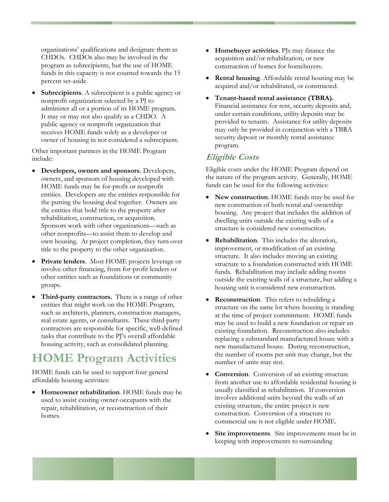<span id="page-12-0"></span>organizations' qualifications and designate them as CHDOs. CHDOs also may be involved in the program as subrecipients, but the use of HOME funds in this capacity is not counted towards the 15 percent set-aside.

**Subrecipients**. A subrecipient is a public agency or nonprofit organization selected by a PJ to administer all or a portion of its HOME program. It may or may not also qualify as a CHDO. A public agency or nonprofit organization that receives HOME funds solely as a developer or owner of housing in not considered a subrecipient.

Other important partners in the HOME Program include:

- **Developers, owners and sponsors.** Developers, owners, and sponsors of housing developed with HOME funds may be for-profit or nonprofit entities. Developers are the entities responsible for the putting the housing deal together. Owners are the entities that hold title to the property after rehabilitation, construction, or acquisition. Sponsors work with other organizations—such as other nonprofits—to assist them to develop and own housing. At project completion, they turn over title to the property to the other organization.
- Private lenders. Most HOME projects leverage or involve other financing, from for-profit lenders or other entities such as foundations or community groups.
- **Third-party contractors.** There is a range of other entities that might work on the HOME Program, such as architects, planners, construction managers, real estate agents, or consultants. These third-party contractors are responsible for specific, well-defined tasks that contribute to the PJ's overall affordable housing activity, such as consolidated planning.

## **HOME Program Activities**

HOME funds can be used to support four general affordable housing activities:

• **Homeowner rehabilitation**. HOME funds may be used to assist existing owner-occupants with the repair, rehabilitation, or reconstruction of their homes.

- **Homebuyer activities**. PJs may finance the acquisition and/or rehabilitation, or new construction of homes for homebuyers.
- **Rental housing**. Affordable rental housing may be acquired and/or rehabilitated, or constructed.
- **Tenant-based rental assistance (TBRA).** Financial assistance for rent, security deposits and, under certain conditions, utility deposits may be provided to tenants. Assistance for utility deposits may only be provided in conjunction with a TBRA security deposit or monthly rental assistance program.

### **Eligible Costs**

Eligible costs under the HOME Program depend on the nature of the program activity. Generally, HOME funds can be used for the following activities:

- **New construction**. HOME funds may be used for new construction of both rental and ownership housing. Any project that includes the addition of dwelling units outside the existing walls of a structure is considered new construction.
- **Rehabilitation**. This includes the alteration, improvement, or modification of an existing structure. It also includes moving an existing structure to a foundation constructed with HOME funds. Rehabilitation may include adding rooms outside the existing walls of a structure, but adding a housing unit is considered new construction.
- **Reconstruction**. This refers to rebuilding a structure on the same lot where housing is standing at the time of project commitment. HOME funds may be used to build a new foundation or repair an existing foundation. Reconstruction also includes replacing a substandard manufactured house with a new manufactured house. During reconstruction, the number of rooms per unit may change, but the number of units may not.
- **Conversion**. Conversion of an existing structure from another use to affordable residential housing is usually classified as rehabilitation. If conversion involves additional units beyond the walls of an existing structure, the entire project is new construction. Conversion of a structure to commercial use is not eligible under HOME.
- **Site improvements**. Site improvements must be in keeping with improvements to surrounding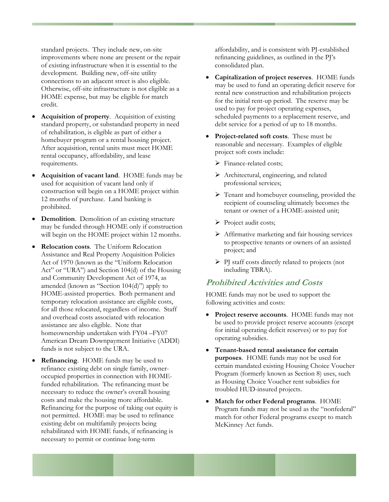<span id="page-13-0"></span>standard projects. They include new, on-site improvements where none are present or the repair of existing infrastructure when it is essential to the development. Building new, off-site utility connections to an adjacent street is also eligible. Otherwise, off-site infrastructure is not eligible as a HOME expense, but may be eligible for match credit.

- **Acquisition of property**. Acquisition of existing standard property, or substandard property in need of rehabilitation, is eligible as part of either a homebuyer program or a rental housing project. After acquisition, rental units must meet HOME rental occupancy, affordability, and lease requirements.
- **Acquisition of vacant land**. HOME funds may be used for acquisition of vacant land only if construction will begin on a HOME project within 12 months of purchase. Land banking is prohibited.
- **Demolition**. Demolition of an existing structure may be funded through HOME only if construction will begin on the HOME project within 12 months.
- **Relocation costs**. The Uniform Relocation Assistance and Real Property Acquisition Policies Act of 1970 (known as the "Uniform Relocation Act" or "URA") and Section 104(d) of the Housing and Community Development Act of 1974, as amended (known as "Section 104(d)") apply to HOME-assisted properties. Both permanent and temporary relocation assistance are eligible costs, for all those relocated, regardless of income. Staff and overhead costs associated with relocation assistance are also eligible. Note that homeownership undertaken with FY04 –FY07 American Dream Downpayment Initiative (ADDI) funds is not subject to the URA.
- **Refinancing**. HOME funds may be used to refinance existing debt on single family, owneroccupied properties in connection with HOMEfunded rehabilitation. The refinancing must be necessary to reduce the owner's overall housing costs and make the housing more affordable. Refinancing for the purpose of taking out equity is not permitted. HOME may be used to refinance existing debt on multifamily projects being rehabilitated with HOME funds, if refinancing is necessary to permit or continue long-term

affordability, and is consistent with PJ-established refinancing guidelines, as outlined in the PJ's consolidated plan.

- **Capitalization of project reserves**. HOME funds may be used to fund an operating deficit reserve for rental new construction and rehabilitation projects for the initial rent-up period. The reserve may be used to pay for project operating expenses, scheduled payments to a replacement reserve, and debt service for a period of up to 18 months.
- **Project-related soft costs**. These must be reasonable and necessary. Examples of eligible project soft costs include:
	- $\triangleright$  Finance-related costs;
	- ¾ Architectural, engineering, and related professional services;
	- ¾ Tenant and homebuyer counseling, provided the recipient of counseling ultimately becomes the tenant or owner of a HOME-assisted unit;
	- ¾ Project audit costs;
	- ¾ Affirmative marketing and fair housing services to prospective tenants or owners of an assisted project; and
	- ¾ PJ staff costs directly related to projects (not including TBRA).

### **Prohibited Activities and Costs**

HOME funds may not be used to support the following activities and costs:

- **Project reserve accounts.** HOME funds may not be used to provide project reserve accounts (except for initial operating deficit reserves) or to pay for operating subsidies.
- **Tenant-based rental assistance for certain purposes**. HOME funds may not be used for certain mandated existing Housing Choice Voucher Program (formerly known as Section 8) uses, such as Housing Choice Voucher rent subsidies for troubled HUD-insured projects.
- **Match for other Federal programs**. HOME Program funds may not be used as the "nonfederal" match for other Federal programs except to match McKinney Act funds.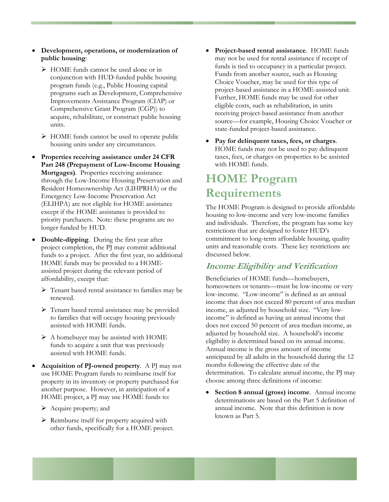- <span id="page-14-0"></span>• **Development, operations, or modernization of public housing**:
	- ¾ HOME funds cannot be used alone or in conjunction with HUD-funded public housing program funds (e.g., Public Housing capital programs such as Development, Comprehensive Improvements Assistance Program (CIAP) or Comprehensive Grant Program (CGP)) to acquire, rehabilitate, or construct public housing units.
	- $\triangleright$  HOME funds cannot be used to operate public housing units under any circumstances.
- **Properties receiving assistance under 24 CFR Part 248 (Prepayment of Low-Income Housing Mortgages)**. Properties receiving assistance through the Low-Income Housing Preservation and Resident Homeownership Act (LIHPRHA) or the Emergency Low-Income Preservation Act (ELIHPA) are not eligible for HOME assistance except if the HOME assistance is provided to priority purchasers. Note: these programs are no longer funded by HUD.
- **Double-dipping**. During the first year after project completion, the PJ may commit additional funds to a project. After the first year, no additional HOME funds may be provided to a HOMEassisted project during the relevant period of affordability, except that:
	- ¾ Tenant based rental assistance to families may be renewed.
	- ¾ Tenant based rental assistance may be provided to families that will occupy housing previously assisted with HOME funds.
	- ¾ A homebuyer may be assisted with HOME funds to acquire a unit that was previously assisted with HOME funds.
- **Acquisition of PJ-owned property**. A PJ may not use HOME Program funds to reimburse itself for property in its inventory or property purchased for another purpose. However, in anticipation of a HOME project, a PJ may use HOME funds to:
	- ¾ Acquire property; and
	- ¾ Reimburse itself for property acquired with other funds, specifically for a HOME project.
- **Project-based rental assistance**. HOME funds may not be used for rental assistance if receipt of funds is tied to occupancy in a particular project. Funds from another source, such as Housing Choice Voucher, may be used for this type of project-based assistance in a HOME-assisted unit. Further, HOME funds may be used for other eligible costs, such as rehabilitation, in units receiving project-based assistance from another source—for example, Housing Choice Voucher or state-funded project-based assistance.
- **Pay for delinquent taxes, fees, or charges**. HOME funds may not be used to pay delinquent taxes, fees, or charges on properties to be assisted with HOME funds.

## **HOME Program Requirements**

The HOME Program is designed to provide affordable housing to low-income and very low-income families and individuals. Therefore, the program has some key restrictions that are designed to foster HUD's commitment to long-term affordable housing, quality units and reasonable costs. These key restrictions are discussed below.

### **Income Eligibility and Verification**

Beneficiaries of HOME funds—homebuyers, homeowners or tenants—must be low-income or very low-income. "Low-income" is defined as an annual income that does not exceed 80 percent of area median income, as adjusted by household size. "Very lowincome" is defined as having an annual income that does not exceed 50 percent of area median income, as adjusted by household size. A household's income eligibility is determined based on its annual income. Annual income is the gross amount of income anticipated by all adults in the household during the 12 months following the effective date of the determination. To calculate annual income, the PJ may choose among three definitions of income:

• **Section 8 annual (gross) income**. Annual income determinations are based on the Part 5 definition of annual income. Note that this definition is now known as Part 5.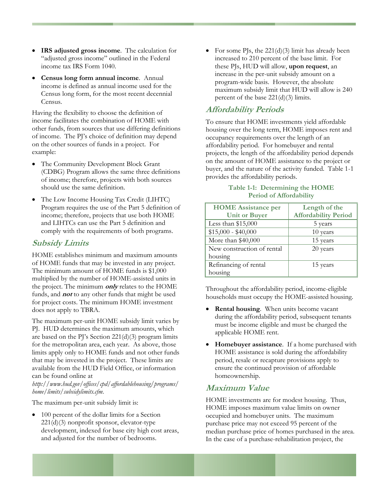- <span id="page-15-0"></span>• **IRS adjusted gross income**. The calculation for "adjusted gross income" outlined in the Federal income tax IRS Form 1040.
- **Census long form annual income**. Annual income is defined as annual income used for the Census long form, for the most recent decennial Census.

Having the flexibility to choose the definition of income facilitates the combination of HOME with other funds, from sources that use differing definitions of income. The PJ's choice of definition may depend on the other sources of funds in a project. For example:

- The Community Development Block Grant (CDBG) Program allows the same three definitions of income; therefore, projects with both sources should use the same definition.
- The Low Income Housing Tax Credit (LIHTC) Program requires the use of the Part 5 definition of income; therefore, projects that use both HOME and LIHTCs can use the Part 5 definition and comply with the requirements of both programs.

### **Subsidy Limits**

HOME establishes minimum and maximum amounts of HOME funds that may be invested in any project. The minimum amount of HOME funds is \$1,000 multiplied by the number of HOME-assisted units in the project. The minimum **only** relates to the HOME funds, and **not** to any other funds that might be used for project costs. The minimum HOME investment does not apply to TBRA.

The maximum per-unit HOME subsidy limit varies by PJ. HUD determines the maximum amounts, which are based on the PJ's Section  $221(d)(3)$  program limits for the metropolitan area, each year. As above, those limits apply only to HOME funds and not other funds that may be invested in the project. These limits are available from the HUD Field Office, or information can be found online at

*<http://www.hud.gov/offices/cpd/affordablehousing/programs/> home/limits/subsidylimits.cfm*.

The maximum per-unit subsidy limit is:

• 100 percent of the dollar limits for a Section 221(d)(3) nonprofit sponsor, elevator-type development, indexed for base city high cost areas, and adjusted for the number of bedrooms.

• For some PJs, the  $221(d)(3)$  limit has already been increased to 210 percent of the base limit. For these PJs, HUD will allow, **upon request**, an increase in the per-unit subsidy amount on a program-wide basis. However, the absolute maximum subsidy limit that HUD will allow is 240 percent of the base  $221(d)(3)$  limits.

### **Affordability Periods**

To ensure that HOME investments yield affordable housing over the long term, HOME imposes rent and occupancy requirements over the length of an affordability period. For homebuyer and rental projects, the length of the affordability period depends on the amount of HOME assistance to the project or buyer, and the nature of the activity funded. Table 1-1 provides the affordability periods.

#### **Table 1-1: Determining the HOME Period of Affordability**

| <b>HOME</b> Assistance per | Length of the               |
|----------------------------|-----------------------------|
| <b>Unit or Buyer</b>       | <b>Affordability Period</b> |
| Less than \$15,000         | 5 years                     |
| $$15,000 - $40,000$        | 10 years                    |
| More than \$40,000         | 15 years                    |
| New construction of rental | 20 years                    |
| housing                    |                             |
| Refinancing of rental      | 15 years                    |
| housing                    |                             |

Throughout the affordability period, income-eligible households must occupy the HOME-assisted housing.

- **Rental housing**. When units become vacant during the affordability period, subsequent tenants must be income eligible and must be charged the applicable HOME rent.
- **Homebuyer assistance**. If a home purchased with HOME assistance is sold during the affordability period, resale or recapture provisions apply to ensure the continued provision of affordable homeownership.

### **Maximum Value**

HOME investments are for modest housing. Thus, HOME imposes maximum value limits on owner occupied and homebuyer units. The maximum purchase price may not exceed 95 percent of the median purchase price of homes purchased in the area. In the case of a purchase-rehabilitation project, the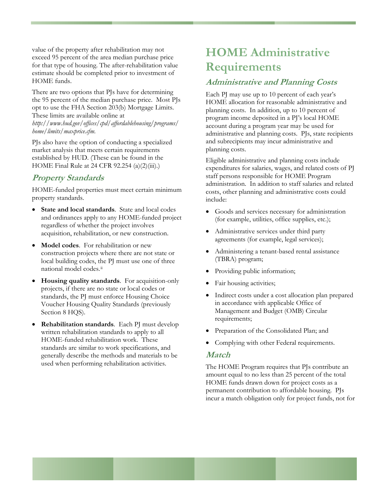<span id="page-16-0"></span>value of the property after rehabilitation may not exceed 95 percent of the area median purchase price for that type of housing. The after-rehabilitation value estimate should be completed prior to investment of HOME funds.

There are two options that PJs have for determining the 95 percent of the median purchase price. Most PJs opt to use the FHA Section 203(b) Mortgage Limits. These limits are available online at *<http://www.hud.gov/offices/cpd/affordablehousing/programs/> home/limits/maxprice.cfm*.

PJs also have the option of conducting a specialized market analysis that meets certain requirements established by HUD. (These can be found in the HOME Final Rule at 24 CFR 92.254 (a)(2)(iii).)

### **Property Standards**

HOME-funded properties must meet certain minimum property standards.

- **State and local standards**. State and local codes and ordinances apply to any HOME-funded project regardless of whether the project involves acquisition, rehabilitation, or new construction.
- **Model codes**. For rehabilitation or new construction projects where there are not state or local building codes, the PJ must use one of three national model codes.<sup>[ii](#page-96-1)</sup>
- **Housing quality standards**. For acquisition-only projects, if there are no state or local codes or standards, the PJ must enforce Housing Choice Voucher Housing Quality Standards (previously Section 8 HQS).
- **Rehabilitation standards**. Each PJ must develop written rehabilitation standards to apply to all HOME-funded rehabilitation work. These standards are similar to work specifications, and generally describe the methods and materials to be used when performing rehabilitation activities.

## **HOME Administrative Requirements**

### **Administrative and Planning Costs**

Each PJ may use up to 10 percent of each year's HOME allocation for reasonable administrative and planning costs. In addition, up to 10 percent of program income deposited in a PJ's local HOME account during a program year may be used for administrative and planning costs. PJs, state recipients and subrecipients may incur administrative and planning costs.

Eligible administrative and planning costs include expenditures for salaries, wages, and related costs of PJ staff persons responsible for HOME Program administration. In addition to staff salaries and related costs, other planning and administrative costs could include:

- Goods and services necessary for administration (for example, utilities, office supplies, etc.);
- Administrative services under third party agreements (for example, legal services);
- Administering a tenant-based rental assistance (TBRA) program;
- Providing public information;
- Fair housing activities;
- Indirect costs under a cost allocation plan prepared in accordance with applicable Office of Management and Budget (OMB) Circular requirements;
- Preparation of the Consolidated Plan; and
- Complying with other Federal requirements.

### **Match**

The HOME Program requires that PJs contribute an amount equal to no less than 25 percent of the total HOME funds drawn down for project costs as a permanent contribution to affordable housing. PJs incur a match obligation only for project funds, not for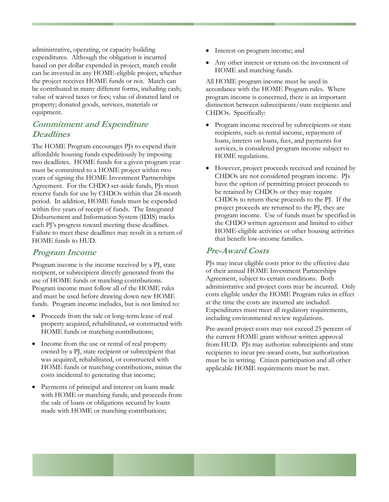<span id="page-17-0"></span>administrative, operating, or capacity building expenditures. Although the obligation is incurred based on per dollar expended in project, match credit can be invested in any HOME-eligible project, whether the project receives HOME funds or not. Match can be contributed in many different forms, including cash; value of waived taxes or fees; value of donated land or property; donated goods, services, materials or equipment.

### **Commitment and Expenditure Deadlines**

The HOME Program encourages PJs to expend their affordable housing funds expeditiously by imposing two deadlines. HOME funds for a given program year must be committed to a HOME project within two years of signing the HOME Investment Partnerships Agreement. For the CHDO set-aside funds, PJs must reserve funds for use by CHDOs within that 24-month period. In addition, HOME funds must be expended within five years of receipt of funds. The Integrated Disbursement and Information System (IDIS) tracks each PJ's progress toward meeting these deadlines. Failure to meet these deadlines may result in a return of HOME funds to HUD.

### **Program Income**

Program income is the income received by a PJ, state recipient, or subrecipient directly generated from the use of HOME funds or matching contributions. Program income must follow all of the HOME rules and must be used before drawing down new HOME funds. Program income includes, but is not limited to:

- Proceeds from the sale or long-term lease of real property acquired, rehabilitated, or constructed with HOME funds or matching contributions;
- Income from the use or rental of real property owned by a PJ, state recipient or subrecipient that was acquired, rehabilitated, or constructed with HOME funds or matching contributions, minus the costs incidental to generating that income;
- Payments of principal and interest on loans made with HOME or matching funds, and proceeds from the sale of loans or obligations secured by loans made with HOME or matching contributions;
- Interest on program income; and
- Any other interest or return on the investment of HOME and matching funds.

All HOME program income must be used in accordance with the HOME Program rules. Where program income is concerned, there is an important distinction between subrecipients/state recipients and CHDOs. Specifically:

- Program income received by subrecipients or state recipients, such as rental income, repayment of loans, interest on loans, fees, and payments for services, is considered program income subject to HOME regulations.
- However, project proceeds received and retained by CHDOs are not considered program income. PJs have the option of permitting project proceeds to be retained by CHDOs or they may require CHDOs to return these proceeds to the PJ. If the project proceeds are returned to the PJ, they are program income. Use of funds must be specified in the CHDO written agreement and limited to either HOME-eligible activities or other housing activities that benefit low-income families.

#### **Pre-Award Costs**

PJs may incur eligible costs prior to the effective date of their annual HOME Investment Partnerships Agreement, subject to certain conditions. Both administrative and project costs may be incurred. Only costs eligible under the HOME Program rules in effect at the time the costs are incurred are included. Expenditures must meet all regulatory requirements, including environmental review regulations.

Pre-award project costs may not exceed 25 percent of the current HOME grant without written approval from HUD. PJs may authorize subrecipients and state recipients to incur pre-award costs, but authorization must be in writing. Citizen participation and all other applicable HOME requirements must be met.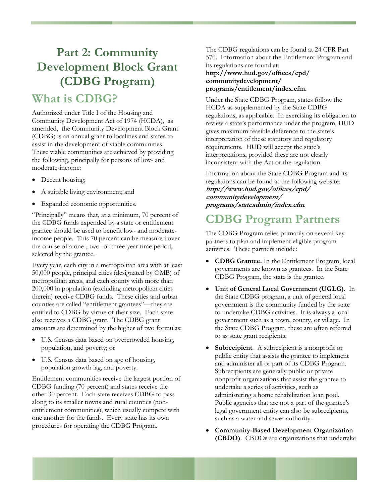# <span id="page-18-0"></span>**Part 2: Community Development Block Grant (CDBG Program)**

### **What is CDBG?**

Authorized under Title I of the Housing and Community Development Act of 1974 (HCDA), as amended, the Community Development Block Grant (CDBG) is an annual grant to localities and states to assist in the development of viable communities. These viable communities are achieved by providing the following, principally for persons of low- and moderate-income:

- Decent housing;
- A suitable living environment; and
- Expanded economic opportunities.

"Principally" means that, at a minimum, 70 percent of the CDBG funds expended by a state or entitlement grantee should be used to benefit low- and moderateincome people. This 70 percent can be measured over the course of a one-, two- or three-year time period, selected by the grantee.

Every year, each city in a metropolitan area with at least 50,000 people, principal cities (designated by OMB) of metropolitan areas, and each county with more than 200,000 in population (excluding metropolitan cities therein) receive CDBG funds. These cities and urban counties are called "entitlement grantees"—they are entitled to CDBG by virtue of their size. Each state also receives a CDBG grant. The CDBG grant amounts are determined by the higher of two formulas:

- U.S. Census data based on overcrowded housing, population, and poverty; or
- U.S. Census data based on age of housing, population growth lag, and poverty.

Entitlement communities receive the largest portion of CDBG funding (70 percent) and states receive the other 30 percent. Each state receives CDBG to pass along to its smaller towns and rural counties (nonentitlement communities), which usually compete with one another for the funds. Every state has its own procedures for operating the CDBG Program.

The CDBG regulations can be found at 24 CFR Part 570. Information about the Entitlement Program and its regulations are found at:

#### **[http://www.hud.gov/offices/cpd/](http://www.hud.gov/offices/cpd/communitydevelopment/programs/entitlement/index.cfm)  [communitydevelopment/](http://www.hud.gov/offices/cpd/communitydevelopment/programs/entitlement/index.cfm)  [programs/entitlement/index.cfm](http://www.hud.gov/offices/cpd/communitydevelopment/programs/entitlement/index.cfm)**.

Under the State CDBG Program, states follow the HCDA as supplemented by the State CDBG regulations, as applicable. In exercising its obligation to review a state's performance under the program, HUD gives maximum feasible deference to the state's interpretation of these statutory and regulatory requirements. HUD will accept the state's interpretations, provided these are not clearly inconsistent with the Act or the regulation.

Information about the State CDBG Program and its regulations can be found at the following website: **[http://www.hud.gov/offices/cpd/](http://www.hud.gov/offices/cpd/%20communitydevelopment/%20programs/stateadmin/index.cfm)  [communitydevelopment/](http://www.hud.gov/offices/cpd/%20communitydevelopment/%20programs/stateadmin/index.cfm)  [programs/stateadmin/index.cfm](http://www.hud.gov/offices/cpd/%20communitydevelopment/%20programs/stateadmin/index.cfm)***.*

## **CDBG Program Partners**

The CDBG Program relies primarily on several key partners to plan and implement eligible program activities. These partners include:

- **CDBG Grantee.** In the Entitlement Program, local governments are known as grantees. In the State CDBG Program, the state is the grantee.
- **Unit of General Local Government (UGLG)**. In the State CDBG program, a unit of general local government is the community funded by the state to undertake CDBG activities. It is always a local government such as a town, county, or village. In the State CDBG Program, these are often referred to as state grant recipients.
- **Subrecipient**. A subrecipient is a nonprofit or public entity that assists the grantee to implement and administer all or part of its CDBG Program. Subrecipients are generally public or private nonprofit organizations that assist the grantee to undertake a series of activities, such as administering a home rehabilitation loan pool. Public agencies that are not a part of the grantee's legal government entity can also be subrecipients, such as a water and sewer authority.
- **Community-Based Development Organization (CBDO)**. CBDOs are organizations that undertake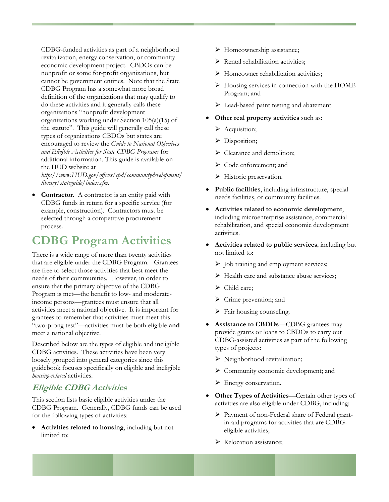<span id="page-19-0"></span>CDBG-funded activities as part of a neighborhood revitalization, energy conservation, or community economic development project. CBDOs can be nonprofit or some for-profit organizations, but cannot be government entities. Note that the State CDBG Program has a somewhat more broad definition of the organizations that may qualify to do these activities and it generally calls these organizations "nonprofit development organizations working under Section 105(a)(15) of the statute". This guide will generally call these types of organizations CBDOs but states are encouraged to review the *Guide to National Objectives and Eligible Activities for State CDBG Programs* for additional information. This guide is available on the HUD website at

*[http://www.HUD.gov/offices/cpd/communitydevelopment/](http://www.hud.gov/offices/cpd/communitydevelopment/%20library/stateguide/index.cfm)  [library/stateguide/index.cfm](http://www.hud.gov/offices/cpd/communitydevelopment/%20library/stateguide/index.cfm)*.

**Contractor**. A contractor is an entity paid with CDBG funds in return for a specific service (for example, construction). Contractors must be selected through a competitive procurement process.

## **CDBG Program Activities**

There is a wide range of more than twenty activities that are eligible under the CDBG Program. Grantees are free to select those activities that best meet the needs of their communities. However, in order to ensure that the primary objective of the CDBG Program is met—the benefit to low- and moderateincome persons—grantees must ensure that all activities meet a national objective. It is important for grantees to remember that activities must meet this "two-prong test"—activities must be both eligible **and**  meet a national objective.

Described below are the types of eligible and ineligible CDBG activities. These activities have been very loosely grouped into general categories since this guidebook focuses specifically on eligible and ineligible *housing-related* activities.

### **Eligible CDBG Activities**

This section lists basic eligible activities under the CDBG Program. Generally, CDBG funds can be used for the following types of activities:

• **Activities related to housing**, including but not limited to:

- $\triangleright$  Homeownership assistance;
- $\triangleright$  Rental rehabilitation activities;
- ¾ Homeowner rehabilitation activities;
- $\triangleright$  Housing services in connection with the HOME Program; and
- $\triangleright$  Lead-based paint testing and abatement.
- **Other real property activities** such as:
	- $\triangleright$  Acquisition;
	- $\triangleright$  Disposition;
	- $\triangleright$  Clearance and demolition;
	- ¾ Code enforcement; and
	- $\triangleright$  Historic preservation.
- **Public facilities**, including infrastructure, special needs facilities, or community facilities.
- **Activities related to economic development**, including microenterprise assistance, commercial rehabilitation, and special economic development activities.
- **Activities related to public services**, including but not limited to:
	- $\triangleright$  Job training and employment services;
	- $\triangleright$  Health care and substance abuse services;
	- $\triangleright$  Child care:
	- $\triangleright$  Crime prevention; and
	- $\triangleright$  Fair housing counseling.
- **Assistance to CBDOs**—CDBG grantees may provide grants or loans to CBDOs to carry out CDBG-assisted activities as part of the following types of projects:
	- $\triangleright$  Neighborhood revitalization;
	- $\triangleright$  Community economic development; and
	- $\triangleright$  Energy conservation.
- **Other Types of Activities**—Certain other types of activities are also eligible under CDBG, including:
	- ¾ Payment of non-Federal share of Federal grantin-aid programs for activities that are CDBGeligible activities;
	- $\triangleright$  Relocation assistance;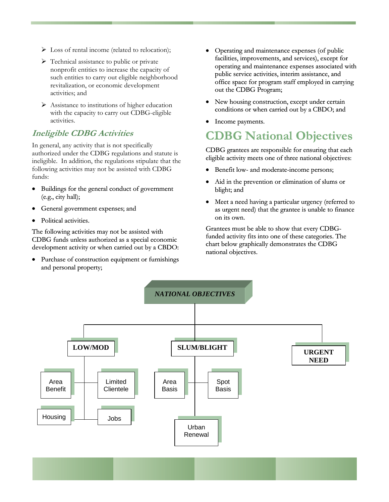- <span id="page-20-0"></span> $\triangleright$  Loss of rental income (related to relocation);
- $\triangleright$  Technical assistance to public or private nonprofit entities to increase the capacity of such entities to carry out eligible neighborhood revitalization, or economic development activities; and
- $\triangleright$  Assistance to institutions of higher education with the capacity to carry out CDBG-eligible activities.

### **Ineligible CDBG Activities**

In general, any activity that is not specifically authorized under the CDBG regulations and statute is ineligible. In addition, the regulations stipulate that the following activities may not be assisted with CDBG funds:

- Buildings for the general conduct of government  $(e.g., city hall);$
- General government expenses; and
- Political activities.

The following activities may not be assisted with CDBG funds unless authorized as a special economic development activity or when carried out by a CBDO:

• Purchase of construction equipment or furnishings and personal property;

- Operating and maintenance expenses (of public facilities, improvements, and services), except for operating and maintenance expenses associated with public service activities, interim assistance, and office space for program staff employed in carrying out the CDBG Program;
- New housing construction, except under certain conditions or when carried out by a CBDO; and
- Income payments.

## **CDBG National Objectives**

CDBG grantees are responsible for ensuring that each eligible activity meets one of three national objectives:

- Benefit low- and moderate-income persons;
- Aid in the prevention or elimination of slums or blight; and
- Meet a need having a particular urgency (referred to as urgent need) that the grantee is unable to finance on its own.

Grantees must be able to show that every CDBGfunded activity fits into one of these categories. The chart below graphically demonstrates the CDBG national objectives.

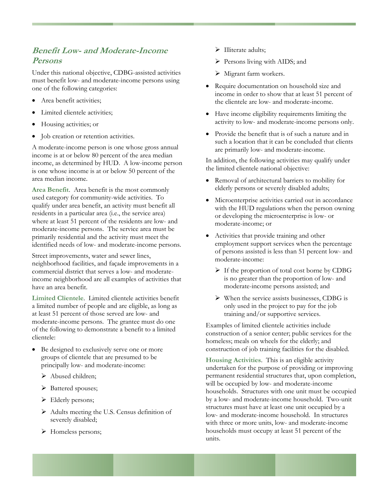### <span id="page-21-0"></span>**Benefit Low- and Moderate-Income Persons**

Under this national objective, CDBG-assisted activities must benefit low- and moderate-income persons using one of the following categories:

- Area benefit activities;
- Limited clientele activities:
- Housing activities; or
- Job creation or retention activities.

A moderate-income person is one whose gross annual income is at or below 80 percent of the area median income, as determined by HUD. A low-income person is one whose income is at or below 50 percent of the area median income.

**Area Benefit**. Area benefit is the most commonly used category for community-wide activities. To qualify under area benefit, an activity must benefit all residents in a particular area (i.e., the service area) where at least 51 percent of the residents are low- and moderate-income persons. The service area must be primarily residential and the activity must meet the identified needs of low- and moderate-income persons.

Street improvements, water and sewer lines, neighborhood facilities, and façade improvements in a commercial district that serves a low- and moderateincome neighborhood are all examples of activities that have an area benefit.

**Limited Clientele**. Limited clientele activities benefit a limited number of people and are eligible, as long as at least 51 percent of those served are low- and moderate-income persons. The grantee must do one of the following to demonstrate a benefit to a limited clientele:

- Be designed to exclusively serve one or more groups of clientele that are presumed to be principally low- and moderate-income:
	- ¾ Abused children;
	- ¾ Battered spouses;
	- $\blacktriangleright$  Elderly persons;
	- $\triangleright$  Adults meeting the U.S. Census definition of severely disabled;
	- ¾ Homeless persons;
- $\triangleright$  Illiterate adults;
- $\triangleright$  Persons living with AIDS; and
- $\triangleright$  Migrant farm workers.
- Require documentation on household size and income in order to show that at least 51 percent of the clientele are low- and moderate-income.
- Have income eligibility requirements limiting the activity to low- and moderate-income persons only.
- Provide the benefit that is of such a nature and in such a location that it can be concluded that clients are primarily low- and moderate-income.

In addition, the following activities may qualify under the limited clientele national objective:

- Removal of architectural barriers to mobility for elderly persons or severely disabled adults;
- Microenterprise activities carried out in accordance with the HUD regulations when the person owning or developing the microenterprise is low- or moderate-income; or
- Activities that provide training and other employment support services when the percentage of persons assisted is less than 51 percent low- and moderate-income:
	- $\triangleright$  If the proportion of total cost borne by CDBG is no greater than the proportion of low- and moderate-income persons assisted; and
	- $\triangleright$  When the service assists businesses, CDBG is only used in the project to pay for the job training and/or supportive services.

Examples of limited clientele activities include construction of a senior center; public services for the homeless; meals on wheels for the elderly; and construction of job training facilities for the disabled.

**Housing Activities**. This is an eligible activity undertaken for the purpose of providing or improving permanent residential structures that, upon completion, will be occupied by low- and moderate-income households. Structures with one unit must be occupied by a low- and moderate-income household. Two-unit structures must have at least one unit occupied by a low- and moderate-income household. In structures with three or more units, low- and moderate-income households must occupy at least 51 percent of the units.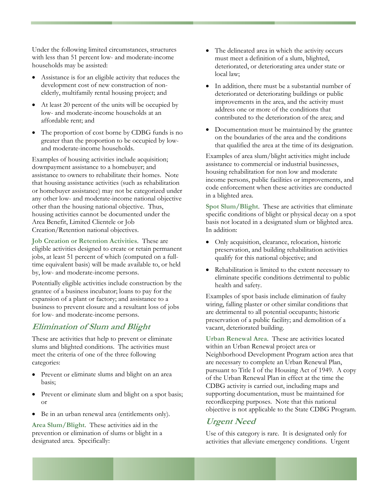<span id="page-22-0"></span>Under the following limited circumstances, structures with less than 51 percent low- and moderate-income households may be assisted:

- Assistance is for an eligible activity that reduces the development cost of new construction of nonelderly, multifamily rental housing project; and
- At least 20 percent of the units will be occupied by low- and moderate-income households at an affordable rent; and
- The proportion of cost borne by CDBG funds is no greater than the proportion to be occupied by lowand moderate-income households.

Examples of housing activities include acquisition; downpayment assistance to a homebuyer; and assistance to owners to rehabilitate their homes. Note that housing assistance activities (such as rehabilitation or homebuyer assistance) may not be categorized under any other low- and moderate-income national objective other than the housing national objective. Thus, housing activities cannot be documented under the Area Benefit, Limited Clientele or Job Creation/Retention national objectives.

**Job Creation or Retention Activities**. These are eligible activities designed to create or retain permanent jobs, at least 51 percent of which (computed on a fulltime equivalent basis) will be made available to, or held by, low- and moderate-income persons.

Potentially eligible activities include construction by the grantee of a business incubator; loans to pay for the expansion of a plant or factory; and assistance to a business to prevent closure and a resultant loss of jobs for low- and moderate-income persons.

### **Elimination of Slum and Blight**

These are activities that help to prevent or eliminate slums and blighted conditions. The activities must meet the criteria of one of the three following categories:

- Prevent or eliminate slums and blight on an area basis;
- Prevent or eliminate slum and blight on a spot basis; or
- Be in an urban renewal area (entitlements only).

**Area Slum/Blight**. These activities aid in the prevention or elimination of slums or blight in a designated area. Specifically:

- The delineated area in which the activity occurs must meet a definition of a slum, blighted, deteriorated, or deteriorating area under state or local law;
- In addition, there must be a substantial number of deteriorated or deteriorating buildings or public improvements in the area, and the activity must address one or more of the conditions that contributed to the deterioration of the area; and
- Documentation must be maintained by the grantee on the boundaries of the area and the conditions that qualified the area at the time of its designation.

Examples of area slum/blight activities might include assistance to commercial or industrial businesses, housing rehabilitation for non low and moderate income persons, public facilities or improvements, and code enforcement when these activities are conducted in a blighted area.

**Spot Slum/Blight**. These are activities that eliminate specific conditions of blight or physical decay on a spot basis not located in a designated slum or blighted area. In addition:

- Only acquisition, clearance, relocation, historic preservation, and building rehabilitation activities qualify for this national objective; and
- Rehabilitation is limited to the extent necessary to eliminate specific conditions detrimental to public health and safety.

Examples of spot basis include elimination of faulty wiring, falling plaster or other similar conditions that are detrimental to all potential occupants; historic preservation of a public facility; and demolition of a vacant, deteriorated building.

**Urban Renewal Area**. These are activities located within an Urban Renewal project area or Neighborhood Development Program action area that are necessary to complete an Urban Renewal Plan, pursuant to Title I of the Housing Act of 1949. A copy of the Urban Renewal Plan in effect at the time the CDBG activity is carried out, including maps and supporting documentation, must be maintained for recordkeeping purposes. Note that this national objective is not applicable to the State CDBG Program.

### **Urgent Need**

Use of this category is rare. It is designated only for activities that alleviate emergency conditions. Urgent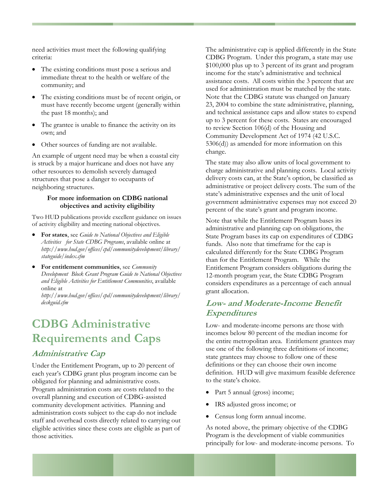<span id="page-23-0"></span>need activities must meet the following qualifying criteria:

- The existing conditions must pose a serious and immediate threat to the health or welfare of the community; and
- The existing conditions must be of recent origin, or must have recently become urgent (generally within the past 18 months); and
- The grantee is unable to finance the activity on its own; and
- Other sources of funding are not available.

An example of urgent need may be when a coastal city is struck by a major hurricane and does not have any other resources to demolish severely damaged structures that pose a danger to occupants of neighboring structures.

#### **For more information on CDBG national objectives and activity eligibility**

Two HUD publications provide excellent guidance on issues of activity eligibility and meeting national objectives.

- **For states**, see *Guide to National Objectives and Eligible Activities for State CDBG Programs*, available online at *[http://www.hud.gov/offices/cpd/communitydevelopment/library/](http://www.hud.gov/offices/cpd/communitydevelopment/library/%20stateguide/index.cfm)  [stateguide/index.cfm](http://www.hud.gov/offices/cpd/communitydevelopment/library/%20stateguide/index.cfm)*
- **For entitlement communities**, see *Community Development Block Grant Program Guide to National Objectives and Eligible Activities for Entitlement Communities*, available online at

*[http://www.hud.gov/offices/cpd/communitydevelopment/library/](http://www.hud.gov/offices/cpd/communitydevelopment/library/%20deskguid.cfm)  [deskguid.cfm](http://www.hud.gov/offices/cpd/communitydevelopment/library/%20deskguid.cfm)*

## **CDBG Administrative Requirements and Caps**

#### **Administrative Cap**

Under the Entitlement Program, up to 20 percent of each year's CDBG grant plus program income can be obligated for planning and administrative costs. Program administration costs are costs related to the overall planning and execution of CDBG-assisted community development activities. Planning and administration costs subject to the cap do not include staff and overhead costs directly related to carrying out eligible activities since these costs are eligible as part of those activities.

The administrative cap is applied differently in the State CDBG Program. Under this program, a state may use \$100,000 plus up to 3 percent of its grant and program income for the state's administrative and technical assistance costs. All costs within the 3 percent that are used for administration must be matched by the state. Note that the CDBG statute was changed on January 23, 2004 to combine the state administrative, planning, and technical assistance caps and allow states to expend up to 3 percent for these costs. States are encouraged to review Section 106(d) of the Housing and Community Development Act of 1974 (42 U.S.C. 5306(d)) as amended for more information on this change.

The state may also allow units of local government to charge administrative and planning costs. Local activity delivery costs can, at the State's option, be classified as administrative or project delivery costs. The sum of the state's administrative expenses and the unit of local government administrative expenses may not exceed 20 percent of the state's grant and program income.

Note that while the Entitlement Program bases its administrative and planning cap on obligations, the State Program bases its cap on expenditures of CDBG funds. Also note that timeframe for the cap is calculated differently for the State CDBG Program than for the Entitlement Program. While the Entitlement Program considers obligations during the 12-month program year, the State CDBG Program considers expenditures as a percentage of each annual grant allocation.

### **Low- and Moderate-Income Benefit Expenditures**

Low- and moderate-income persons are those with incomes below 80 percent of the median income for the entire metropolitan area. Entitlement grantees may use one of the following three definitions of income; state grantees may choose to follow one of these definitions or they can choose their own income definition. HUD will give maximum feasible deference to the state's choice.

- Part 5 annual (gross) income;
- IRS adjusted gross income; or
- Census long form annual income.

As noted above, the primary objective of the CDBG Program is the development of viable communities principally for low- and moderate-income persons. To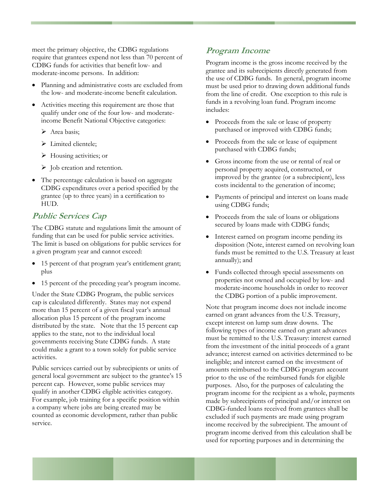<span id="page-24-0"></span>meet the primary objective, the CDBG regulations require that grantees expend not less than 70 percent of CDBG funds for activities that benefit low- and moderate-income persons. In addition:

- Planning and administrative costs are excluded from the low- and moderate-income benefit calculation.
- Activities meeting this requirement are those that qualify under one of the four low- and moderateincome Benefit National Objective categories:
	- > Area basis;
	- $\triangleright$  Limited clientele:
	- $\triangleright$  Housing activities; or
	- $\triangleright$  Job creation and retention.
- The percentage calculation is based on aggregate CDBG expenditures over a period specified by the grantee (up to three years) in a certification to HUD.

### **Public Services Cap**

The CDBG statute and regulations limit the amount of funding that can be used for public service activities. The limit is based on obligations for public services for a given program year and cannot exceed:

- 15 percent of that program year's entitlement grant; plus
- 15 percent of the preceding year's program income.

Under the State CDBG Program, the public services cap is calculated differently. States may not expend more than 15 percent of a given fiscal year's annual allocation plus 15 percent of the program income distributed by the state. Note that the 15 percent cap applies to the state, not to the individual local governments receiving State CDBG funds. A state could make a grant to a town solely for public service activities.

Public services carried out by subrecipients or units of general local government are subject to the grantee's 15 percent cap. However, some public services may qualify in another CDBG eligible activities category. For example, job training for a specific position within a company where jobs are being created may be counted as economic development, rather than public service.

### **Program Income**

Program income is the gross income received by the grantee and its subrecipients directly generated from the use of CDBG funds. In general, program income must be used prior to drawing down additional funds from the line of credit. One exception to this rule is funds in a revolving loan fund. Program income includes:

- Proceeds from the sale or lease of property purchased or improved with CDBG funds;
- Proceeds from the sale or lease of equipment purchased with CDBG funds;
- Gross income from the use or rental of real or personal property acquired, constructed, or improved by the grantee (or a subrecipient), less costs incidental to the generation of income;
- Payments of principal and interest on loans made using CDBG funds;
- Proceeds from the sale of loans or obligations secured by loans made with CDBG funds;
- Interest earned on program income pending its disposition (Note, interest earned on revolving loan funds must be remitted to the U.S. Treasury at least annually); and
- Funds collected through special assessments on properties not owned and occupied by low- and moderate-income households in order to recover the CDBG portion of a public improvement.

Note that program income does not include income earned on grant advances from the U.S. Treasury, except interest on lump sum draw downs. The following types of income earned on grant advances must be remitted to the U.S. Treasury: interest earned from the investment of the initial proceeds of a grant advance; interest earned on activities determined to be ineligible; and interest earned on the investment of amounts reimbursed to the CDBG program account prior to the use of the reimbursed funds for eligible purposes. Also, for the purposes of calculating the program income for the recipient as a whole, payments made by subrecipients of principal and/or interest on CDBG-funded loans received from grantees shall be excluded if such payments are made using program income received by the subrecipient. The amount of program income derived from this calculation shall be used for reporting purposes and in determining the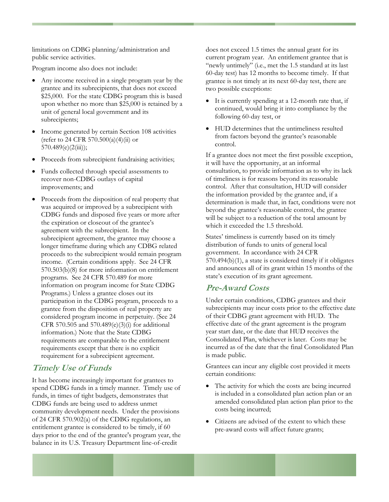<span id="page-25-0"></span>limitations on CDBG planning/administration and public service activities.

Program income also does not include:

- Any income received in a single program year by the grantee and its subrecipients, that does not exceed \$25,000. For the state CDBG program this is based upon whether no more than \$25,000 is retained by a unit of general local government and its subrecipients;
- Income generated by certain Section 108 activities (refer to 24 CFR 570.500(a)(4)(ii) or  $570.489(e)(2(iii));$
- Proceeds from subrecipient fundraising activities;
- Funds collected through special assessments to recover non-CDBG outlays of capital improvements; and
- Proceeds from the disposition of real property that was acquired or improved by a subrecipient with CDBG funds and disposed five years or more after the expiration or closeout of the grantee's agreement with the subrecipient. In the subrecipient agreement, the grantee may choose a longer timeframe during which any CDBG related proceeds to the subrecipient would remain program income. (Certain conditions apply. See 24 CFR 570.503(b)(8) for more information on entitlement programs. See 24 CFR 570.489 for more information on program income for State CDBG Programs.) Unless a grantee closes out its participation in the CDBG program, proceeds to a grantee from the disposition of real property are considered program income in perpetuity. (See 24 CFR 570.505 and 570.489(e)(3)(i) for additional information.) Note that the State CDBG requirements are comparable to the entitlement requirements except that there is no explicit requirement for a subrecipient agreement.

### **Timely Use of Funds**

It has become increasingly important for grantees to spend CDBG funds in a timely manner. Timely use of funds, in times of tight budgets, demonstrates that CDBG funds are being used to address unmet community development needs. Under the provisions of 24 CFR 570.902(a) of the CDBG regulations, an entitlement grantee is considered to be timely, if 60 days prior to the end of the grantee's program year, the balance in its U.S. Treasury Department line-of-credit

does not exceed 1.5 times the annual grant for its current program year. An entitlement grantee that is "newly untimely" (i.e., met the 1.5 standard at its last 60-day test) has 12 months to become timely. If that grantee is not timely at its next 60-day test, there are two possible exceptions:

- It is currently spending at a 12-month rate that, if continued, would bring it into compliance by the following 60-day test, or
- HUD determines that the untimeliness resulted from factors beyond the grantee's reasonable control.

If a grantee does not meet the first possible exception, it will have the opportunity, at an informal consultation, to provide information as to why its lack of timeliness is for reasons beyond its reasonable control. After that consultation, HUD will consider the information provided by the grantee and, if a determination is made that, in fact, conditions were not beyond the grantee's reasonable control, the grantee will be subject to a reduction of the total amount by which it exceeded the 1.5 threshold.

States' timeliness is currently based on its timely distribution of funds to units of general local government. In accordance with 24 CFR 570.494(b)(1), a state is considered timely if it obligates and announces all of its grant within 15 months of the state's execution of its grant agreement.

### **Pre-Award Costs**

Under certain conditions, CDBG grantees and their subrecipients may incur costs prior to the effective date of their CDBG grant agreement with HUD. The effective date of the grant agreement is the program year start date, or the date that HUD receives the Consolidated Plan, whichever is later. Costs may be incurred as of the date that the final Consolidated Plan is made public.

Grantees can incur any eligible cost provided it meets certain conditions:

- The activity for which the costs are being incurred is included in a consolidated plan action plan or an amended consolidated plan action plan prior to the costs being incurred;
- Citizens are advised of the extent to which these pre-award costs will affect future grants;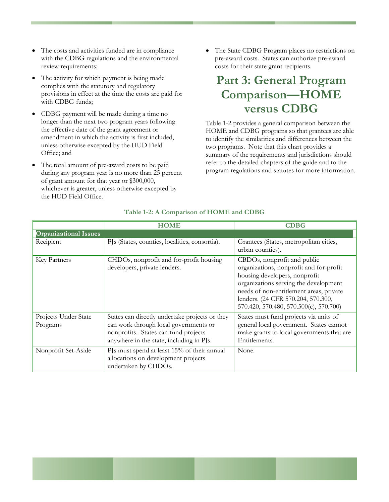- The costs and activities funded are in compliance with the CDBG regulations and the environmental review requirements;
- The activity for which payment is being made complies with the statutory and regulatory provisions in effect at the time the costs are paid for with CDBG funds;
- CDBG payment will be made during a time no longer than the next two program years following the effective date of the grant agreement or amendment in which the activity is first included, unless otherwise excepted by the HUD Field Office; and
- The total amount of pre-award costs to be paid during any program year is no more than 25 percent of grant amount for that year or \$300,000, whichever is greater, unless otherwise excepted by the HUD Field Office.

• The State CDBG Program places no restrictions on pre-award costs. States can authorize pre-award costs for their state grant recipients.

## **Part 3: General Program Comparison—HOME versus CDBG**

Table 1-2 provides a general comparison between the HOME and CDBG programs so that grantees are able to identify the similarities and differences between the two programs. Note that this chart provides a summary of the requirements and jurisdictions should refer to the detailed chapters of the guide and to the program regulations and statutes for more information.

|                                  | <b>HOME</b>                                                                                                                                                                 | <b>CDBG</b>                                                                                                                                                                                                                                                                 |
|----------------------------------|-----------------------------------------------------------------------------------------------------------------------------------------------------------------------------|-----------------------------------------------------------------------------------------------------------------------------------------------------------------------------------------------------------------------------------------------------------------------------|
| <b>Organizational Issues</b>     |                                                                                                                                                                             |                                                                                                                                                                                                                                                                             |
| Recipient                        | PJs (States, counties, localities, consortia).                                                                                                                              | Grantees (States, metropolitan cities,<br>urban counties).                                                                                                                                                                                                                  |
| Key Partners                     | CHDOs, nonprofit and for-profit housing<br>developers, private lenders.                                                                                                     | CBDOs, nonprofit and public<br>organizations, nonprofit and for-profit<br>housing developers, nonprofit<br>organizations serving the development<br>needs of non-entitlement areas, private<br>lenders. (24 CFR 570.204, 570.300,<br>570.420, 570.480, 570.500(c), 570.700) |
| Projects Under State<br>Programs | States can directly undertake projects or they<br>can work through local governments or<br>nonprofits. States can fund projects<br>anywhere in the state, including in PJs. | States must fund projects via units of<br>general local government. States cannot<br>make grants to local governments that are<br>Entitlements.                                                                                                                             |
| Nonprofit Set-Aside              | PJs must spend at least 15% of their annual<br>allocations on development projects<br>undertaken by CHDOs.                                                                  | None.                                                                                                                                                                                                                                                                       |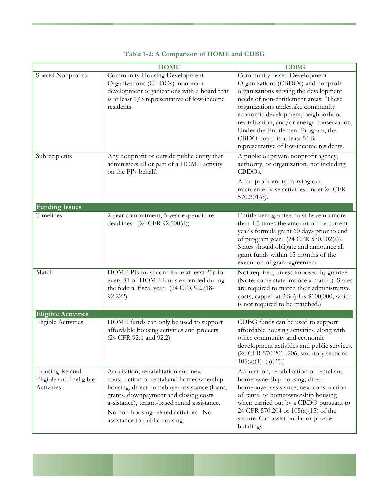|                                                          | <b>HOME</b>                                                                                                                                                                                                                                                                                        | <b>CDBG</b>                                                                                                                                                                                                                                                                                                                                                                                   |
|----------------------------------------------------------|----------------------------------------------------------------------------------------------------------------------------------------------------------------------------------------------------------------------------------------------------------------------------------------------------|-----------------------------------------------------------------------------------------------------------------------------------------------------------------------------------------------------------------------------------------------------------------------------------------------------------------------------------------------------------------------------------------------|
| Special Nonprofits                                       | Community Housing Development<br>Organizations (CHDOs): nonprofit<br>development organizations with a board that<br>is at least $1/3$ representative of low-income<br>residents.                                                                                                                   | Community Based Development<br>Organizations (CBDOs) and nonprofit<br>organizations serving the development<br>needs of non-entitlement areas. These<br>organizations undertake community<br>economic development, neighborhood<br>revitalization, and/or energy conservation.<br>Under the Entitlement Program, the<br>CBDO board is at least 51%<br>representative of low-income residents. |
| Subrecipients                                            | Any nonprofit or outside public entity that<br>administers all or part of a HOME activity<br>on the PJ's behalf.                                                                                                                                                                                   | A public or private nonprofit agency,<br>authority, or organization, not including<br>CBDO <sub>s</sub> .<br>A for-profit entity carrying out<br>microenterprise activities under 24 CFR<br>$570.201$ (o).                                                                                                                                                                                    |
| <b>Funding Issues</b>                                    |                                                                                                                                                                                                                                                                                                    |                                                                                                                                                                                                                                                                                                                                                                                               |
| Timelines                                                | 2-year commitment, 5-year expenditure<br>deadlines. (24 CFR 92.500(d))                                                                                                                                                                                                                             | Entitlement grantee must have no more<br>than 1.5 times the amount of the current<br>year's formula grant 60 days prior to end<br>of program year. (24 CFR 570.902(a)).<br>States should obligate and announce all<br>grant funds within 15 months of the<br>execution of grant agreement                                                                                                     |
| Match                                                    | HOME PJs must contribute at least $25¢$ for<br>every \$1 of HOME funds expended during<br>the federal fiscal year. (24 CFR 92.218-<br>92.222)                                                                                                                                                      | Not required, unless imposed by grantee.<br>(Note: some state impose a match.) States<br>are required to match their administrative<br>costs, capped at 3% (plus \$100,000, which<br>is not required to be matched.)                                                                                                                                                                          |
| <b>Eligible Activities</b>                               |                                                                                                                                                                                                                                                                                                    |                                                                                                                                                                                                                                                                                                                                                                                               |
| <b>Eligible Activities</b>                               | HOME funds can only be used to support<br>affordable housing activities and projects.<br>(24 CFR 92.1 and 92.2)                                                                                                                                                                                    | CDBG funds can be used to support<br>affordable housing activities, along with<br>other community and economic<br>development activities and public services.<br>(24 CFR 570.201-.206, statutory sections<br>105(a)(1)–(a)(25))                                                                                                                                                               |
| Housing-Related<br>Eligible and Ineligible<br>Activities | Acquisition, rehabilitation and new<br>construction of rental and homeownership<br>housing, direct homebuyer assistance (loans,<br>grants, downpayment and closing costs<br>assistance), tenant-based rental assistance.<br>No non-housing related activities. No<br>assistance to public housing. | Acquisition, rehabilitation of rental and<br>homeownership housing, direct<br>homebuyer assistance, new construction<br>of rental or homeownership housing<br>when carried out by a CBDO pursuant to<br>24 CFR 570.204 or 105(a)(15) of the<br>statute. Can assist public or private<br>buildings.                                                                                            |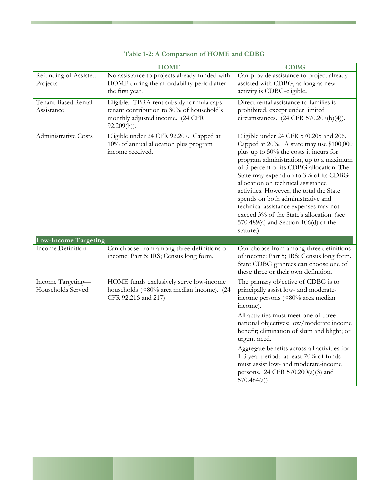|                                        | <b>HOME</b>                                                                                                                                 | <b>CDBG</b>                                                                                                                                                                                                                                                                                                                                                                                                                                                                                                                    |
|----------------------------------------|---------------------------------------------------------------------------------------------------------------------------------------------|--------------------------------------------------------------------------------------------------------------------------------------------------------------------------------------------------------------------------------------------------------------------------------------------------------------------------------------------------------------------------------------------------------------------------------------------------------------------------------------------------------------------------------|
| Refunding of Assisted<br>Projects      | No assistance to projects already funded with<br>HOME during the affordability period after<br>the first year.                              | Can provide assistance to project already<br>assisted with CDBG, as long as new<br>activity is CDBG-eligible.                                                                                                                                                                                                                                                                                                                                                                                                                  |
| Tenant-Based Rental<br>Assistance      | Eligible. TBRA rent subsidy formula caps<br>tenant contribution to 30% of household's<br>monthly adjusted income. (24 CFR<br>$92.209(h)$ ). | Direct rental assistance to families is<br>prohibited, except under limited<br>circumstances. (24 CFR 570.207(b)(4)).                                                                                                                                                                                                                                                                                                                                                                                                          |
| Administrative Costs                   | Eligible under 24 CFR 92.207. Capped at<br>10% of annual allocation plus program<br>income received.                                        | Eligible under 24 CFR 570.205 and 206.<br>Capped at 20%. A state may use \$100,000<br>plus up to 50% the costs it incurs for<br>program administration, up to a maximum<br>of 3 percent of its CDBG allocation. The<br>State may expend up to 3% of its CDBG<br>allocation on technical assistance<br>activities. However, the total the State<br>spends on both administrative and<br>technical assistance expenses may not<br>exceed 3% of the State's allocation. (see<br>570.489(a) and Section 106(d) of the<br>statute.) |
| <b>Low-Income Targeting</b>            |                                                                                                                                             |                                                                                                                                                                                                                                                                                                                                                                                                                                                                                                                                |
| Income Definition                      | Can choose from among three definitions of<br>income: Part 5; IRS; Census long form.                                                        | Can choose from among three definitions<br>of income: Part 5; IRS; Census long form.<br>State CDBG grantees can choose one of<br>these three or their own definition.                                                                                                                                                                                                                                                                                                                                                          |
| Income Targeting-<br>Households Served | HOME funds exclusively serve low-income<br>households (<80% area median income). (24<br>CFR 92.216 and 217)                                 | The primary objective of CDBG is to<br>principally assist low- and moderate-<br>income persons (<80% area median<br>income).<br>All activities must meet one of three<br>national objectives: low/moderate income<br>benefit; elimination of slum and blight; or<br>urgent need.<br>Aggregate benefits across all activities for<br>1-3 year period: at least 70% of funds<br>must assist low- and moderate-income<br>persons. 24 CFR 570.200(a)(3) and<br>570.484(a)                                                          |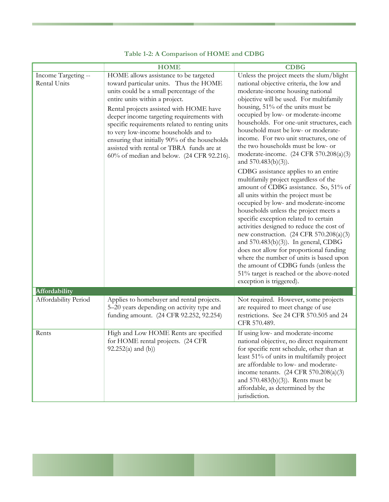|                                     | <b>HOME</b>                                                                                                                                                                                                                                                                                                                                                                                                                                                                                | <b>CDBG</b>                                                                                                                                                                                                                                                                                                                                                                                                                                                                                                                                                                                                                                                                                                                                                                                                                                                                                                                                                                                                                                                                                                             |
|-------------------------------------|--------------------------------------------------------------------------------------------------------------------------------------------------------------------------------------------------------------------------------------------------------------------------------------------------------------------------------------------------------------------------------------------------------------------------------------------------------------------------------------------|-------------------------------------------------------------------------------------------------------------------------------------------------------------------------------------------------------------------------------------------------------------------------------------------------------------------------------------------------------------------------------------------------------------------------------------------------------------------------------------------------------------------------------------------------------------------------------------------------------------------------------------------------------------------------------------------------------------------------------------------------------------------------------------------------------------------------------------------------------------------------------------------------------------------------------------------------------------------------------------------------------------------------------------------------------------------------------------------------------------------------|
| Income Targeting --<br>Rental Units | HOME allows assistance to be targeted<br>toward particular units. Thus the HOME<br>units could be a small percentage of the<br>entire units within a project.<br>Rental projects assisted with HOME have<br>deeper income targeting requirements with<br>specific requirements related to renting units<br>to very low-income households and to<br>ensuring that initially 90% of the households<br>assisted with rental or TBRA funds are at<br>60% of median and below. (24 CFR 92.216). | Unless the project meets the slum/blight<br>national objective criteria, the low and<br>moderate-income housing national<br>objective will be used. For multifamily<br>housing, 51% of the units must be<br>occupied by low- or moderate-income<br>households. For one-unit structures, each<br>household must be low- or moderate-<br>income. For two unit structures, one of<br>the two households must be low- or<br>moderate-income. (24 CFR 570.208(a)(3)<br>and 570.483(b)(3)).<br>CDBG assistance applies to an entire<br>multifamily project regardless of the<br>amount of CDBG assistance. So, 51% of<br>all units within the project must be<br>occupied by low- and moderate-income<br>households unless the project meets a<br>specific exception related to certain<br>activities designed to reduce the cost of<br>new construction. (24 CFR 570.208(a)(3)<br>and 570.483(b)(3)). In general, CDBG<br>does not allow for proportional funding<br>where the number of units is based upon<br>the amount of CDBG funds (unless the<br>51% target is reached or the above-noted<br>exception is triggered). |
| Affordability                       |                                                                                                                                                                                                                                                                                                                                                                                                                                                                                            |                                                                                                                                                                                                                                                                                                                                                                                                                                                                                                                                                                                                                                                                                                                                                                                                                                                                                                                                                                                                                                                                                                                         |
| Affordability Period                | Applies to homebuyer and rental projects.<br>5-20 years depending on activity type and<br>funding amount. (24 CFR 92.252, 92.254)                                                                                                                                                                                                                                                                                                                                                          | Not required. However, some projects<br>are required to meet change of use<br>restrictions. See 24 CFR 570.505 and 24<br>CFR 570.489.                                                                                                                                                                                                                                                                                                                                                                                                                                                                                                                                                                                                                                                                                                                                                                                                                                                                                                                                                                                   |
| Rents                               | High and Low HOME Rents are specified<br>for HOME rental projects. (24 CFR<br>$92.252(a)$ and (b))                                                                                                                                                                                                                                                                                                                                                                                         | If using low- and moderate-income<br>national objective, no direct requirement<br>for specific rent schedule, other than at<br>least 51% of units in multifamily project<br>are affordable to low- and moderate-<br>income tenants. $(24 \text{ CFR } 570.208(a)(3))$<br>and $570.483(b)(3)$ ). Rents must be<br>affordable, as determined by the<br>jurisdiction.                                                                                                                                                                                                                                                                                                                                                                                                                                                                                                                                                                                                                                                                                                                                                      |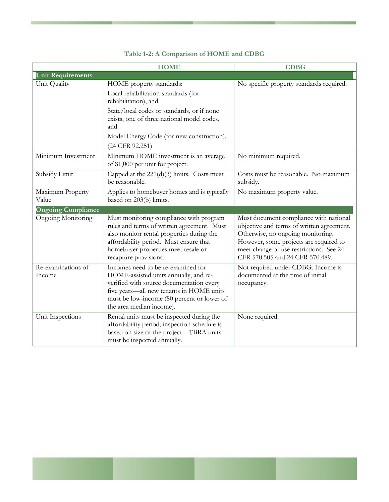|                              | <b>HOME</b>                                                                                                                                                                                                                                                | <b>CDBG</b>                                                                                                                                                                                                                                      |
|------------------------------|------------------------------------------------------------------------------------------------------------------------------------------------------------------------------------------------------------------------------------------------------------|--------------------------------------------------------------------------------------------------------------------------------------------------------------------------------------------------------------------------------------------------|
| <b>Unit Requirements</b>     |                                                                                                                                                                                                                                                            |                                                                                                                                                                                                                                                  |
| Unit Quality                 | HOME property standards:<br>Local rehabilitation standards (for<br>rehabilitation), and<br>State/local codes or standards, or if none<br>exists, one of three national model codes,<br>and<br>Model Energy Code (for new construction).<br>(24 CFR 92.251) | No specific property standards required.                                                                                                                                                                                                         |
| Minimum Investment           | Minimum HOME investment is an average<br>of \$1,000 per unit for project.                                                                                                                                                                                  | No minimum required.                                                                                                                                                                                                                             |
| Subsidy Limit                | Capped at the 221(d)(3) limits. Costs must<br>be reasonable.                                                                                                                                                                                               | Costs must be reasonable. No maximum<br>subsidy.                                                                                                                                                                                                 |
| Maximum Property<br>Value    | Applies to homebuyer homes and is typically<br>based on 203(b) limits.                                                                                                                                                                                     | No maximum property value.                                                                                                                                                                                                                       |
| <b>Ongoing Compliance</b>    |                                                                                                                                                                                                                                                            |                                                                                                                                                                                                                                                  |
| <b>Ongoing Monitoring</b>    | Must monitoring compliance with program<br>rules and terms of written agreement. Must<br>also monitor rental properties during the<br>affordability period. Must ensure that<br>homebuyer properties meet resale or<br>recapture provisions.               | Must document compliance with national<br>objective and terms of written agreement.<br>Otherwise, no ongoing monitoring.<br>However, some projects are required to<br>meet change of use restrictions. See 24<br>CFR 570.505 and 24 CFR 570.489. |
| Re-examinations of<br>Income | Incomes need to be re-examined for<br>HOME-assisted units annually, and re-<br>verified with source documentation every<br>five years-all new tenants in HOME units<br>must be low-income (80 percent or lower of<br>the area median income).              | Not required under CDBG. Income is<br>documented at the time of initial<br>occupancy.                                                                                                                                                            |
| Unit Inspections             | Rental units must be inspected during the<br>affordability period; inspection schedule is<br>based on size of the project. TBRA units<br>must be inspected annually.                                                                                       | None required.                                                                                                                                                                                                                                   |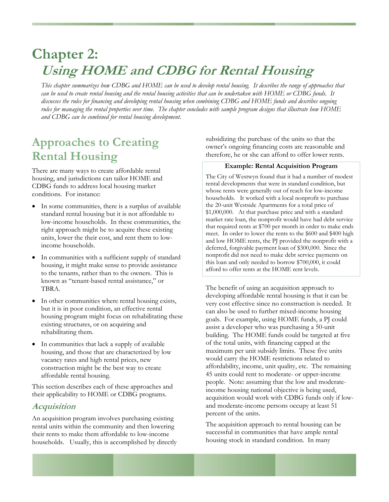# <span id="page-31-0"></span>**Chapter 2: Using HOME and CDBG for Rental Housing**

*This chapter summarizes how CDBG and HOME can be used to develop rental housing. It describes the range of approaches that can be used to create rental housing and the rental housing activities that can be undertaken with HOME or CDBG funds. It discusses the rules for financing and developing rental housing when combining CDBG and HOME funds and describes ongoing rules for managing the rental properties over time. The chapter concludes with sample program designs that illustrate how HOME and CDBG can be combined for rental housing development.* 

## **Approaches to Creating Rental Housing**

There are many ways to create affordable rental housing, and jurisdictions can tailor HOME and CDBG funds to address local housing market conditions. For instance:

- In some communities, there is a surplus of available standard rental housing but it is not affordable to low-income households. In these communities, the right approach might be to acquire these existing units, lower the their cost, and rent them to lowincome households.
- In communities with a sufficient supply of standard housing, it might make sense to provide assistance to the tenants, rather than to the owners. This is known as "tenant-based rental assistance," or TBRA.
- In other communities where rental housing exists, but it is in poor condition, an effective rental housing program might focus on rehabilitating these existing structures, or on acquiring and rehabilitating them.
- In communities that lack a supply of available housing, and those that are characterized by low vacancy rates and high rental prices, new construction might be the best way to create affordable rental housing.

This section describes each of these approaches and their applicability to HOME or CDBG programs.

### **Acquisition**

An acquisition program involves purchasing existing rental units within the community and then lowering their rents to make them affordable to low-income households. Usually, this is accomplished by directly subsidizing the purchase of the units so that the owner's ongoing financing costs are reasonable and therefore, he or she can afford to offer lower rents.

#### **Example: Rental Acquisition Program**

The City of Westwyn found that it had a number of modest rental developments that were in standard condition, but whose rents were generally out of reach for low-income households. It worked with a local nonprofit to purchase the 20-unit Westside Apartments for a total price of \$1,000,000. At that purchase price and with a standard market rate loan, the nonprofit would have had debt service that required rents at \$700 per month in order to make ends meet. In order to lower the rents to the \$600 and \$400 high and low HOME rents, the PJ provided the nonprofit with a deferred, forgivable payment loan of \$300,000. Since the nonprofit did not need to make debt service payments on this loan and only needed to borrow \$700,000, it could afford to offer rents at the HOME rent levels.

The benefit of using an acquisition approach to developing affordable rental housing is that it can be very cost effective since no construction is needed. It can also be used to further mixed-income housing goals. For example, using HOME funds, a PJ could assist a developer who was purchasing a 50-unit building. The HOME funds could be targeted at five of the total units, with financing capped at the maximum per unit subsidy limits. These five units would carry the HOME restrictions related to affordability, income, unit quality, etc. The remaining 45 units could rent to moderate- or upper-income people. Note: assuming that the low and moderateincome housing national objective is being used, acquisition would work with CDBG funds only if lowand moderate-income persons occupy at least 51 percent of the units.

The acquisition approach to rental housing can be successful in communities that have ample rental housing stock in standard condition. In many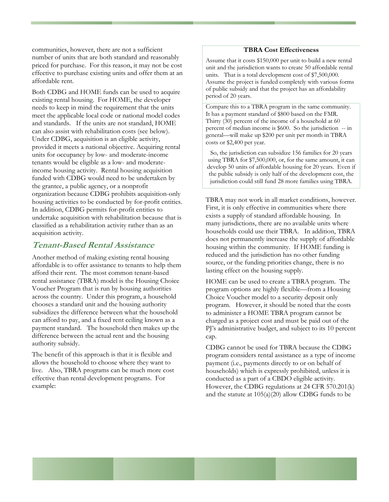<span id="page-32-0"></span>communities, however, there are not a sufficient number of units that are both standard and reasonably priced for purchase. For this reason, it may not be cost effective to purchase existing units and offer them at an affordable rent.

Both CDBG and HOME funds can be used to acquire existing rental housing. For HOME, the developer needs to keep in mind the requirement that the units meet the applicable local code or national model codes and standards. If the units are not standard, HOME can also assist with rehabilitation costs (see below). Under CDBG, acquisition is an eligible activity, provided it meets a national objective. Acquiring rental units for occupancy by low- and moderate-income tenants would be eligible as a low- and moderateincome housing activity. Rental housing acquisition funded with CDBG would need to be undertaken by the grantee, a public agency, or a nonprofit organization because CDBG prohibits acquisition-only housing activities to be conducted by for-profit entities. In addition, CDBG permits for-profit entities to undertake acquisition with rehabilitation because that is classified as a rehabilitation activity rather than as an acquisition activity.

### **Tenant-Based Rental Assistance**

Another method of making existing rental housing affordable is to offer assistance to tenants to help them afford their rent. The most common tenant-based rental assistance (TBRA) model is the Housing Choice Voucher Program that is run by housing authorities across the country. Under this program, a household chooses a standard unit and the housing authority subsidizes the difference between what the household can afford to pay, and a fixed rent ceiling known as a payment standard. The household then makes up the difference between the actual rent and the housing authority subsidy.

The benefit of this approach is that it is flexible and allows the household to choose where they want to live. Also, TBRA programs can be much more cost effective than rental development programs. For example:

#### **TBRA Cost Effectiveness**

Assume that it costs \$150,000 per unit to build a new rental unit and the jurisdiction wants to create 50 affordable rental units. That is a total development cost of \$7,500,000. Assume the project is funded completely with various forms of public subsidy and that the project has an affordability period of 20 years.

Compare this to a TBRA program in the same community. It has a payment standard of \$800 based on the FMR. Thirty (30) percent of the income of a household at 60 percent of median income is \$600. So the jurisdiction -- in general—will make up \$200 per unit per month in TBRA costs or \$2,400 per year.

So, the jurisdiction can subsidize 156 families for 20 years using TBRA for \$7,500,000, or, for the same amount, it can develop 50 units of affordable housing for 20 years. Even if the public subsidy is only half of the development cost, the jurisdiction could still fund 28 more families using TBRA.

TBRA may not work in all market conditions, however. First, it is only effective in communities where there exists a supply of standard affordable housing. In many jurisdictions, there are no available units where households could use their TBRA. In addition, TBRA does not permanently increase the supply of affordable housing within the community. If HOME funding is reduced and the jurisdiction has no other funding source, or the funding priorities change, there is no lasting effect on the housing supply.

HOME can be used to create a TBRA program. The program options are highly flexible—from a Housing Choice Voucher model to a security deposit only program. However, it should be noted that the costs to administer a HOME TBRA program cannot be charged as a project cost and must be paid out of the PJ's administrative budget, and subject to its 10 percent cap.

CDBG cannot be used for TBRA because the CDBG program considers rental assistance as a type of income payment (i.e., payments directly to or on behalf of households) which is expressly prohibited, unless it is conducted as a part of a CBDO eligible activity. However, the CDBG regulations at 24 CFR 570.201(k) and the statute at 105(a)(20) allow CDBG funds to be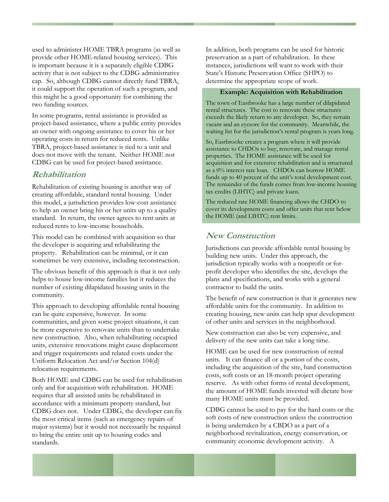<span id="page-33-0"></span>used to administer HOME TBRA programs (as well as provide other HOME-related housing services). This is important because it is a separately eligible CDBG activity that is not subject to the CDBG administrative cap. So, although CDBG cannot directly fund TBRA, it could support the operation of such a program, and this might be a good opportunity for combining the two funding sources.

In some programs, rental assistance is provided as project-based assistance, where a public entity provides an owner with ongoing assistance to cover his or her operating costs in return for reduced rents. Unlike TBRA, project-based assistance is tied to a unit and does not move with the tenant. Neither HOME nor CDBG can be used for project-based assistance.

### **Rehabilitation**

Rehabilitation of existing housing is another way of creating affordable, standard rental housing. Under this model, a jurisdiction provides low-cost assistance to help an owner bring his or her units up to a quality standard. In return, the owner agrees to rent units at reduced rents to low-income households.

This model can be combined with acquisition so that the developer is acquiring and rehabilitating the property. Rehabilitation can be minimal, or it can sometimes be very extensive, including reconstruction.

The obvious benefit of this approach is that it not only helps to house low-income families but it reduces the number of existing dilapidated housing units in the community.

This approach to developing affordable rental housing can be quite expensive, however. In some communities, and given some project situations, it can be more expensive to renovate units than to undertake new construction. Also, when rehabilitating occupied units, extensive renovations might cause displacement and trigger requirements and related costs under the Uniform Relocation Act and/or Section 104(d) relocation requirements.

Both HOME and CDBG can be used for rehabilitation only and for acquisition with rehabilitation. HOME requires that all assisted units be rehabilitated in accordance with a minimum property standard, but CDBG does not. Under CDBG, the developer can fix the most critical items (such as emergency repairs of major systems) but it would not necessarily be required to bring the entire unit up to housing codes and standards.

In addition, both programs can be used for historic preservation as a part of rehabilitation. In these instances, jurisdictions will want to work with their State's Historic Preservation Office (SHPO) to determine the appropriate scope of work.

#### **Example: Acquisition with Rehabilitation**

The town of Eastbrooke has a large number of dilapidated rental structures. The cost to renovate these structures exceeds the likely return to any developer. So, they remain vacant and an eyesore for the community. Meanwhile, the waiting list for the jurisdiction's rental program is years long.

So, Eastbrooke creates a program where it will provide assistance to CHDOs to buy, renovate, and manage rental properties. The HOME assistance will be used for acquisition and for extensive rehabilitation and is structured as a 0% interest rate loan. CHDOs can borrow HOME funds up to 40 percent of the unit's total development cost. The remainder of the funds comes from low-income housing tax credits (LIHTC) and private loans.

The reduced rate HOME financing allows the CHDO to cover its development costs and offer units that rent below the HOME (and LIHTC) rent limits.

#### **New Construction**

Jurisdictions can provide affordable rental housing by building new units. Under this approach, the jurisdiction typically works with a nonprofit or forprofit developer who identifies the site, develops the plans and specifications, and works with a general contractor to build the units.

The benefit of new construction is that it generates new affordable units for the community. In addition to creating housing, new units can help spur development of other units and services in the neighborhood.

New construction can also be very expensive, and delivery of the new units can take a long time.

HOME can be used for new construction of rental units. It can finance all or a portion of the costs, including the acquisition of the site, hard construction costs, soft costs or an 18-month project operating reserve. As with other forms of rental development, the amount of HOME funds invested will dictate how many HOME units must be provided.

CDBG cannot be used to pay for the hard costs or the soft costs of new construction unless the construction is being undertaken by a CBDO as a part of a neighborhood revitalization, energy conservation, or community economic development activity. A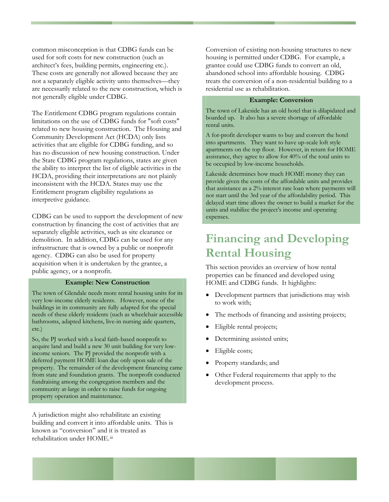<span id="page-34-0"></span>common misconception is that CDBG funds can be used for soft costs for new construction (such as architect's fees, building permits, engineering etc.). These costs are generally not allowed because they are not a separately eligible activity unto themselves—they are necessarily related to the new construction, which is not generally eligible under CDBG.

The Entitlement CDBG program regulations contain limitations on the use of CDBG funds for "soft costs" related to new housing construction. The Housing and Community Development Act (HCDA) only lists activities that are eligible for CDBG funding, and so has no discussion of new housing construction. Under the State CDBG program regulations, states are given the ability to interpret the list of eligible activities in the HCDA, providing their interpretations are not plainly inconsistent with the HCDA. States may use the Entitlement program eligibility regulations as interpretive guidance.

CDBG can be used to support the development of new construction by financing the cost of activities that are separately eligible activities, such as site clearance or demolition. In addition, CDBG can be used for any infrastructure that is owned by a public or nonprofit agency. CDBG can also be used for property acquisition when it is undertaken by the grantee, a public agency, or a nonprofit.

#### **Example: New Construction**

The town of Glendale needs more rental housing units for its very low-income elderly residents. However, none of the buildings in its community are fully adapted for the special needs of these elderly residents (such as wheelchair accessible bathrooms, adapted kitchens, live-in nursing aide quarters, etc.)

So, the PJ worked with a local faith-based nonprofit to acquire land and build a new 30 unit building for very lowincome seniors. The PJ provided the nonprofit with a deferred payment HOME loan due only upon sale of the property. The remainder of the development financing came from state and foundation grants. The nonprofit conducted fundraising among the congregation members and the community at-large in order to raise funds for ongoing property operation and maintenance.

A jurisdiction might also rehabilitate an existing building and convert it into affordable units. This is known as "conversion" and it is treated as rehabilitation under HOME.[iii](#page-96-2)

Conversion of existing non-housing structures to new housing is permitted under CDBG. For example, a grantee could use CDBG funds to convert an old, abandoned school into affordable housing. CDBG treats the conversion of a non-residential building to a residential use as rehabilitation.

#### **Example: Conversion**

The town of Lakeside has an old hotel that is dilapidated and boarded up. It also has a severe shortage of affordable rental units.

A for-profit developer wants to buy and convert the hotel into apartments. They want to have up-scale loft style apartments on the top floor. However, in return for HOME assistance, they agree to allow for 40% of the total units to be occupied by low-income households.

Lakeside determines how much HOME money they can provide given the costs of the affordable units and provides that assistance as a 2% interest rate loan where payments will not start until the 3rd year of the affordability period. This delayed start time allows the owner to build a market for the units and stabilize the project's income and operating expenses.

## **Financing and Developing Rental Housing**

This section provides an overview of how rental properties can be financed and developed using HOME and CDBG funds. It highlights:

- Development partners that jurisdictions may wish to work with;
- The methods of financing and assisting projects;
- Eligible rental projects;
- Determining assisted units;
- Eligible costs;
- Property standards; and
- Other Federal requirements that apply to the development process.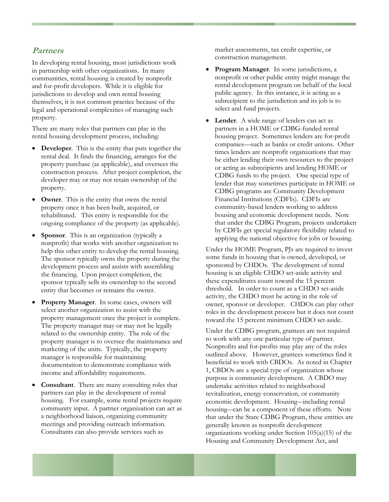### <span id="page-35-0"></span>**Partners**

In developing rental housing, most jurisdictions work in partnership with other organizations. In many communities, rental housing is created by nonprofit and for-profit developers. While it is eligible for jurisdictions to develop and own rental housing themselves, it is not common practice because of the legal and operational complexities of managing such property.

There are many roles that partners can play in the rental housing development process, including:

- **Developer.** This is the entity that puts together the rental deal. It finds the financing, arranges for the property purchase (as applicable), and oversees the construction process. After project completion, the developer may or may not retain ownership of the property.
- **Owner**. This is the entity that owns the rental property once it has been built, acquired, or rehabilitated. This entity is responsible for the ongoing compliance of the property (as applicable).
- **Sponsor.** This is an organization (typically a nonprofit) that works with another organization to help this other entity to develop the rental housing. The sponsor typically owns the property during the development process and assists with assembling the financing. Upon project completion, the sponsor typically sells its ownership to the second entity that becomes or remains the owner.
- **Property Manager**. In some cases, owners will select another organization to assist with the property management once the project is complete. The property manager may or may not be legally related to the ownership entity. The role of the property manager is to oversee the maintenance and marketing of the units. Typically, the property manager is responsible for maintaining documentation to demonstrate compliance with income and affordability requirements.
- **Consultant**. There are many consulting roles that partners can play in the development of rental housing. For example, some rental projects require community input. A partner organization can act as a neighborhood liaison, organizing community meetings and providing outreach information. Consultants can also provide services such as

market assessments, tax credit expertise, or construction management.

- **Program Manager**. In some jurisdictions, a nonprofit or other public entity might manage the rental development program on behalf of the local public agency. In this instance, it is acting as a subrecipient to the jurisdiction and its job is to select and fund projects.
- **Lender**. A wide range of lenders can act as partners in a HOME or CDBG-funded rental housing project. Sometimes lenders are for-profit companies—such as banks or credit unions. Other times lenders are nonprofit organizations that may be either lending their own resources to the project or acting as subrecipients and lending HOME or CDBG funds to the project. One special type of lender that may sometimes participate in HOME or CDBG programs are Community Development Financial Institutions (CDFIs). CDFIs are community-based lenders working to address housing and economic development needs. Note that under the CDBG Program, projects undertaken by CDFIs get special regulatory flexibility related to applying the national objective for jobs or housing.

Under the HOME Program, PJs are required to invest some funds in housing that is owned, developed, or sponsored by CHDOs. The development of rental housing is an eligible CHDO set-aside activity and these expenditures count toward the 15 percent threshold. In order to count as a CHDO set-aside activity, the CHDO must be acting in the role of owner, sponsor or developer. CHDOs can play other roles in the development process but it does not count toward the 15 percent minimum CHDO set-aside.

Under the CDBG program, grantees are not required to work with any one particular type of partner. Nonprofits and for-profits may play any of the roles outlined above. However, grantees sometimes find it beneficial to work with CBDOs. As noted in Chapter 1, CBDOs are a special type of organization whose purpose is community development. A CBDO may undertake activities related to neighborhood revitalization, energy conservation, or community economic development. Housing–-including rental housing–-can be a component of these efforts. Note that under the State CDBG Program, these entities are generally known as nonprofit development organizations working under Section 105(a)(15) of the Housing and Community Development Act, and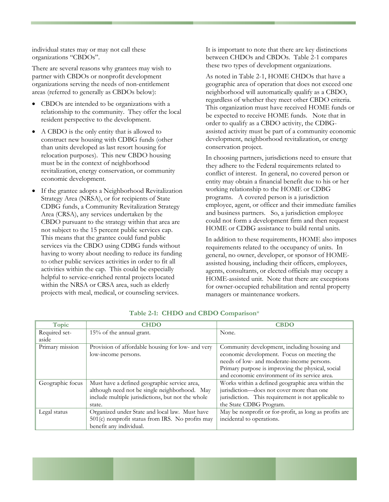individual states may or may not call these organizations "CBDOs".

There are several reasons why grantees may wish to partner with CBDOs or nonprofit development organizations serving the needs of non-entitlement areas (referred to generally as CBDOs below):

- CBDOs are intended to be organizations with a relationship to the community. They offer the local resident perspective to the development.
- A CBDO is the only entity that is allowed to construct new housing with CDBG funds (other than units developed as last resort housing for relocation purposes). This new CBDO housing must be in the context of neighborhood revitalization, energy conservation, or community economic development.
- If the grantee adopts a Neighborhood Revitalization Strategy Area (NRSA), or for recipients of State CDBG funds, a Community Revitalization Strategy Area (CRSA), any services undertaken by the CBDO pursuant to the strategy within that area are not subject to the 15 percent public services cap. This means that the grantee could fund public services via the CBDO using CDBG funds without having to worry about needing to reduce its funding to other public services activities in order to fit all activities within the cap. This could be especially helpful to service-enriched rental projects located within the NRSA or CRSA area, such as elderly projects with meal, medical, or counseling services.

It is important to note that there are key distinctions between CHDOs and CBDOs. Table 2-1 compares these two types of development organizations.

As noted in Table 2-1, HOME CHDOs that have a geographic area of operation that does not exceed one neighborhood will automatically qualify as a CBDO, regardless of whether they meet other CBDO criteria. This organization must have received HOME funds or be expected to receive HOME funds. Note that in order to qualify as a CBDO activity, the CDBGassisted activity must be part of a community economic development, neighborhood revitalization, or energy conservation project.

In choosing partners, jurisdictions need to ensure that they adhere to the Federal requirements related to conflict of interest. In general, no covered person or entity may obtain a financial benefit due to his or her working relationship to the HOME or CDBG programs. A covered person is a jurisdiction employee, agent, or officer and their immediate families and business partners. So, a jurisdiction employee could not form a development firm and then request HOME or CDBG assistance to build rental units.

In addition to these requirements, HOME also imposes requirements related to the occupancy of units. In general, no owner, developer, or sponsor of HOMEassisted housing, including their officers, employees, agents, consultants, or elected officials may occupy a HOME-assisted unit. Note that there are exceptions for owner-occupied rehabilitation and rental property managers or maintenance workers.

| Topic            | <b>CHDO</b>                                       | <b>CBDO</b>                                            |
|------------------|---------------------------------------------------|--------------------------------------------------------|
| Required set-    | 15% of the annual grant.                          | None.                                                  |
| aside            |                                                   |                                                        |
| Primary mission  | Provision of affordable housing for low- and very | Community development, including housing and           |
|                  | low-income persons.                               | economic development. Focus on meeting the             |
|                  |                                                   | needs of low- and moderate-income persons.             |
|                  |                                                   | Primary purpose is improving the physical, social      |
|                  |                                                   | and economic environment of its service area.          |
| Geographic focus | Must have a defined geographic service area,      | Works within a defined geographic area within the      |
|                  | although need not be single neighborhood. May     | jurisdiction-does not cover more than one              |
|                  | include multiple jurisdictions, but not the whole | jurisdiction. This requirement is not applicable to    |
|                  | state.                                            | the State CDBG Program.                                |
| Legal status     | Organized under State and local law. Must have    | May be nonprofit or for-profit, as long as profits are |
|                  | 501(c) nonprofit status from IRS. No profits may  | incidental to operations.                              |
|                  | benefit any individual.                           |                                                        |

**Table 2-1: CHDO and CBDO Comparison**\*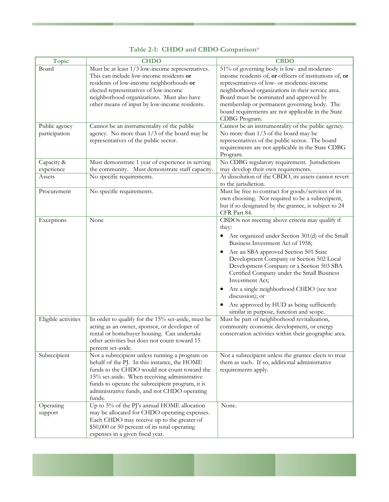| Topic               | <b>CHDO</b>                                                                       | <b>CBDO</b>                                                                  |
|---------------------|-----------------------------------------------------------------------------------|------------------------------------------------------------------------------|
| Board               | Must be at least 1/3 low-income representatives.                                  | 51% of governing body is low- and moderate-                                  |
|                     | This can include low-income residents or                                          | income residents of, or officers of institutions of, or                      |
|                     | residents of low-income neighborhoods or                                          | representatives of low- or moderate-income                                   |
|                     | elected representatives of low-income                                             | neighborhood organizations in their service area.                            |
|                     | neighborhood organizations. Must also have                                        | Board must be nominated and approved by                                      |
|                     | other means of input by low-income residents.                                     | membership or permanent governing body. The                                  |
|                     |                                                                                   | board requirements are not applicable in the State                           |
|                     |                                                                                   | CDBG Program.                                                                |
| Public agency       | Cannot be an instrumentality of the public                                        | Cannot be an instrumentality of the public agency.                           |
| participation       | agency. No more than 1/3 of the board may be                                      | No more than $1/3$ of the board may be                                       |
|                     | representatives of the public sector.                                             | representatives of the public sector. The board                              |
|                     |                                                                                   | requirements are not applicable in the State CDBG                            |
|                     |                                                                                   | Program.                                                                     |
| Capacity &          | Must demonstrate 1 year of experience in serving                                  | No CDBG regulatory requirement. Jurisdictions                                |
| experience          | the community. Must demonstrate staff capacity.                                   | may develop their own requirements.                                          |
| Assets              | No specific requirements.                                                         | At dissolution of the CBDO, its assets cannot revert<br>to the jurisdiction. |
| Procurement         | No specific requirements.                                                         | Must be free to contract for goods/services of its                           |
|                     |                                                                                   | own choosing. Not required to be a subrecipient,                             |
|                     |                                                                                   | but if so designated by the grantee, is subject to 24                        |
|                     |                                                                                   | CFR Part 84.                                                                 |
| Exceptions          | None                                                                              | CBDOs not meeting above criteria may qualify if                              |
|                     |                                                                                   | they:                                                                        |
|                     |                                                                                   | Are organized under Section 301(d) of the Small<br>$\bullet$                 |
|                     |                                                                                   | Business Investment Act of 1958;                                             |
|                     |                                                                                   | Are an SBA approved Section 501 State<br>$\bullet$                           |
|                     |                                                                                   | Development Company or Section 502 Local                                     |
|                     |                                                                                   | Development Company or a Section 503 SBA                                     |
|                     |                                                                                   | Certified Company under the Small Business                                   |
|                     |                                                                                   | Investment Act;                                                              |
|                     |                                                                                   | Are a single neighborhood CHDO (see text<br>discussion); or                  |
|                     |                                                                                   | Are approved by HUD as being sufficiently                                    |
|                     |                                                                                   | similar in purpose, function and scope.                                      |
| Eligible activities | In order to qualify for the 15% set-aside, must be                                | Must be part of neighborhood revitalization,                                 |
|                     | acting as an owner, sponsor, or developer of                                      | community economic development, or energy                                    |
|                     | rental or homebuyer housing. Can undertake                                        | conservation activities within their geographic area.                        |
|                     | other activities but does not count toward 15                                     |                                                                              |
|                     | percent set-aside.                                                                |                                                                              |
| Subrecipient        | Not a subrecipient unless running a program on                                    | Not a subrecipient unless the grantee elects to treat                        |
|                     | behalf of the PJ. In this instance, the HOME                                      | them as such. If so, additional administrative                               |
|                     | funds to the CHDO would not count toward the                                      | requirements apply.                                                          |
|                     | 15% set-aside. When receiving administrative                                      |                                                                              |
|                     | funds to operate the subrecipient program, it is                                  |                                                                              |
|                     | administrative funds, and not CHDO operating                                      |                                                                              |
|                     | funds.                                                                            |                                                                              |
| Operating           | Up to 5% of the PJ's annual HOME allocation                                       | None.                                                                        |
| support             | may be allocated for CHDO operating expenses.                                     |                                                                              |
|                     | Each CHDO may receive up to the greater of                                        |                                                                              |
|                     | \$50,000 or 50 percent of its total operating<br>expenses in a given fiscal year. |                                                                              |
|                     |                                                                                   |                                                                              |

### **Table 2-1: CHDO and CBDO Comparison**\*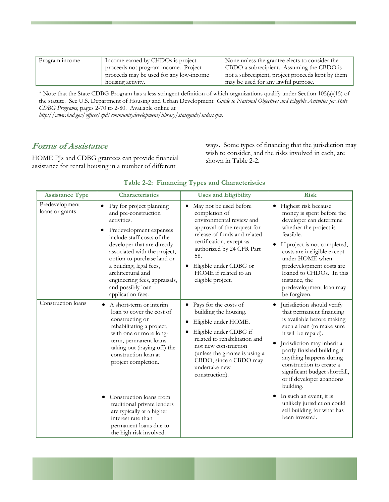| Program income | Income earned by CHDOs is project       | None unless the grantee elects to consider the    |
|----------------|-----------------------------------------|---------------------------------------------------|
|                | proceeds not program income. Project    | CBDO a subrecipient. Assuming the CBDO is         |
|                | proceeds may be used for any low-income | not a subrecipient, project proceeds kept by them |
|                | housing activity.                       | may be used for any lawful purpose.               |

\* Note that the State CDBG Program has a less stringent definition of which organizations qualify under Section 105(a)(15) of the statute. See U.S. Department of Housing and Urban Development *Guide to National Objectives and Eligible Activities for State CDBG Programs*, pages 2-70 to 2-80. Available online at

*http://www.hud.gov/offices/cpd/communitydevelopment/library/stateguide/index.cfm.*

## **Forms of Assistance**

HOME PJs and CDBG grantees can provide financial assistance for rental housing in a number of different

ways. Some types of financing that the jurisdiction may wish to consider, and the risks involved in each, are shown in Table 2-2.

| <b>Assistance Type</b>            | Characteristics                                                                                                                                                                                                                                                                                                                                                                                                      | <b>Uses and Eligibility</b>                                                                                                                                                                                                                                                | <b>Risk</b>                                                                                                                                                                                                                                                                                                                                                                                                                                                                |
|-----------------------------------|----------------------------------------------------------------------------------------------------------------------------------------------------------------------------------------------------------------------------------------------------------------------------------------------------------------------------------------------------------------------------------------------------------------------|----------------------------------------------------------------------------------------------------------------------------------------------------------------------------------------------------------------------------------------------------------------------------|----------------------------------------------------------------------------------------------------------------------------------------------------------------------------------------------------------------------------------------------------------------------------------------------------------------------------------------------------------------------------------------------------------------------------------------------------------------------------|
| Predevelopment<br>loans or grants | Pay for project planning<br>$\bullet$<br>and pre-construction<br>activities.<br>Predevelopment expenses<br>include staff costs of the<br>developer that are directly<br>associated with the project,<br>option to purchase land or<br>a building, legal fees,<br>architectural and<br>engineering fees, appraisals,<br>and possibly loan<br>application fees.                                                        | May not be used before<br>completion of<br>environmental review and<br>approval of the request for<br>release of funds and related<br>certification, except as<br>authorized by 24 CFR Part<br>58.<br>Eligible under CDBG or<br>HOME if related to an<br>eligible project. | Highest risk because<br>$\bullet$<br>money is spent before the<br>developer can determine<br>whether the project is<br>feasible.<br>If project is not completed,<br>$\bullet$<br>costs are ineligible except<br>under HOME when<br>predevelopment costs are<br>loaned to CHDOs. In this<br>instance, the<br>predevelopment loan may<br>be forgiven.                                                                                                                        |
| Construction loans                | A short-term or interim<br>$\bullet$<br>loan to cover the cost of<br>constructing or<br>rehabilitating a project,<br>with one or more long-<br>term, permanent loans<br>taking out (paying off) the<br>construction loan at<br>project completion.<br>Construction loans from<br>traditional private lenders<br>are typically at a higher<br>interest rate than<br>permanent loans due to<br>the high risk involved. | Pays for the costs of<br>building the housing.<br>Eligible under HOME.<br>Eligible under CDBG if<br>related to rehabilitation and<br>not new construction<br>(unless the grantee is using a<br>CBDO, since a CBDO may<br>undertake new<br>construction).                   | Jurisdiction should verify<br>$\bullet$<br>that permanent financing<br>is available before making<br>such a loan (to make sure<br>it will be repaid).<br>Jurisdiction may inherit a<br>partly finished building if<br>anything happens during<br>construction to create a<br>significant budget shortfall,<br>or if developer abandons<br>building.<br>In such an event, it is<br>$\bullet$<br>unlikely jurisdiction could<br>sell building for what has<br>been invested. |

#### **Table 2-2: Financing Types and Characteristics**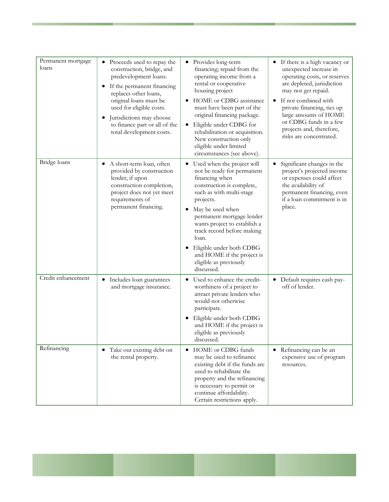| Permanent mortgage<br>loans | Proceeds used to repay the<br>construction, bridge, and<br>predevelopment loans.<br>If the permanent financing<br>$\bullet$<br>replaces other loans,<br>original loans must be<br>used for eligible costs.<br>Jurisdictions may choose<br>to finance part or all of the<br>total development costs. | Provides long-term<br>$\bullet$<br>financing; repaid from the<br>operating income from a<br>rental or cooperative<br>housing project<br>HOME or CDBG assistance<br>must have been part of the<br>original financing package.<br>Eligible under CDBG for<br>rehabilitation or acquisition.<br>New construction only<br>eligible under limited<br>circumstances (see above).              | • If there is a high vacancy or<br>unexpected increase in<br>operating costs, or reserves<br>are depleted, jurisdiction<br>may not get repaid.<br>If not combined with<br>private financing, ties up<br>large amounts of HOME<br>or CDBG funds in a few<br>projects and, therefore,<br>risks are concentrated. |
|-----------------------------|-----------------------------------------------------------------------------------------------------------------------------------------------------------------------------------------------------------------------------------------------------------------------------------------------------|-----------------------------------------------------------------------------------------------------------------------------------------------------------------------------------------------------------------------------------------------------------------------------------------------------------------------------------------------------------------------------------------|----------------------------------------------------------------------------------------------------------------------------------------------------------------------------------------------------------------------------------------------------------------------------------------------------------------|
| Bridge loans                | A short-term loan, often<br>$\bullet$<br>provided by construction<br>lender, if upon<br>construction completion,<br>project does not yet meet<br>requirements of<br>permanent financing.                                                                                                            | Used when the project will<br>$\bullet$<br>not be ready for permanent<br>financing when<br>construction is complete,<br>such as with multi-stage<br>projects.<br>May be used when<br>permanent mortgage lender<br>wants project to establish a<br>track record before making<br>loan.<br>Eligible under both CDBG<br>and HOME if the project is<br>eligible as previously<br>discussed. | Significant changes in the<br>٠<br>project's projected income<br>or expenses could affect<br>the availability of<br>permanent financing, even<br>if a loan commitment is in<br>place.                                                                                                                          |
| Credit enhancement          | Includes loan guarantees<br>$\bullet$<br>and mortgage insurance.                                                                                                                                                                                                                                    | Used to enhance the credit-<br>$\bullet$<br>worthiness of a project to<br>attract private lenders who<br>would not otherwise<br>participate.<br>Eligible under both CDBG<br>and HOME if the project is<br>eligible as previously<br>discussed.                                                                                                                                          | • Default requires cash pay-<br>off of lender.                                                                                                                                                                                                                                                                 |
| Refinancing                 | • Take out existing debt on<br>the rental property.                                                                                                                                                                                                                                                 | HOME or CDBG funds<br>$\bullet$<br>may be used to refinance<br>existing debt if the funds are<br>used to rehabilitate the<br>property and the refinancing<br>is necessary to permit or<br>continue affordability.<br>Certain restrictions apply.                                                                                                                                        | • Refinancing can be an<br>expensive use of program<br>resources.                                                                                                                                                                                                                                              |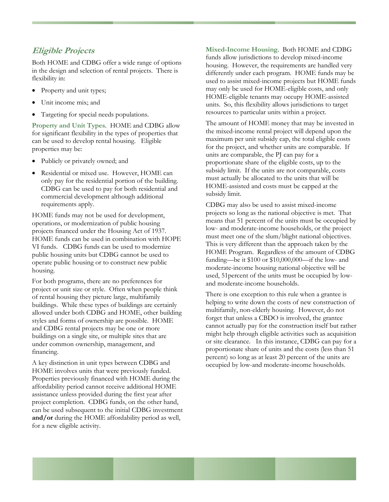### **Eligible Projects**

Both HOME and CDBG offer a wide range of options in the design and selection of rental projects. There is flexibility in:

- Property and unit types;
- Unit income mix; and
- Targeting for special needs populations.

**Property and Unit Types**. HOME and CDBG allow for significant flexibility in the types of properties that can be used to develop rental housing. Eligible properties may be:

- Publicly or privately owned; and
- Residential or mixed use. However, HOME can only pay for the residential portion of the building. CDBG can be used to pay for both residential and commercial development although additional requirements apply.

HOME funds may not be used for development, operations, or modernization of public housing projects financed under the Housing Act of 1937. HOME funds can be used in combination with HOPE VI funds. CDBG funds can be used to modernize public housing units but CDBG cannot be used to operate public housing or to construct new public housing.

For both programs, there are no preferences for project or unit size or style. Often when people think of rental housing they picture large, multifamily buildings. While these types of buildings are certainly allowed under both CDBG and HOME, other building styles and forms of ownership are possible. HOME and CDBG rental projects may be one or more buildings on a single site, or multiple sites that are under common ownership, management, and financing.

A key distinction in unit types between CDBG and HOME involves units that were previously funded. Properties previously financed with HOME during the affordability period cannot receive additional HOME assistance unless provided during the first year after project completion. CDBG funds, on the other hand, can be used subsequent to the initial CDBG investment **and/or** during the HOME affordability period as well, for a new eligible activity.

**Mixed-Income Housing**. Both HOME and CDBG funds allow jurisdictions to develop mixed-income housing. However, the requirements are handled very differently under each program. HOME funds may be used to assist mixed-income projects but HOME funds may only be used for HOME-eligible costs, and only HOME-eligible tenants may occupy HOME-assisted units. So, this flexibility allows jurisdictions to target resources to particular units within a project.

The amount of HOME money that may be invested in the mixed-income rental project will depend upon the maximum per unit subsidy cap, the total eligible costs for the project, and whether units are comparable. If units are comparable, the PJ can pay for a proportionate share of the eligible costs, up to the subsidy limit. If the units are not comparable, costs must actually be allocated to the units that will be HOME-assisted and costs must be capped at the subsidy limit.

CDBG may also be used to assist mixed-income projects so long as the national objective is met. That means that 51 percent of the units must be occupied by low- and moderate-income households, or the project must meet one of the slum/blight national objectives. This is very different than the approach taken by the HOME Program. Regardless of the amount of CDBG funding—be it \$100 or \$10,000,000—if the low- and moderate-income housing national objective will be used, 51percent of the units must be occupied by lowand moderate-income households.

There is one exception to this rule when a grantee is helping to write down the costs of new construction of multifamily, non-elderly housing. However, do not forget that unless a CBDO is involved, the grantee cannot actually pay for the construction itself but rather might help through eligible activities such as acquisition or site clearance. In this instance, CDBG can pay for a proportionate share of units and the costs (less than 51 percent) so long as at least 20 percent of the units are occupied by low-and moderate-income households.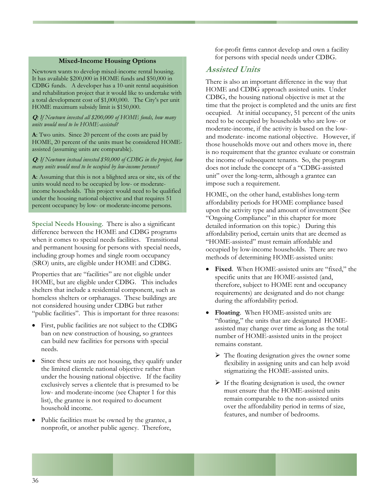#### **Mixed-Income Housing Options**

Newtown wants to develop mixed-income rental housing. It has available \$200,000 in HOME funds and \$50,000 in CDBG funds. A developer has a 10-unit rental acquisition and rehabilitation project that it would like to undertake with a total development cost of \$1,000,000. The City's per unit HOME maximum subsidy limit is \$150,000.

#### **Q***: If Newtown invested all \$200,000 of HOME funds, how many units would need to be HOME-assisted?*

**A**: Two units. Since 20 percent of the costs are paid by HOME, 20 percent of the units must be considered HOMEassisted (assuming units are comparable).

**Q***: If Newtown instead invested \$50,000 of CDBG in the project, how many units would need to be occupied by low-income persons?* 

**A**: Assuming that this is not a blighted area or site, six of the units would need to be occupied by low- or moderateincome households. This project would need to be qualified under the housing national objective and that requires 51 percent occupancy by low- or moderate-income persons.

**Special Needs Housing**. There is also a significant difference between the HOME and CDBG programs when it comes to special needs facilities. Transitional and permanent housing for persons with special needs, including group homes and single room occupancy (SRO) units, are eligible under HOME and CDBG.

Properties that are "facilities" are not eligible under HOME, but are eligible under CDBG. This includes shelters that include a residential component, such as homeless shelters or orphanages. These buildings are not considered housing under CDBG but rather "public facilities". This is important for three reasons:

- First, public facilities are not subject to the CDBG ban on new construction of housing, so grantees can build new facilities for persons with special needs.
- Since these units are not housing, they qualify under the limited clientele national objective rather than under the housing national objective. If the facility exclusively serves a clientele that is presumed to be low- and moderate-income (see Chapter 1 for this list), the grantee is not required to document household income.
- Public facilities must be owned by the grantee, a nonprofit, or another public agency. Therefore,

for-profit firms cannot develop and own a facility for persons with special needs under CDBG.

#### **Assisted Units**

There is also an important difference in the way that HOME and CDBG approach assisted units. Under CDBG, the housing national objective is met at the time that the project is completed and the units are first occupied. At initial occupancy, 51 percent of the units need to be occupied by households who are low- or moderate-income, if the activity is based on the lowand moderate- income national objective. However, if those households move out and others move in, there is no requirement that the grantee evaluate or constrain the income of subsequent tenants. So, the program does not include the concept of a "CDBG-assisted unit" over the long-term, although a grantee can impose such a requirement.

HOME, on the other hand, establishes long-term affordability periods for HOME compliance based upon the activity type and amount of investment (See "Ongoing Compliance" in this chapter for more detailed information on this topic.) During this affordability period, certain units that are deemed as "HOME-assisted" must remain affordable and occupied by low-income households. There are two methods of determining HOME-assisted units:

- Fixed. When HOME-assisted units are "fixed," the specific units that are HOME-assisted (and, therefore, subject to HOME rent and occupancy requirements) are designated and do not change during the affordability period.
- **Floating**. When HOME-assisted units are "floating," the units that are designated HOMEassisted may change over time as long as the total number of HOME-assisted units in the project remains constant.
	- ¾ The floating designation gives the owner some flexibility in assigning units and can help avoid stigmatizing the HOME-assisted units.
	- $\triangleright$  If the floating designation is used, the owner must ensure that the HOME-assisted units remain comparable to the non-assisted units over the affordability period in terms of size, features, and number of bedrooms.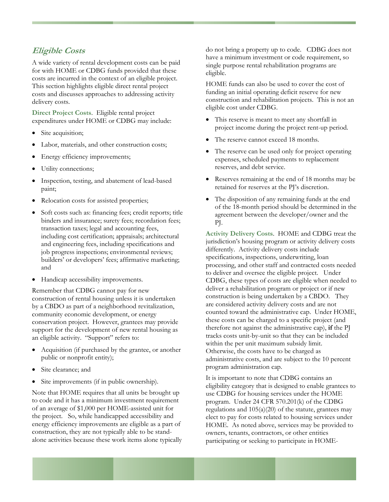## **Eligible Costs**

A wide variety of rental development costs can be paid for with HOME or CDBG funds provided that these costs are incurred in the context of an eligible project. This section highlights eligible direct rental project costs and discusses approaches to addressing activity delivery costs.

**Direct Project Costs**. Eligible rental project expenditures under HOME or CDBG may include:

- Site acquisition;
- Labor, materials, and other construction costs;
- Energy efficiency improvements;
- Utility connections;
- Inspection, testing, and abatement of lead-based paint;
- Relocation costs for assisted properties;
- Soft costs such as: financing fees; credit reports; title binders and insurance; surety fees; recordation fees; transaction taxes; legal and accounting fees, including cost certification; appraisals; architectural and engineering fees, including specifications and job progress inspections; environmental reviews; builders' or developers' fees; affirmative marketing; and
- Handicap accessibility improvements.

Remember that CDBG cannot pay for new construction of rental housing unless it is undertaken by a CBDO as part of a neighborhood revitalization, community economic development, or energy conservation project. However, grantees may provide support for the development of new rental housing as an eligible activity. "Support" refers to:

- Acquisition (if purchased by the grantee, or another public or nonprofit entity);
- Site clearance; and
- Site improvements (if in public ownership).

Note that HOME requires that all units be brought up to code and it has a minimum investment requirement of an average of \$1,000 per HOME-assisted unit for the project. So, while handicapped accessibility and energy efficiency improvements are eligible as a part of construction, they are not typically able to be standalone activities because these work items alone typically do not bring a property up to code. CDBG does not have a minimum investment or code requirement, so single purpose rental rehabilitation programs are eligible.

HOME funds can also be used to cover the cost of funding an initial operating deficit reserve for new construction and rehabilitation projects. This is not an eligible cost under CDBG.

- This reserve is meant to meet any shortfall in project income during the project rent-up period.
- The reserve cannot exceed 18 months.
- The reserve can be used only for project operating expenses, scheduled payments to replacement reserves, and debt service.
- Reserves remaining at the end of 18 months may be retained for reserves at the PJ's discretion.
- The disposition of any remaining funds at the end of the 18-month period should be determined in the agreement between the developer/owner and the PJ.

**Activity Delivery Costs**. HOME and CDBG treat the jurisdiction's housing program or activity delivery costs differently. Activity delivery costs include specifications, inspections, underwriting, loan processing, and other staff and contracted costs needed to deliver and oversee the eligible project. Under CDBG, these types of costs are eligible when needed to deliver a rehabilitation program or project or if new construction is being undertaken by a CBDO. They are considered activity delivery costs and are not counted toward the administrative cap. Under HOME, these costs can be charged to a specific project (and therefore not against the administrative cap), **if** the PJ tracks costs unit-by-unit so that they can be included within the per unit maximum subsidy limit. Otherwise, the costs have to be charged as administrative costs, and are subject to the 10 percent program administration cap.

It is important to note that CDBG contains an eligibility category that is designed to enable grantees to use CDBG for housing services under the HOME program. Under 24 CFR 570.201(k) of the CDBG regulations and  $105(a)(20)$  of the statute, grantees may elect to pay for costs related to housing services under HOME. As noted above, services may be provided to owners, tenants, contractors, or other entities participating or seeking to participate in HOME-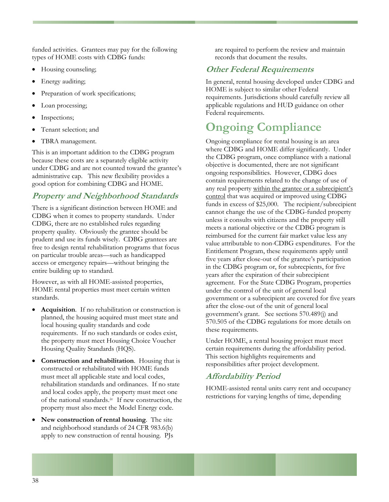funded activities. Grantees may pay for the following types of HOME costs with CDBG funds:

- Housing counseling;
- Energy auditing;
- Preparation of work specifications;
- Loan processing;
- Inspections;
- Tenant selection; and
- TBRA management.

This is an important addition to the CDBG program because these costs are a separately eligible activity under CDBG and are not counted toward the grantee's administrative cap. This new flexibility provides a good option for combining CDBG and HOME.

## **Property and Neighborhood Standards**

There is a significant distinction between HOME and CDBG when it comes to property standards. Under CDBG, there are no established rules regarding property quality. Obviously the grantee should be prudent and use its funds wisely. CDBG grantees are free to design rental rehabilitation programs that focus on particular trouble areas—such as handicapped access or emergency repairs—without bringing the entire building up to standard.

However, as with all HOME-assisted properties, HOME rental properties must meet certain written standards.

- **Acquisition**. If no rehabilitation or construction is planned, the housing acquired must meet state and local housing quality standards and code requirements. If no such standards or codes exist, the property must meet Housing Choice Voucher Housing Quality Standards (HQS).
- **Construction and rehabilitation**. Housing that is constructed or rehabilitated with HOME funds must meet all applicable state and local codes, rehabilitation standards and ordinances. If no state and local codes apply, the property must meet one of the national standards.[iv](#page-96-0) If new construction, the property must also meet the Model Energy code.
- **New construction of rental housing**. The site and neighborhood standards of 24 CFR 983.6(b) apply to new construction of rental housing. PJs

are required to perform the review and maintain records that document the results.

# **Other Federal Requirements**

In general, rental housing developed under CDBG and HOME is subject to similar other Federal requirements. Jurisdictions should carefully review all applicable regulations and HUD guidance on other Federal requirements.

# **Ongoing Compliance**

Ongoing compliance for rental housing is an area where CDBG and HOME differ significantly. Under the CDBG program, once compliance with a national objective is documented, there are not significant ongoing responsibilities. However, CDBG does contain requirements related to the change of use of any real property within the grantee or a subrecipient's control that was acquired or improved using CDBG funds in excess of \$25,000. The recipient/subrecipient cannot change the use of the CDBG-funded property unless it consults with citizens and the property still meets a national objective or the CDBG program is reimbursed for the current fair market value less any value attributable to non-CDBG expenditures. For the Entitlement Program, these requirements apply until five years after close-out of the grantee's participation in the CDBG program or, for subrecpients, for five years after the expiration of their subrecipient agreement. For the State CDBG Program, properties under the control of the unit of general local government or a subrecipient are covered for five years after the close-out of the unit of general local government's grant. See sections 570.489(j) and 570.505 of the CDBG regulations for more details on these requirements.

Under HOME, a rental housing project must meet certain requirements during the affordability period. This section highlights requirements and responsibilities after project development.

# **Affordability Period**

HOME-assisted rental units carry rent and occupancy restrictions for varying lengths of time, depending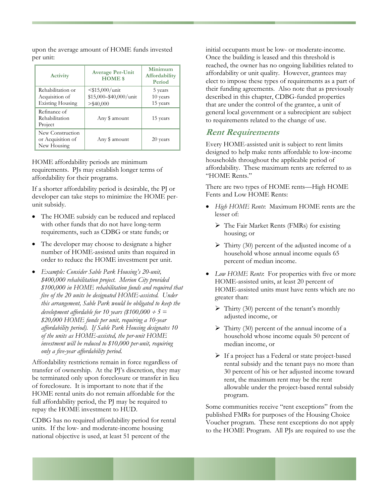upon the average amount of HOME funds invested per unit:

| Activity                                                       | <b>Average Per-Unit</b><br><b>HOME</b> \$                   | Minimum<br>Affordability<br>Period |
|----------------------------------------------------------------|-------------------------------------------------------------|------------------------------------|
| Rehabilitation or<br>Acquisition of<br><b>Existing Housing</b> | $<$ \$15,000/unit<br>\$15,000-\$40,000/unit<br>$>$ \$40,000 | 5 years<br>10 years<br>15 years    |
| Refinance of<br>Rehabilitation<br>Project                      | Any \$ amount                                               | 15 years                           |
| New Construction<br>or Acquisition of<br>New Housing           | Any \$ amount                                               | 20 years                           |

HOME affordability periods are minimum requirements. PJs may establish longer terms of affordability for their programs.

If a shorter affordability period is desirable, the PJ or developer can take steps to minimize the HOME perunit subsidy.

- The HOME subsidy can be reduced and replaced with other funds that do not have long-term requirements, such as CDBG or state funds; or
- The developer may choose to designate a higher number of HOME-assisted units than required in order to reduce the HOME investment per unit.
- *Example: Consider Sable Park Housing's 20-unit, \$400,000 rehabilitation project. Merion City provided \$100,000 in HOME rehabilitation funds and required that five of the 20 units be designated HOME-assisted. Under this arrangement, Sable Park would be obligated to keep the development affordable for 10 years (\$100,000*  $\div$  *5 = \$20,000 HOME funds per unit, requiring a 10-year affordability period). If Sable Park Housing designates 10 of the units as HOME-assisted, the per-unit HOME investment will be reduced to \$10,000 per-unit, requiring only a five-year affordability period.*

Affordability restrictions remain in force regardless of transfer of ownership. At the PJ's discretion, they may be terminated only upon foreclosure or transfer in lieu of foreclosure. It is important to note that if the HOME rental units do not remain affordable for the full affordability period, the PJ may be required to repay the HOME investment to HUD.

CDBG has no required affordability period for rental units. If the low- and moderate-income housing national objective is used, at least 51 percent of the

initial occupants must be low- or moderate-income. Once the building is leased and this threshold is reached, the owner has no ongoing liabilities related to affordability or unit quality. However, grantees may elect to impose these types of requirements as a part of their funding agreements. Also note that as previously described in this chapter, CDBG-funded properties that are under the control of the grantee, a unit of general local government or a subrecipient are subject to requirements related to the change of use.

#### **Rent Requirements**

Every HOME-assisted unit is subject to rent limits designed to help make rents affordable to low-income households throughout the applicable period of affordability. These maximum rents are referred to as "HOME Rents."

There are two types of HOME rents—High HOME Fents and Low HOME Rents:

- *High HOME Rents*: Maximum HOME rents are the lesser of:
	- ¾ The Fair Market Rents (FMRs) for existing housing; or
	- ¾ Thirty (30) percent of the adjusted income of a household whose annual income equals 65 percent of median income.
- *Low HOME Rents*: For properties with five or more HOME-assisted units, at least 20 percent of HOME-assisted units must have rents which are no greater than:
	- $\triangleright$  Thirty (30) percent of the tenant's monthly adjusted income, or
	- $\triangleright$  Thirty (30) percent of the annual income of a household whose income equals 50 percent of median income, or
	- ¾ If a project has a Federal or state project-based rental subsidy and the tenant pays no more than 30 percent of his or her adjusted income toward rent, the maximum rent may be the rent allowable under the project-based rental subsidy program.

Some communities receive "rent exceptions" from the published FMRs for purposes of the Housing Choice Voucher program. These rent exceptions do not apply to the HOME Program. All PJs are required to use the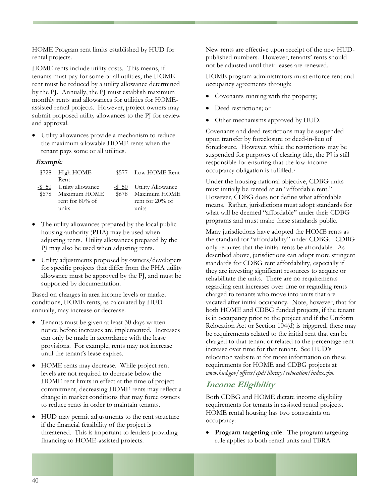HOME Program rent limits established by HUD for rental projects.

HOME rents include utility costs. This means, if tenants must pay for some or all utilities, the HOME rent must be reduced by a utility allowance determined by the PJ. Annually, the PJ must establish maximum monthly rents and allowances for utilities for HOMEassisted rental projects. However, project owners may submit proposed utility allowances to the PJ for review and approval.

• Utility allowances provide a mechanism to reduce the maximum allowable HOME rents when the tenant pays some or all utilities.

#### **Example**

| \$728 High HOME          | \$577 Low HOME Rent      |
|--------------------------|--------------------------|
| Rent                     |                          |
| -\$ 50 Utility allowance | -\$ 50 Utility Allowance |
| \$678 Maximum HOME       | \$678 Maximum HOME       |
| rent for $80\%$ of       | rent for $20\%$ of       |
| units                    | units                    |

- The utility allowances prepared by the local public housing authority (PHA) may be used when adjusting rents. Utility allowances prepared by the PJ may also be used when adjusting rents.
- Utility adjustments proposed by owners/developers for specific projects that differ from the PHA utility allowance must be approved by the PJ, and must be supported by documentation.

Based on changes in area income levels or market conditions, HOME rents, as calculated by HUD annually, may increase or decrease.

- Tenants must be given at least 30 days written notice before increases are implemented. Increases can only be made in accordance with the lease provisions. For example, rents may not increase until the tenant's lease expires.
- HOME rents may decrease. While project rent levels are not required to decrease below the HOME rent limits in effect at the time of project commitment, decreasing HOME rents may reflect a change in market conditions that may force owners to reduce rents in order to maintain tenants.
- HUD may permit adjustments to the rent structure if the financial feasibility of the project is threatened. This is important to lenders providing financing to HOME-assisted projects.

New rents are effective upon receipt of the new HUDpublished numbers. However, tenants' rents should not be adjusted until their leases are renewed.

HOME program administrators must enforce rent and occupancy agreements through:

- Covenants running with the property;
- Deed restrictions; or
- Other mechanisms approved by HUD.

Covenants and deed restrictions may be suspended upon transfer by foreclosure or deed-in-lieu of foreclosure. However, while the restrictions may be suspended for purposes of clearing title, the PJ is still responsible for ensuring that the low-income occupancy obligation is fulfilled.[v](#page-96-0)

Under the housing national objective, CDBG units must initially be rented at an "affordable rent." However, CDBG does not define what affordable means. Rather, jurisdictions must adopt standards for what will be deemed "affordable" under their CDBG programs and must make these standards public.

Many jurisdictions have adopted the HOME rents as the standard for "affordability" under CDBG. CDBG only requires that the initial rents be affordable. As described above, jurisdictions can adopt more stringent standards for CDBG rent affordability, especially if they are investing significant resources to acquire or rehabilitate the units. There are no requirements regarding rent increases over time or regarding rents charged to tenants who move into units that are vacated after initial occupancy. Note, however, that for both HOME and CDBG funded projects, if the tenant is in occupancy prior to the project and if the Uniform Relocation Act or Section 104(d) is triggered, there may be requirements related to the initial rent that can be charged to that tenant or related to the percentage rent increase over time for that tenant. See HUD's relocation website at for more information on these requirements for HOME and CDBG projects at *www.hud.gov/offices/cpd/library/relocation/index.cfm.*

## **Income Eligibility**

Both CDBG and HOME dictate income eligibility requirements for tenants in assisted rental projects. HOME rental housing has two constraints on occupancy:

• **Program targeting rule**: The program targeting rule applies to both rental units and TBRA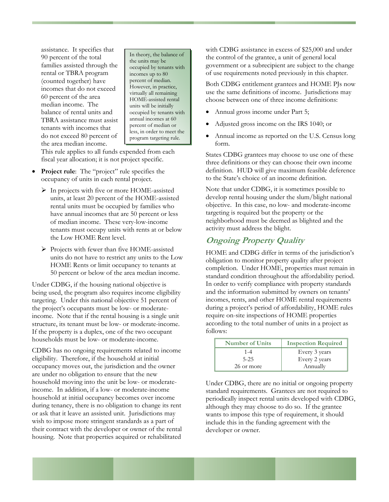assistance. It specifies that 90 percent of the total families assisted through the rental or TBRA program (counted together) have incomes that do not exceed 60 percent of the area median income. The balance of rental units and TBRA assistance must assist tenants with incomes that do not exceed 80 percent of the area median income.

In theory, the balance of the units may be occupied by tenants with incomes up to 80 percent of median. However, in practice, virtually all remaining HOME-assisted rental units will be initially occupied by tenants with annual incomes at 60 percent of median or less, in order to meet the program targeting rule.

This rule applies to all funds expended from each fiscal year allocation; it is not project specific.

- **Project rule**: The "project" rule specifies the occupancy of units in each rental project.
	- ¾ In projects with five or more HOME-assisted units, at least 20 percent of the HOME-assisted rental units must be occupied by families who have annual incomes that are 50 percent or less of median income. These very-low-income tenants must occupy units with rents at or below the Low HOME Rent level.
	- ¾ Projects with fewer than five HOME-assisted units do not have to restrict any units to the Low HOME Rents or limit occupancy to tenants at 50 percent or below of the area median income.

Under CDBG, if the housing national objective is being used, the program also requires income eligibility targeting. Under this national objective 51 percent of the project's occupants must be low- or moderateincome. Note that if the rental housing is a single unit structure, its tenant must be low- or moderate-income. If the property is a duplex, one of the two occupant households must be low- or moderate-income.

CDBG has no ongoing requirements related to income eligibility. Therefore, if the household at initial occupancy moves out, the jurisdiction and the owner are under no obligation to ensure that the new household moving into the unit be low- or moderateincome. In addition, if a low- or moderate-income household at initial occupancy becomes over income during tenancy, there is no obligation to change its rent or ask that it leave an assisted unit. Jurisdictions may wish to impose more stringent standards as a part of their contract with the developer or owner of the rental housing. Note that properties acquired or rehabilitated

with CDBG assistance in excess of \$25,000 and under the control of the grantee, a unit of general local government or a subrecipient are subject to the change of use requirements noted previously in this chapter.

Both CDBG entitlement grantees and HOME PJs now use the same definitions of income. Jurisdictions may choose between one of three income definitions:

- Annual gross income under Part 5;
- Adjusted gross income on the IRS 1040; or
- Annual income as reported on the U.S. Census long form.

States CDBG grantees may choose to use one of these three definitions or they can choose their own income definition. HUD will give maximum feasible deference to the State's choice of an income definition.

Note that under CDBG, it is sometimes possible to develop rental housing under the slum/blight national objective. In this case, no low- and moderate-income targeting is required but the property or the neighborhood must be deemed as blighted and the activity must address the blight.

# **Ongoing Property Quality**

HOME and CDBG differ in terms of the jurisdiction's obligation to monitor property quality after project completion. Under HOME, properties must remain in standard condition throughout the affordability period. In order to verify compliance with property standards and the information submitted by owners on tenants' incomes, rents, and other HOME rental requirements during a project's period of affordability, HOME rules require on-site inspections of HOME properties according to the total number of units in a project as follows:

| <b>Number of Units</b> | <b>Inspection Required</b> |
|------------------------|----------------------------|
| $1 - 4$<br>$5 - 25$    | Every 3 years              |
| 26 or more             | Every 2 years<br>Annually  |

Under CDBG, there are no initial or ongoing property standard requirements. Grantees are not required to periodically inspect rental units developed with CDBG, although they may choose to do so. If the grantee wants to impose this type of requirement, it should include this in the funding agreement with the developer or owner.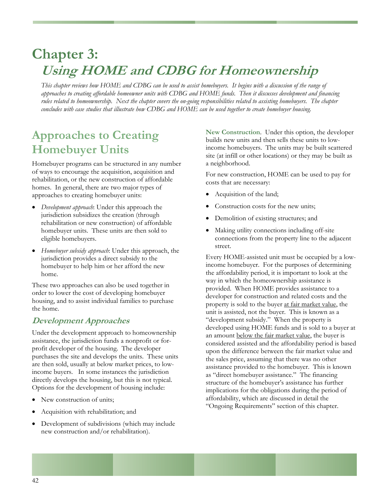# **Chapter 3: Using HOME and CDBG for Homeownership**

*This chapter reviews how HOME and CDBG can be used to assist homebuyers. It begins with a discussion of the range of approaches to creating affordable homeowner units with CDBG and HOME funds. Then it discusses development and financing rules related to homeownership. Next the chapter covers the on-going responsibilities related to assisting homebuyers. The chapter concludes with case studies that illustrate how CDBG and HOME can be used together to create homebuyer housing.* 

# **Approaches to Creating Homebuyer Units**

Homebuyer programs can be structured in any number of ways to encourage the acquisition, acquisition and rehabilitation, or the new construction of affordable homes. In general, there are two major types of approaches to creating homebuyer units:

- *Development approach*: Under this approach the jurisdiction subsidizes the creation (through rehabilitation or new construction) of affordable homebuyer units. These units are then sold to eligible homebuyers.
- *Homebuyer subsidy approach*: Under this approach, the jurisdiction provides a direct subsidy to the homebuyer to help him or her afford the new home.

These two approaches can also be used together in order to lower the cost of developing homebuyer housing, and to assist individual families to purchase the home.

# **Development Approaches**

Under the development approach to homeownership assistance, the jurisdiction funds a nonprofit or forprofit developer of the housing. The developer purchases the site and develops the units. These units are then sold, usually at below market prices, to lowincome buyers. In some instances the jurisdiction directly develops the housing, but this is not typical. Options for the development of housing include:

- New construction of units;
- Acquisition with rehabilitation; and
- Development of subdivisions (which may include new construction and/or rehabilitation).

**New Construction**. Under this option, the developer builds new units and then sells these units to lowincome homebuyers. The units may be built scattered site (at infill or other locations) or they may be built as a neighborhood.

For new construction, HOME can be used to pay for costs that are necessary:

- Acquisition of the land;
- Construction costs for the new units;
- Demolition of existing structures; and
- Making utility connections including off-site connections from the property line to the adjacent street.

Every HOME-assisted unit must be occupied by a lowincome homebuyer. For the purposes of determining the affordability period, it is important to look at the way in which the homeownership assistance is provided. When HOME provides assistance to a developer for construction and related costs and the property is sold to the buyer at fair market value, the unit is assisted, not the buyer. This is known as a "development subsidy." When the property is developed using HOME funds and is sold to a buyer at an amount below the fair market value, the buyer is considered assisted and the affordability period is based upon the difference between the fair market value and the sales price, assuming that there was no other assistance provided to the homebuyer. This is known as "direct homebuyer assistance." The financing structure of the homebuyer's assistance has further implications for the obligations during the period of affordability, which are discussed in detail the "Ongoing Requirements" section of this chapter.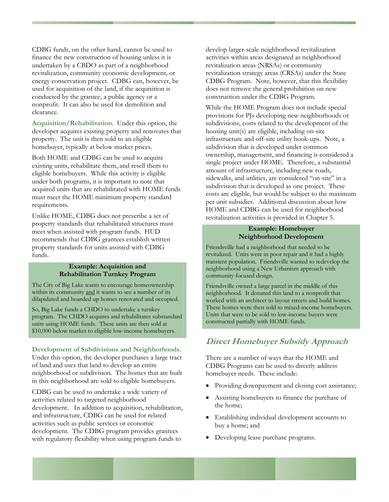CDBG funds, on the other hand, cannot be used to finance the new construction of housing unless it is undertaken by a CBDO as part of a neighborhood revitalization, community economic development, or energy conservation project. CDBG can, however, be used for acquisition of the land, if the acquisition is conducted by the grantee, a public agency or a nonprofit. It can also be used for demolition and clearance.

**Acquisition/Rehabilitation**. Under this option, the developer acquires existing property and renovates that property. The unit is then sold to an eligible homebuyer, typically at below market prices.

Both HOME and CDBG can be used to acquire existing units, rehabilitate them, and resell them to eligible homebuyers. While this activity is eligible under both programs, it is important to note that acquired units that are rehabilitated with HOME funds must meet the HOME minimum property standard requirements.

Unlike HOME, CDBG does not prescribe a set of property standards that rehabilitated structures must meet when assisted with program funds. HUD recommends that CDBG grantees establish written property standards for units assisted with CDBG funds.

#### **Example: Acquisition and Rehabilitation Turnkey Program**

The City of Big Lake wants to encourage homeownership within its community and it wants to see a number of its dilapidated and boarded up homes renovated and occupied.

So, Big Lake funds a CHDO to undertake a turnkey program. The CHDO acquires and rehabilitates substandard units using HOME funds. These units are then sold at \$10,000 below market to eligible low-income homebuyers.

**Development of Subdivisions and Neighborhoods**. Under this option, the developer purchases a large tract

of land and uses that land to develop an entire neighborhood or subdivision. The homes that are built in this neighborhood are sold to eligible homebuyers.

CDBG can be used to undertake a wide variety of activities related to targeted neighborhood development. In addition to acquisition, rehabilitation, and infrastructure, CDBG can be used for related activities such as public services or economic development. The CDBG program provides grantees with regulatory flexibility when using program funds to

develop larger-scale neighborhood revitalization activities within areas designated as neighborhood revitalization areas (NRSAs) or community revitalization strategy areas (CRSAs) under the State CDBG Program. Note, however, that this flexibility does not remove the general prohibition on new construction under the CDBG Program.

While the HOME Program does not include special provisions for PJs developing new neighborhoods or subdivisions, costs related to the development of the housing unit(s) are eligible, including on-site infrastructure and off-site utility hook-ups. Note, a subdivision that is developed under common ownership, management, and financing is considered a single project under HOME. Therefore, a substantial amount of infrastructure, including new roads, sidewalks, and utilities, are considered "on-site" in a subdivision that is developed as one project. These costs are eligible, but would be subject to the maximum per unit subsidies. Additional discussion about how HOME and CDBG can be used for neighborhood revitalization activities is provided in Chapter 5.

#### **Example: Homebuyer Neighborhood Development**

Friendsville had a neighborhood that needed to be revitalized. Units were in poor repair and it had a highly transient population. Friendsville wanted to redevelop the neighborhood using a New Urbanism approach with community focused design.

Friendsville owned a large parcel in the middle of this neighborhood. It donated this land to a nonprofit that worked with an architect to layout streets and build homes. These homes were then sold to mixed-income homebuyers. Units that were to be sold to low-income buyers were constructed partially with HOME funds.

# **Direct Homebuyer Subsidy Approach**

There are a number of ways that the HOME and CDBG Programs can be used to directly address homebuyer needs. These include:

- Providing downpayment and closing cost assistance;
- Assisting homebuyers to finance the purchase of the home;
- Establishing individual development accounts to buy a home; and
- Developing lease purchase programs.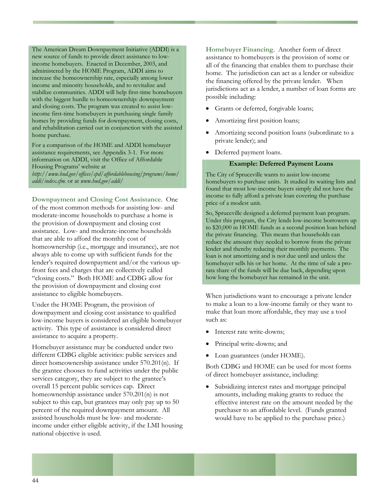The American Dream Downpayment Initiative (ADDI) is a new source of funds to provide direct assistance to lowincome homebuyers. Enacted in December, 2003, and administered by the HOME Program, ADDI aims to increase the homeownership rate, especially among lower income and minority households, and to revitalize and stabilize communities. ADDI will help first-time homebuyers with the biggest hurdle to homeownership: downpayment and closing costs. The program was created to assist lowincome first-time homebuyers in purchasing single family homes by providing funds for downpayment, closing costs, and rehabilitation carried out in conjunction with the assisted home purchase.

For a comparison of the HOME and ADDI homebuyer assistance requirements, see Appendix 3-1. For more information on ADDI, visit the Office of Affordable Housing Programs' website at *http://www.hud.gov/offices/cpd/affordablehousing/programs/home/* 

*addi/index.cfm.* or at *www.hud.gov/addi/*

**Downpayment and Closing Cost Assistance**. One of the most common methods for assisting low- and moderate-income households to purchase a home is the provision of downpayment and closing cost assistance. Low- and moderate-income households that are able to afford the monthly cost of homeownership (i.e., mortgage and insurance), are not always able to come up with sufficient funds for the lender's required downpayment and/or the various upfront fees and charges that are collectively called "closing costs." Both HOME and CDBG allow for the provision of downpayment and closing cost assistance to eligible homebuyers.

Under the HOME Program, the provision of downpayment and closing cost assistance to qualified low-income buyers is considered an eligible homebuyer activity. This type of assistance is considered direct assistance to acquire a property.

Homebuyer assistance may be conducted under two different CDBG eligible activities: public services and direct homeownership assistance under 570.201(n). If the grantee chooses to fund activities under the public services category, they are subject to the grantee's overall 15 percent public services cap. Direct homeownership assistance under 570.201(n) is not subject to this cap, but grantees may only pay up to 50 percent of the required downpayment amount. All assisted households must be low- and moderateincome under either eligible activity, if the LMI housing national objective is used.

**Homebuyer Financing**. Another form of direct assistance to homebuyers is the provision of some or all of the financing that enables them to purchase their home. The jurisdiction can act as a lender or subsidize the financing offered by the private lender. When jurisdictions act as a lender, a number of loan forms are possible including:

- Grants or deferred, forgivable loans;
- Amortizing first position loans;
- Amortizing second position loans (subordinate to a private lender); and
- Deferred payment loans.

#### **Example: Deferred Payment Loans**

The City of Spruceville wants to assist low-income homebuyers to purchase units. It studied its waiting lists and found that most low-income buyers simply did not have the income to fully afford a private loan covering the purchase price of a modest unit.

So, Spruceville designed a deferred payment loan program. Under this program, the City lends low-income borrowers up to \$20,000 in HOME funds as a second position loan behind the private financing. This means that households can reduce the amount they needed to borrow from the private lender and thereby reducing their monthly payments. The loan is not amortizing and is not due until and unless the homebuyer sells his or her home. At the time of sale a prorata share of the funds will be due back, depending upon how long the homebuyer has remained in the unit.

When jurisdictions want to encourage a private lender to make a loan to a low-income family or they want to make that loan more affordable, they may use a tool such as:

- Interest rate write-downs;
- Principal write-downs; and
- Loan guarantees (under HOME).

Both CDBG and HOME can be used for most forms of direct homebuyer assistance, including:

Subsidizing interest rates and mortgage principal amounts, including making grants to reduce the effective interest rate on the amount needed by the purchaser to an affordable level. (Funds granted would have to be applied to the purchase price.)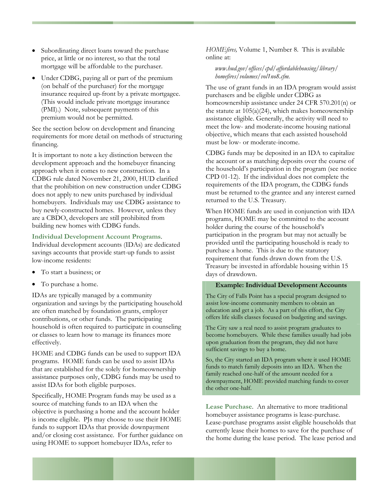- Subordinating direct loans toward the purchase price, at little or no interest, so that the total mortgage will be affordable to the purchaser.
- Under CDBG, paying all or part of the premium (on behalf of the purchaser) for the mortgage insurance required up-front by a private mortgagee. (This would include private mortgage insurance (PMI).) Note, subsequent payments of this premium would not be permitted.

See the section below on development and financing requirements for more detail on methods of structuring financing.

It is important to note a key distinction between the development approach and the homebuyer financing approach when it comes to new construction. In a CDBG rule dated November 21, 2000, HUD clarified that the prohibition on new construction under CDBG does not apply to new units purchased by individual homebuyers. Individuals may use CDBG assistance to buy newly-constructed homes. However, unless they are a CBDO, developers are still prohibited from building new homes with CDBG funds.

#### **Individual Development Account Programs**.

Individual development accounts (IDAs) are dedicated savings accounts that provide start-up funds to assist low-income residents:

- To start a business; or
- To purchase a home.

IDAs are typically managed by a community organization and savings by the participating household are often matched by foundation grants, employer contributions, or other funds. The participating household is often required to participate in counseling or classes to learn how to manage its finances more effectively.

HOME and CDBG funds can be used to support IDA programs. HOME funds can be used to assist IDAs that are established for the solely for homeownership assistance purposes only, CDBG funds may be used to assist IDAs for both eligible purposes.

Specifically, HOME Program funds may be used as a source of matching funds to an IDA when the objective is purchasing a home and the account holder is income eligible. PJs may choose to use their HOME funds to support IDAs that provide downpayment and/or closing cost assistance. For further guidance on using HOME to support homebuyer IDAs, refer to

*HOMEfires,* Volume 1, Number 8. This is available online at:

#### *[www.hud.gov/offices/cpd/affordablehousing/library/](http://www.hud.gov/offices/cpd/affordablehousing/library/) homefires/volumes/vol1no8.cfm.*

The use of grant funds in an IDA program would assist purchasers and be eligible under CDBG as homeownership assistance under 24 CFR 570.201(n) or the statute at  $105(a)(24)$ , which makes homeownership assistance eligible. Generally, the activity will need to meet the low- and moderate-income housing national objective, which means that each assisted household must be low- or moderate-income.

CDBG funds may be deposited in an IDA to capitalize the account or as matching deposits over the course of the household's participation in the program (see notice CPD 01-12). If the individual does not complete the requirements of the IDA program, the CDBG funds must be returned to the grantee and any interest earned returned to the U.S. Treasury.

When HOME funds are used in conjunction with IDA programs, HOME may be committed to the account holder during the course of the household's participation in the program but may not actually be provided until the participating household is ready to purchase a home. This is due to the statutory requirement that funds drawn down from the U.S. Treasury be invested in affordable housing within 15 days of drawdown.

#### **Example: Individual Development Accounts**

The City of Falls Point has a special program designed to assist low-income community members to obtain an education and get a job. As a part of this effort, the City offers life skills classes focused on budgeting and savings.

The City saw a real need to assist program graduates to become homebuyers. While these families usually had jobs upon graduation from the program, they did not have sufficient savings to buy a home.

So, the City started an IDA program where it used HOME funds to match family deposits into an IDA. When the family reached one-half of the amount needed for a downpayment, HOME provided matching funds to cover the other one-half.

**Lease Purchase**. An alternative to more traditional homebuyer assistance programs is lease-purchase. Lease-purchase programs assist eligible households that currently lease their homes to save for the purchase of the home during the lease period. The lease period and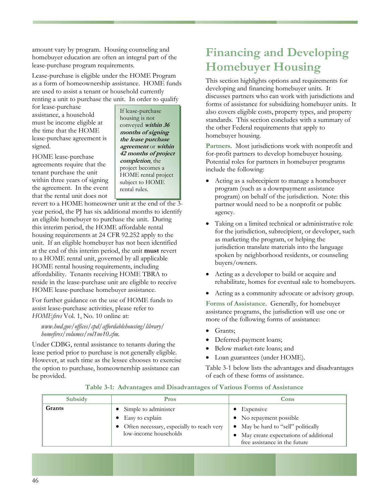amount vary by program. Housing counseling and homebuyer education are often an integral part of the lease-purchase program requirements.

Lease-purchase is eligible under the HOME Program as a form of homeownership assistance. HOME funds are used to assist a tenant or household currently renting a unit to purchase the unit. In order to qualify

for lease-purchase assistance, a household must be income eligible at the time that the HOME lease-purchase agreement is signed.

HOME lease-purchase agreements require that the tenant purchase the unit within three years of signing the agreement. In the event that the rental unit does not

If lease-purchase housing is not conveyed **within 36 months of signing the lease purchase agreement** or **within 42 months of project completion**, the project becomes a HOME rental project subject to HOME rental rules.

revert to a HOME homeowner unit at the end of the 3 year period, the PJ has six additional months to identify an eligible homebuyer to purchase the unit. During this interim period, the HOME affordable rental housing requirements at 24 CFR 92.252 apply to the unit. If an eligible homebuyer has not been identified at the end of this interim period, the unit **must** revert to a HOME rental unit, governed by all applicable HOME rental housing requirements, including affordability. Tenants receiving HOME TBRA to reside in the lease-purchase unit are eligible to receive HOME lease-purchase homebuyer assistance.

For further guidance on the use of HOME funds to assist lease-purchase activities, please refer to *HOMEfires* Vol. 1, No. 10 online at:

*[www.hud.gov/offices/cpd/affordablehousing/library/](http://www.hud.gov/offices/cpd/affordablehousing/library/) homefires/volumes/vol1no10.cfm.* • Grants;<br>
bomefires/volumes/vol1no10.cfm. • Deferred-payment loans;

Under CDBG, rental assistance to tenants during the lease period prior to purchase is not generally eligible. However, at such time as the lessee chooses to exercise the option to purchase, homeownership assistance can be provided.

# **Financing and Developing Homebuyer Housing**

This section highlights options and requirements for developing and financing homebuyer units. It discusses partners who can work with jurisdictions and forms of assistance for subsidizing homebuyer units. It also covers eligible costs, property types, and property standards. This section concludes with a summary of the other Federal requirements that apply to homebuyer housing.

**Partners**. Most jurisdictions work with nonprofit and for-profit partners to develop homebuyer housing. Potential roles for partners in homebuyer programs include the following:

- Acting as a subrecipient to manage a homebuyer program (such as a downpayment assistance program) on behalf of the jurisdiction. Note: this partner would need to be a nonprofit or public agency.
- Taking on a limited technical or administrative role for the jurisdiction, subrecipient, or developer, such as marketing the program, or helping the jurisdiction translate materials into the language spoken by neighborhood residents, or counseling buyers/owners.
- Acting as a developer to build or acquire and rehabilitate, homes for eventual sale to homebuyers.
- Acting as a community advocate or advisory group.

**Forms of Assistance**. Generally, for homebuyer assistance programs, the jurisdiction will use one or more of the following forms of assistance:

- 
- 
- Below market-rate loans; and
- Loan guarantees (under HOME).

Table 3-1 below lists the advantages and disadvantages of each of these forms of assistance.

| Subsidy | Pros                                                                                                                        | Cons                                                                                                                                                            |
|---------|-----------------------------------------------------------------------------------------------------------------------------|-----------------------------------------------------------------------------------------------------------------------------------------------------------------|
| Grants  | • Simple to administer<br>$\bullet$ Easy to explain<br>• Often necessary, especially to reach very<br>low-income households | $\bullet$ Expensive<br>• No repayment possible<br>• May be hard to "sell" politically<br>May create expectations of additional<br>free assistance in the future |

#### **Table 3-1: Advantages and Disadvantages of Various Forms of Assistance**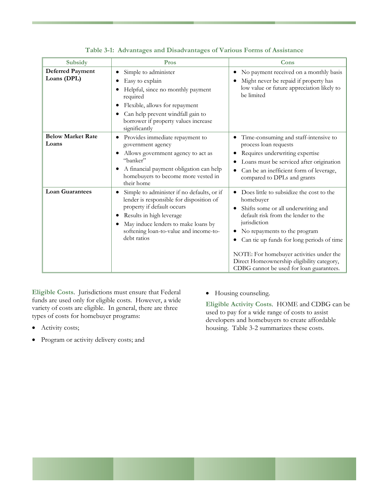| Subsidy                                | Pros                                                                                                                                                                                                                                                  | Cons                                                                                                                                                                                                                                                                                                                                                                   |
|----------------------------------------|-------------------------------------------------------------------------------------------------------------------------------------------------------------------------------------------------------------------------------------------------------|------------------------------------------------------------------------------------------------------------------------------------------------------------------------------------------------------------------------------------------------------------------------------------------------------------------------------------------------------------------------|
| <b>Deferred Payment</b><br>Loans (DPL) | Simple to administer<br>Easy to explain<br>Helpful, since no monthly payment<br>required<br>Flexible, allows for repayment<br>Can help prevent windfall gain to<br>borrower if property values increase<br>significantly                              | No payment received on a monthly basis<br>Might never be repaid if property has<br>low value or future appreciation likely to<br>be limited                                                                                                                                                                                                                            |
| <b>Below Market Rate</b><br>Loans      | Provides immediate repayment to<br>٠<br>government agency<br>Allows government agency to act as<br>"banker"<br>A financial payment obligation can help<br>٠<br>homebuyers to become more vested in<br>their home                                      | Time-consuming and staff-intensive to<br>process loan requests<br>Requires underwriting expertise<br>Loans must be serviced after origination<br>Can be an inefficient form of leverage,<br>compared to DPLs and grants                                                                                                                                                |
| <b>Loan Guarantees</b>                 | Simple to administer if no defaults, or if<br>lender is responsible for disposition of<br>property if default occurs<br>Results in high leverage<br>٠<br>May induce lenders to make loans by<br>softening loan-to-value and income-to-<br>debt ratios | Does little to subsidize the cost to the<br>homebuyer<br>Shifts some or all underwriting and<br>default risk from the lender to the<br>jurisdiction<br>No repayments to the program<br>Can tie up funds for long periods of time<br>NOTE: For homebuyer activities under the<br>Direct Homeownership eligibility category,<br>CDBG cannot be used for loan guarantees. |

| Table 3-1: Advantages and Disadvantages of Various Forms of Assistance |  |  |
|------------------------------------------------------------------------|--|--|
|                                                                        |  |  |

**Eligible Costs**. Jurisdictions must ensure that Federal funds are used only for eligible costs. However, a wide variety of costs are eligible. In general, there are three types of costs for homebuyer programs:

- Activity costs;
- Program or activity delivery costs; and

• Housing counseling.

Eligible Activity Costs. HOME and CDBG can be developers and homebuyers to create affordable housing. Table 3-2 summarizes these costs. used to pay for a wide range of costs to assist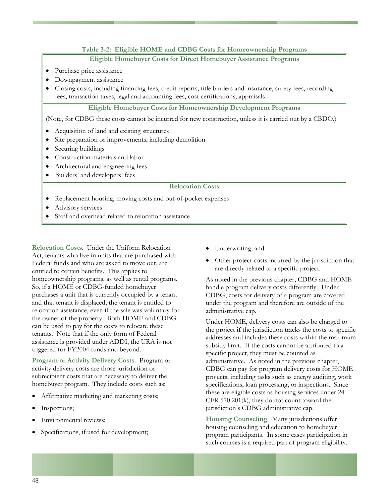### **Table 3-2: Eligible HOME and CDBG Costs for Homeownership Programs**

#### **Eligible Homebuyer Costs for Direct Homebuyer Assistance Programs**

- Purchase price assistance
- Downpayment assistance
- Closing costs, including financing fees, credit reports, title binders and insurance, surety fees, recording fees, transaction taxes, legal and accounting fees, cost certifications, appraisals

#### **Eligible Homebuyer Costs for Homeownership Development Programs**

(Note, for CDBG these costs cannot be incurred for new construction, unless it is carried out by a CBDO.)

- Acquisition of land and existing structures
- Site preparation or improvements, including demolition
- Securing buildings
- Construction materials and labor
- Architectural and engineering fees
- Builders' and developers' fees

#### **Relocation Costs**

- Replacement housing, moving costs and out-of-pocket expenses
- Advisory services
- Staff and overhead related to relocation assistance

**Relocation Costs**. Under the Uniform Relocation Act, tenants who live in units that are purchased with Federal funds and who are asked to move out, are entitled to certain benefits. This applies to homeownership programs, as well as rental programs. So, if a HOME or CDBG-funded homebuyer purchases a unit that is currently occupied by a tenant and that tenant is displaced, the tenant is entitled to relocation assistance, even if the sale was voluntary for the owner of the property. Both HOME and CDBG can be used to pay for the costs to relocate these tenants. Note that if the only form of Federal assistance is provided under ADDI, the URA is not triggered for FY2004 funds and beyond.

**Program or Activity Delivery Costs**. Program or activity delivery costs are those jurisdiction or subrecipient costs that are necessary to deliver the homebuyer program. They include costs such as:

- Affirmative marketing and marketing costs;
- Inspections;
- Environmental reviews;
- Specifications, if used for development;
- Underwriting; and
- Other project costs incurred by the jurisdiction that are directly related to a specific project.

As noted in the previous chapter, CDBG and HOME handle program delivery costs differently. Under CDBG, costs for delivery of a program are covered under the program and therefore are outside of the administrative cap.

addresses and includes these costs within the maximum specifications, loan processing, or inspections. Since these are eligible costs as housing services under 24 Under HOME, delivery costs can also be charged to the project **if** the jurisdiction tracks the costs to specific subsidy limit. If the costs cannot be attributed to a specific project, they must be counted as administrative. As noted in the previous chapter, CDBG can pay for program delivery costs for HOME projects, including tasks such as energy auditing, work CFR 570.201(k), they do not count toward the jurisdiction's CDBG administrative cap.

**Housing Counseling**. Many jurisdictions offer housing counseling and education to homebuyer program participants. In some cases participation in such courses is a required part of program eligibility.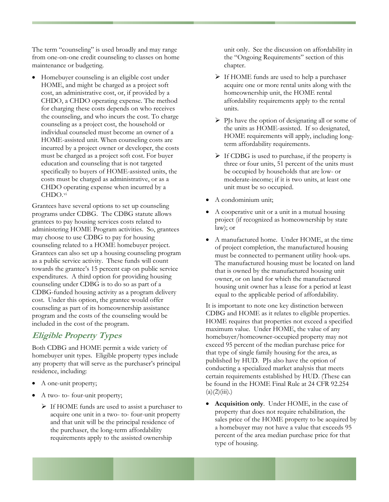The term "counseling" is used broadly and may range from one-on-one credit counseling to classes on home maintenance or budgeting.

• Homebuyer counseling is an eligible cost under the counseling, and who incurs the cost. To charge incurred by a project owner or developer, the costs must be charged as a project soft cost. For buyer specifically to buyers of HOME-assisted units, the CHDO operating expense when incurred by a HOME, and might be charged as a project soft cost, an administrative cost, or, if provided by a CHDO, a CHDO operating expense. The method for charging these costs depends on who receives counseling as a project cost, the household or individual counseled must become an owner of a HOME-assisted unit. When counseling costs are education and counseling that is not targeted costs must be charged as administrative, or as a CHDO.vi

programs under CDBG. The CDBG statute allows administering HOME Program activities. So, grantees Grantees can also set up a housing counseling program towards the grantee's 15 percent cap on public service expenditures. A third option for providing housing CDBG-funded housing activity as a program delivery program and the costs of the counseling would be included in the cost of the program. Grantees have several options to set up counseling grantees to pay housing services costs related to may choose to use CDBG to pay for housing counseling related to a HOME homebuyer project. as a public service activity. These funds will count counseling under CDBG is to do so as part of a cost. Under this option, the grantee would offer counseling as part of its homeownership assistance

# **Eligible Property Types**

any property that will serve as the purchaser's principal Both CDBG and HOME permit a wide variety of homebuyer unit types. Eligible property types include residence, including:

- A one-unit property;
- A two- to- four-unit property;
	- ¾ If HOME funds are used to assist a purchaser to acquire one unit in a two- to- four-unit property and that unit will be the principal residence of the purchaser, the long-term affordability requirements apply to the assisted ownership

unit only. See the discussion on affordability in the "Ongoing Requirements" section of this chapter.

- ¾ If HOME funds are used to help a purchaser acquire one or more rental units along with the affordability requirements apply to the rental homeownership unit, the HOME rental units.
- $\triangleright$  PJs have the option of designating all or some of HOME requirements will apply, including longthe units as HOME-assisted. If so designated, term affordability requirements.
- ¾ If CDBG is used to purchase, if the property is three or four units, 51 percent of the units must moderate-income; if it is two units, at least one be occupied by households that are low- or unit must be so occupied.
- A condominium unit;
- project (if recognized as homeownership by state A cooperative unit or a unit in a mutual housing law); or
- The manufactured housing must be located on land housing unit owner has a lease for a period at least A manufactured home. Under HOME, at the time of project completion, the manufactured housing must be connected to permanent utility hook-ups. that is owned by the manufactured housing unit owner, or on land for which the manufactured equal to the applicable period of affordability.

HOME requires that properties not exceed a specified exceed 95 percent of the median purchase price for be found in the HOME Final Rule at 24 CFR 92.254  $(a)(2)(iii).$ It is important to note one key distinction between CDBG and HOME as it relates to eligible properties. maximum value. Under HOME, the value of any homebuyer/homeowner-occupied property may not that type of single family housing for the area, as published by HUD. PJs also have the option of conducting a specialized market analysis that meets certain requirements established by HUD. (These can

• percent of the area median purchase price for that type of housing. **Acquisition only**. Under HOME, in the case of property that does not require rehabilitation, the sales price of the HOME property to be acquired by a homebuyer may not have a value that exceeds 95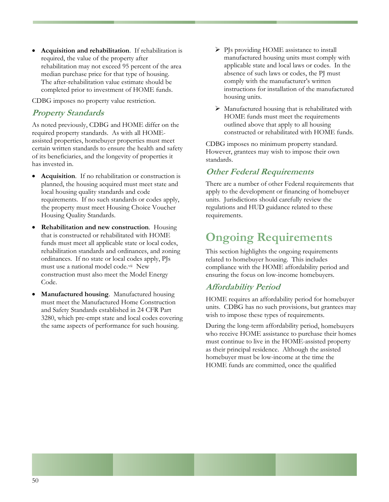• **Acquisition and rehabilitation**. If rehabilitation is required, the value of the property after rehabilitation may not exceed 95 percent of the area median purchase price for that type of housing. The after-rehabilitation value estimate should be completed prior to investment of HOME funds.

CDBG imposes no property value restriction.

#### **Property Standards**

As noted previously, CDBG and HOME differ on the required property standards. As with all HOMEassisted properties, homebuyer properties must meet certain written standards to ensure the health and safety of its beneficiaries, and the longevity of properties it has invested in.

- **Acquisition**. If no rehabilitation or construction is planned, the housing acquired must meet state and local housing quality standards and code requirements. If no such standards or codes apply, the property must meet Housing Choice Voucher Housing Quality Standards.
- **Rehabilitation and new construction**. Housing that is constructed or rehabilitated with HOME funds must meet all applicable state or local codes, rehabilitation standards and ordinances, and zoning ordinances. If no state or local codes apply, PJs must use a national model code.[vii](#page-96-1) New construction must also meet the Model Energy Code.
- **Manufactured housing**. Manufactured housing must meet the Manufactured Home Construction and Safety Standards established in 24 CFR Part 3280, which pre-empt state and local codes covering the same aspects of performance for such housing.
- ¾ PJs providing HOME assistance to install manufactured housing units must comply with applicable state and local laws or codes. In the absence of such laws or codes, the PJ must comply with the manufacturer's written instructions for installation of the manufactured housing units.
- ¾ Manufactured housing that is rehabilitated with HOME funds must meet the requirements outlined above that apply to all housing constructed or rehabilitated with HOME funds.

CDBG imposes no minimum property standard. However, grantees may wish to impose their own standards.

### **Other Federal Requirements**

There are a number of other Federal requirements that apply to the development or financing of homebuyer units. Jurisdictions should carefully review the regulations and HUD guidance related to these requirements.

# **Ongoing Requirements**

This section highlights the ongoing requirements related to homebuyer housing. This includes compliance with the HOME affordability period and ensuring the focus on low-income homebuyers.

### **Affordability Period**

HOME requires an affordability period for homebuyer units. CDBG has no such provisions, but grantees may wish to impose these types of requirements.

During the long-term affordability period, homebuyers who receive HOME assistance to purchase their homes must continue to live in the HOME-assisted property as their principal residence. Although the assisted homebuyer must be low-income at the time the HOME funds are committed, once the qualified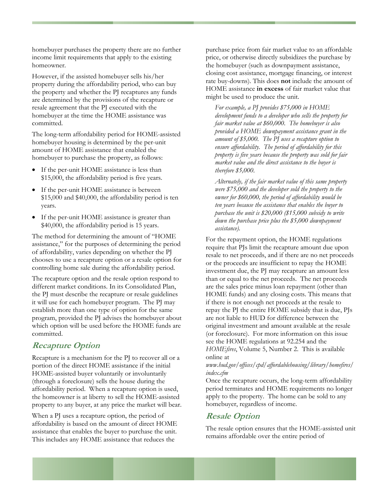homebuyer purchases the property there are no further income limit requirements that apply to the existing homeowner.

However, if the assisted homebuyer sells his/her property during the affordability period, who can buy the property and whether the PJ recaptures any funds are determined by the provisions of the recapture or resale agreement that the PJ executed with the homebuyer at the time the HOME assistance was committed.

The long-term affordability period for HOME-assisted homebuyer housing is determined by the per-unit amount of HOME assistance that enabled the homebuyer to purchase the property, as follows:

- If the per-unit HOME assistance is less than \$15,000, the affordability period is five years.
- If the per-unit HOME assistance is between \$15,000 and \$40,000, the affordability period is ten years.
- If the per-unit HOME assistance is greater than \$40,000, the affordability period is 15 years.

The method for determining the amount of "HOME assistance," for the purposes of determining the period of affordability, varies depending on whether the PJ chooses to use a recapture option or a resale option for controlling home sale during the affordability period.

The recapture option and the resale option respond to different market conditions. In its Consolidated Plan, the PJ must describe the recapture or resale guidelines it will use for each homebuyer program. The PJ may establish more than one type of option for the same program, provided the PJ advises the homebuyer about which option will be used before the HOME funds are committed.

## **Recapture Option**

Recapture is a mechanism for the PJ to recover all or a portion of the direct HOME assistance if the initial HOME-assisted buyer voluntarily or involuntarily (through a foreclosure) sells the house during the affordability period. When a recapture option is used, the homeowner is at liberty to sell the HOME-assisted property to any buyer, at any price the market will bear.

When a PJ uses a recapture option, the period of affordability is based on the amount of direct HOME assistance that enables the buyer to purchase the unit. This includes any HOME assistance that reduces the

purchase price from fair market value to an affordable price, or otherwise directly subsidizes the purchase by the homebuyer (such as downpayment assistance, closing cost assistance, mortgage financing, or interest rate buy-downs). This does **not** include the amount of HOME assistance **in excess** of fair market value that might be used to produce the unit.

*For example, a PJ provides \$75,000 in HOME development funds to a developer who sells the property for fair market value at \$60,000. The homebuyer is also provided a HOME downpayment assistance grant in the amount of \$5,000. The PJ uses a recapture option to ensure affordability. The period of affordability for this property is five years because the property was sold for fair market value and the direct assistance to the buyer is therefore \$5,000.* 

*Alternately, if the fair market value of this same property were \$75,000 and the developer sold the property to the owner for \$60,000, the period of affordability would be ten years because the assistance that enables the buyer to purchase the unit is \$20,000 (\$15,000 subsidy to write down the purchase price plus the \$5,000 downpayment assistance).* 

For the repayment option, the HOME regulations require that PJs limit the recapture amount due upon resale to net proceeds, and if there are no net proceeds or the proceeds are insufficient to repay the HOME investment due, the PJ may recapture an amount less than or equal to the net proceeds. The net proceeds are the sales price minus loan repayment (other than HOME funds) and any closing costs. This means that if there is not enough net proceeds at the resale to repay the PJ the entire HOME subsidy that is due, PJs are not liable to HUD for difference between the original investment and amount available at the resale (or foreclosure). For more information on this issue see the HOME regulations at 92.254 and the *HOMEfires*, Volume 5, Number 2. This is available online at

*[www.hud.gov/offices/cpd/affordablehousing/library/homefires/](http://www.hud.gov/offices/cpd/affordablehousing/library/homefires/) index.cfm*

Once the recapture occurs, the long-term affordability period terminates and HOME requirements no longer apply to the property. The home can be sold to any homebuyer, regardless of income.

## **Resale Option**

The resale option ensures that the HOME-assisted unit remains affordable over the entire period of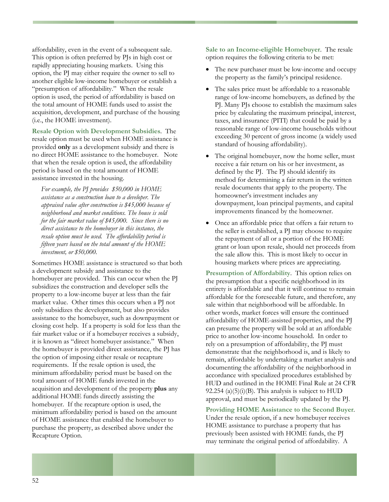affordability, even in the event of a subsequent sale. This option is often preferred by PJs in high cost or rapidly appreciating housing markets. Using this option, the PJ may either require the owner to sell to another eligible low-income homebuyer or establish a "presumption of affordability." When the resale option is used, the period of affordability is based on the total amount of HOME funds used to assist the acquisition, development, and purchase of the housing (i.e., the HOME investment).

**Resale Option with Development Subsidies**. The resale option must be used when HOME assistance is provided **only** as a development subsidy and there is no direct HOME assistance to the homebuyer. Note that when the resale option is used, the affordability period is based on the total amount of HOME assistance invested in the housing.

*For example, the PJ provides \$50,000 in HOME assistance as a construction loan to a developer. The appraised value after construction is \$45,000 because of neighborhood and market conditions. The house is sold for the fair market value of \$45,000. Since there is no direct assistance to the homebuyer in this instance, the resale option must be used. The affordability period is fifteen years based on the total amount of the HOME investment, or \$50,000.* 

Sometimes HOME assistance is structured so that both a development subsidy and assistance to the homebuyer are provided. This can occur when the PJ subsidizes the construction and developer sells the property to a low-income buyer at less than the fair market value. Other times this occurs when a PJ not only subsidizes the development, but also provides assistance to the homebuyer, such as downpayment or closing cost help. If a property is sold for less than the fair market value or if a homebuyer receives a subsidy, it is known as "direct homebuyer assistance." When the homebuyer is provided direct assistance, the PJ has the option of imposing either resale or recapture requirements. If the resale option is used, the minimum affordability period must be based on the total amount of HOME funds invested in the acquisition and development of the property **plus** any additional HOME funds directly assisting the homebuyer. If the recapture option is used, the minimum affordability period is based on the amount of HOME assistance that enabled the homebuyer to purchase the property, as described above under the Recapture Option.

**Sale to an Income-eligible Homebuyer**. The resale option requires the following criteria to be met:

- The new purchaser must be low-income and occupy the property as the family's principal residence.
- The sales price must be affordable to a reasonable range of low-income homebuyers, as defined by the PJ. Many PJs choose to establish the maximum sales price by calculating the maximum principal, interest, taxes, and insurance (PITI) that could be paid by a reasonable range of low-income households without exceeding 30 percent of gross income (a widely used standard of housing affordability).
- The original homebuyer, now the home seller, must receive a fair return on his or her investment, as defined by the PJ. The PJ should identify its method for determining a fair return in the written resale documents that apply to the property. The homeowner's investment includes any downpayment, loan principal payments, and capital improvements financed by the homeowner.
- Once an affordable price that offers a fair return to the seller is established, a PJ may choose to require the repayment of all or a portion of the HOME grant or loan upon resale, should net proceeds from the sale allow this. This is most likely to occur in housing markets where prices are appreciating.

**Presumption of Affordability**. This option relies on the presumption that a specific neighborhood in its entirety is affordable and that it will continue to remain affordable for the foreseeable future, and therefore, any sale within that neighborhood will be affordable. In other words, market forces will ensure the continued affordability of HOME-assisted properties, and the PJ can presume the property will be sold at an affordable price to another low-income household. In order to rely on a presumption of affordability, the PJ must demonstrate that the neighborhood is, and is likely to remain, affordable by undertaking a market analysis and documenting the affordability of the neighborhood in accordance with specialized procedures established by HUD and outlined in the HOME Final Rule at 24 CFR 92.254 (a) $(5)(i)(B)$ . This analysis is subject to HUD approval, and must be periodically updated by the PJ.

**Providing HOME Assistance to the Second Buyer**. Under the resale option, if a new homebuyer receives HOME assistance to purchase a property that has previously been assisted with HOME funds, the PJ may terminate the original period of affordability. A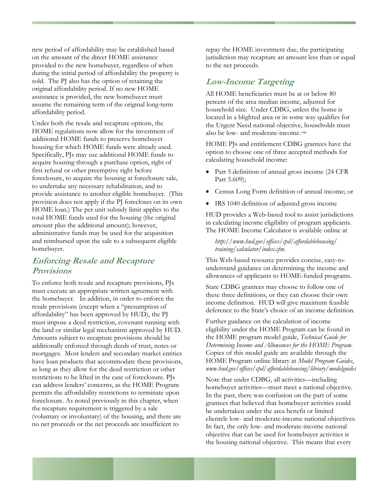new period of affordability may be established based on the amount of the direct HOME assistance provided to the new homebuyer, regardless of when during the initial period of affordability the property is sold. The PJ also has the option of retaining the original affordability period. If no new HOME assistance is provided, the new homebuyer must assume the remaining term of the original long-term affordability period.

Under both the resale and recapture options, the HOME regulations now allow for the investment of additional HOME funds to preserve homebuyer housing for which HOME funds were already used. Specifically, PJs may use additional HOME funds to acquire housing through a purchase option, right of first refusal or other preemptive right before foreclosure, to acquire the housing at foreclosure sale, to undertake any necessary rehabilitation, and to provide assistance to another eligible homebuyer. (This provision does not apply if the PJ forecloses on its own HOME loan.) The per unit subsidy limit applies to the total HOME funds used for the housing (the original amount plus the additional amount); however, administrative funds may be used for the acquisition and reimbursed upon the sale to a subsequent eligible homebuyer.

### **Enforcing Resale and Recapture Provisions**

To enforce both resale and recapture provisions, PJs must execute an appropriate written agreement with the homebuyer. In addition, in order to enforce the resale provisions (except when a "presumption of affordability" has been approved by HUD), the PJ must impose a deed restriction, covenant running with the land or similar legal mechanism approved by HUD. Amounts subject to recapture provisions should be additionally enforced through deeds of trust, notes or mortgages. Most lenders and secondary market entities have loan products that accommodate these provisions, as long as they allow for the deed restriction or other restrictions to be lifted in the case of foreclosure. PJs can address lenders' concerns, as the HOME Program permits the affordability restrictions to terminate upon foreclosure. As noted previously in this chapter, when the recapture requirement is triggered by a sale (voluntary or involuntary) of the housing, and there are no net proceeds or the net proceeds are insufficient to

repay the HOME investment due, the participating jurisdiction may recapture an amount less than or equal to the net proceeds.

## **Low-Income Targeting**

All HOME beneficiaries must be at or below 80 percent of the area median income, adjusted for household size. Under CDBG, unless the home is located in a blighted area or in some way qualifies for the Urgent Need national objective, households must also be low- and moderate-income.[viii](#page-96-1)

HOME PJs and entitlement CDBG grantees have the option to choose one of three accepted methods for calculating household income:

- Part 5 definition of annual gross income (24 CFR Part 5.609);
- Census Long Form definition of annual income; or
- IRS 1040 definition of adjusted gross income

HUD provides a Web-based tool to assist jurisdictions in calculating income eligibility of program applicants. The HOME Income Calculator is available online at

*http://www.hud.gov/offices/cpd/affordablehousing/ training/calculator/index.cfm.* 

This Web-based resource provides concise, easy-tounderstand guidance on determining the income and allowances of applicants to HOME-funded programs.

State CDBG grantees may choose to follow one of these three definitions, or they can choose their own income definition. HUD will give maximum feasible deference to the State's choice of an income definition.

Further guidance on the calculation of income eligibility under the HOME Program can be found in the HOME program model guide, *Technical Guide for Determining Income and Allowances for the HOME Program*. Copies of this model guide are available through the HOME Program online library at *Model Program Guides*, *[www.hud.gov/offices/cpd/affordablehousing/library/modelguides](http://www.hud.gov/offices/cpd/affordablehousing/library/modelguides)*

Note that under CDBG, all activities—including homebuyer activities—must meet a national objective. In the past, there was confusion on the part of some grantees that believed that homebuyer activities could be undertaken under the area benefit or limited clientele low- and moderate-income national objectives. In fact, the only low- and moderate-income national objective that can be used for homebuyer activities is the housing national objective. This means that every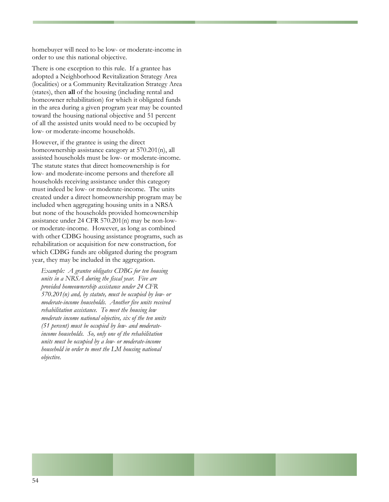homebuyer will need to be low- or moderate-income in order to use this national objective.

There is one exception to this rule. If a grantee has adopted a Neighborhood Revitalization Strategy Area (localities) or a Community Revitalization Strategy Area (states), then **all** of the housing (including rental and homeowner rehabilitation) for which it obligated funds in the area during a given program year may be counted toward the housing national objective and 51 percent of all the assisted units would need to be occupied by low- or moderate-income households.

However, if the grantee is using the direct homeownership assistance category at 570.201(n), all assisted households must be low- or moderate-income. The statute states that direct homeownership is for low- and moderate-income persons and therefore all households receiving assistance under this category must indeed be low- or moderate-income. The units created under a direct homeownership program may be included when aggregating housing units in a NRSA but none of the households provided homeownership assistance under 24 CFR 570.201(n) may be non-lowor moderate-income. However, as long as combined with other CDBG housing assistance programs, such as rehabilitation or acquisition for new construction, for which CDBG funds are obligated during the program year, they may be included in the aggregation.

*Example: A grantee obligates CDBG for ten housing units in a NRSA during the fiscal year. Five are provided homeownership assistance under 24 CFR 570.201(n) and, by statute, must be occupied by low- or moderate-income households. Another five units received rehabilitation assistance. To meet the housing low moderate income national objective, six of the ten units (51 percent) must be occupied by low- and moderateincome households. So, only one of the rehabilitation units must be occupied by a low- or moderate-income household in order to meet the LM housing national objective.*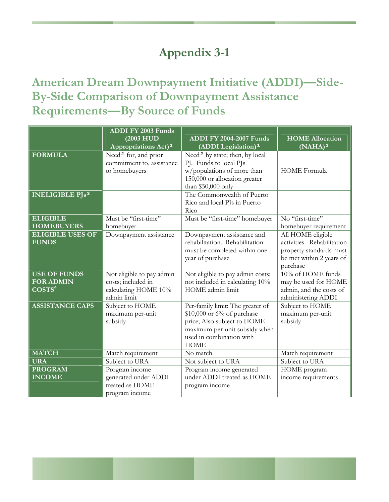# **Appendix 3-1**

# **American Dream Downpayment Initiative (ADDI)—Side-By-Side Comparison of Downpayment Assistance Requirements—By Source of Funds**

|                                                               | <b>ADDI FY 2003 Funds</b><br>(2003 HUD<br>Appropriations Act) <sup>1</sup>             | <b>ADDI FY 2004-2007 Funds</b><br>(ADDI Legislation) <sup>1</sup>                                                                                                          | <b>HOME Allocation</b><br>$(NAHA)^1$                                                                               |
|---------------------------------------------------------------|----------------------------------------------------------------------------------------|----------------------------------------------------------------------------------------------------------------------------------------------------------------------------|--------------------------------------------------------------------------------------------------------------------|
| <b>FORMULA</b>                                                | Need <sup>2</sup> for, and prior<br>commitment to, assistance<br>to homebuyers         | Need <sup>2</sup> by state; then, by local<br>PJ. Funds to local PJs<br>w/populations of more than<br>150,000 or allocation greater<br>than \$50,000 only                  | HOME Formula                                                                                                       |
| <b>INELIGIBLE PJs<sup>3</sup></b>                             |                                                                                        | The Commonwealth of Puerto<br>Rico and local PJs in Puerto<br>Rico                                                                                                         |                                                                                                                    |
| <b>ELIGIBLE</b><br><b>HOMEBUYERS</b>                          | Must be "first-time"<br>homebuyer                                                      | Must be "first-time" homebuyer                                                                                                                                             | No "first-time"<br>homebuyer requirement                                                                           |
| <b>ELIGIBLE USES OF</b><br><b>FUNDS</b>                       | Downpayment assistance                                                                 | Downpayment assistance and<br>rehabilitation. Rehabilitation<br>must be completed within one<br>year of purchase                                                           | All HOME eligible<br>activities. Rehabilitation<br>property standards must<br>be met within 2 years of<br>purchase |
| <b>USE OF FUNDS</b><br><b>FOR ADMIN</b><br>COSTS <sup>4</sup> | Not eligible to pay admin<br>costs; included in<br>calculating HOME 10%<br>admin limit | Not eligible to pay admin costs;<br>not included in calculating 10%<br>HOME admin limit                                                                                    | 10% of HOME funds<br>may be used for HOME<br>admin, and the costs of<br>administering ADDI                         |
| <b>ASSISTANCE CAPS</b>                                        | Subject to HOME<br>maximum per-unit<br>subsidy                                         | Per-family limit: The greater of<br>$$10,000$ or 6% of purchase<br>price; Also subject to HOME<br>maximum per-unit subsidy when<br>used in combination with<br><b>HOME</b> | Subject to HOME<br>maximum per-unit<br>subsidy                                                                     |
| <b>MATCH</b>                                                  | Match requirement                                                                      | No match                                                                                                                                                                   | Match requirement                                                                                                  |
| <b>URA</b>                                                    | Subject to URA                                                                         | Not subject to URA                                                                                                                                                         | Subject to URA                                                                                                     |
| <b>PROGRAM</b><br><b>INCOME</b>                               | Program income<br>generated under ADDI<br>treated as HOME<br>program income            | Program income generated<br>under ADDI treated as HOME<br>program income                                                                                                   | HOME program<br>income requirements                                                                                |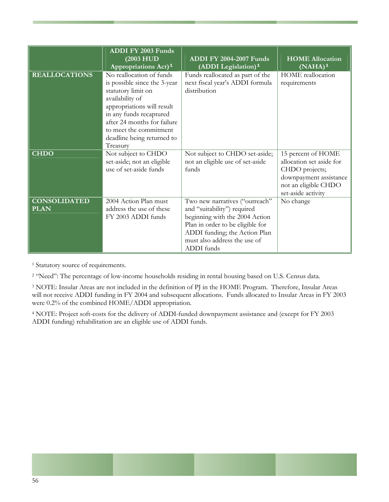|                                    | <b>ADDI FY 2003 Funds</b><br>(2003 HUD<br>Appropriations Act) <sup>1</sup>                                                                                                                                                                                    | <b>ADDI FY 2004-2007 Funds</b><br>(ADDI Legislation) <sup>1</sup>                                                                                                                                                  | <b>HOME Allocation</b><br>$(NAHA)^1$                                                                                                     |
|------------------------------------|---------------------------------------------------------------------------------------------------------------------------------------------------------------------------------------------------------------------------------------------------------------|--------------------------------------------------------------------------------------------------------------------------------------------------------------------------------------------------------------------|------------------------------------------------------------------------------------------------------------------------------------------|
| <b>REALLOCATIONS</b>               | No reallocation of funds<br>is possible since the 3-year<br>statutory limit on<br>availability of<br>appropriations will result<br>in any funds recaptured<br>after 24 months for failure<br>to meet the commitment<br>deadline being returned to<br>Treasury | Funds reallocated as part of the<br>next fiscal year's ADDI formula<br>distribution                                                                                                                                | HOME reallocation<br>requirements                                                                                                        |
| <b>CHDO</b>                        | Not subject to CHDO<br>set-aside; not an eligible<br>use of set-aside funds                                                                                                                                                                                   | Not subject to CHDO set-aside;<br>not an eligible use of set-aside<br>funds                                                                                                                                        | 15 percent of HOME<br>allocation set aside for<br>CHDO projects;<br>downpayment assistance<br>not an eligible CHDO<br>set-aside activity |
| <b>CONSOLIDATED</b><br><b>PLAN</b> | 2004 Action Plan must<br>address the use of these<br>FY 2003 ADDI funds                                                                                                                                                                                       | Two new narratives ("outreach"<br>and "suitability") required<br>beginning with the 2004 Action<br>Plan in order to be eligible for<br>ADDI funding; the Action Plan<br>must also address the use of<br>ADDI funds | No change                                                                                                                                |

<sup>1</sup> Statutory source of requirements.

2 "Need": The percentage of low-income households residing in rental housing based on U.S. Census data.

3 NOTE: Insular Areas are not included in the definition of PJ in the HOME Program. Therefore, Insular Areas will not receive ADDI funding in FY 2004 and subsequent allocations. Funds allocated to Insular Areas in FY 2003 were 0.2% of the combined HOME/ADDI appropriation.

4 NOTE: Project soft-costs for the delivery of ADDI-funded downpayment assistance and (except for FY 2003 ADDI funding) rehabilitation are an eligible use of ADDI funds.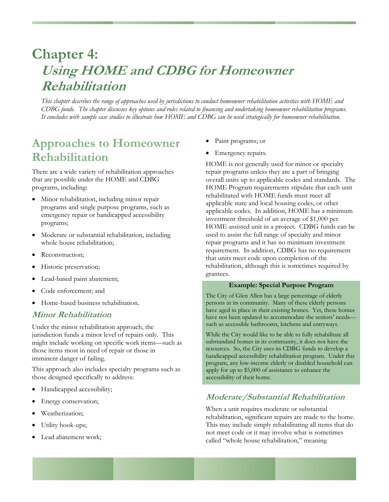# **Chapter 4: Using HOME and CDBG for Homeowner Rehabilitation**

*This chapter describes the range of approaches used by jurisdictions to conduct homeowner rehabilitation activities with HOME and CDBG funds. The chapter discusses key options and rules related to financing and undertaking homeowner rehabilitation programs. It concludes with sample case studies to illustrate how HOME and CDBG can be used strategically for homeowner rehabilitation.* 

# **Approaches to Homeowner Rehabilitation**

There are a wide variety of rehabilitation approaches that are possible under the HOME and CDBG programs, including:

- Minor rehabilitation, including minor repair programs and single purpose programs, such as emergency repair or handicapped accessibility programs;
- Moderate or substantial rehabilitation, including whole house rehabilitation;
- Reconstruction;
- Historic preservation;
- Lead-based paint abatement;
- Code enforcement; and
- Home-based business rehabilitation.

### **Minor Rehabilitation**

Under the minor rehabilitation approach, the jurisdiction funds a minor level of repairs only. This might include working on specific work items—such as those items most in need of repair or those in imminent danger of failing.

This approach also includes specialty programs such as those designed specifically to address:

- Handicapped accessibility;
- Energy conservation;
- Weatherization;
- Utility hook-ups;
- Lead abatement work;
- Paint programs; or
- Emergency repairs.

HOME is not generally used for minor or specialty repair programs unless they are a part of bringing overall units up to applicable codes and standards. The HOME Program requirements stipulate that each unit rehabilitated with HOME funds must meet all applicable state and local housing codes, or other applicable codes. In addition, HOME has a minimum investment threshold of an average of \$1,000 per HOME-assisted unit in a project. CDBG funds can be used to assist the full range of specialty and minor repair programs and it has no minimum investment requirement. In addition, CDBG has no requirement that units meet code upon completion of the rehabilitation, although this is sometimes required by grantees.

#### **Example: Special Purpose Program**

The City of Glen Allen has a large percentage of elderly persons in its community. Many of these elderly persons have aged in place in their existing homes. Yet, these homes have not been updated to accommodate the seniors' needs such as accessible bathrooms, kitchens and entryways.

While the City would like to be able to fully rehabilitate all substandard homes in its community, it does not have the resources. So, the City uses its CDBG funds to develop a handicapped accessibility rehabilitation program. Under this program, any low-income elderly or disabled household can apply for up to \$5,000 of assistance to enhance the accessibility of their home.

# **Moderate/Substantial Rehabilitation**

When a unit requires moderate or substantial rehabilitation, significant repairs are made to the home. This may include simply rehabilitating all items that do not meet code or it may involve what is sometimes called "whole house rehabilitation," meaning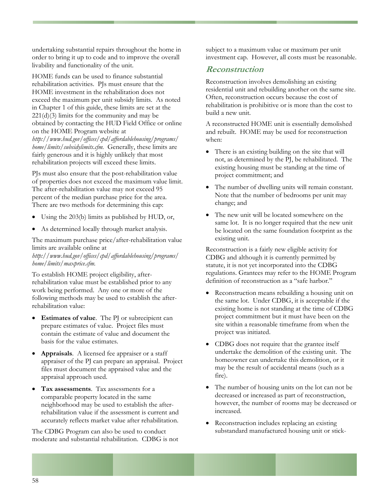undertaking substantial repairs throughout the home in order to bring it up to code and to improve the overall livability and functionality of the unit.

HOME funds can be used to finance substantial rehabilitation activities. PJs must ensure that the HOME investment in the rehabilitation does not exceed the maximum per unit subsidy limits. As noted in Chapter 1 of this guide, these limits are set at the  $221(d)(3)$  limits for the community and may be obtained by contacting the HUD Field Office or online on the HOME Program website at

*http://www.hud.gov/offices/cpd/affordablehousing/programs/ home/limits/subsidylimits.cfm.* Generally, these limits are fairly generous and it is highly unlikely that most rehabilitation projects will exceed these limits.

PJs must also ensure that the post-rehabilitation value of properties does not exceed the maximum value limit. The after-rehabilitation value may not exceed 95 percent of the median purchase price for the area. There are two methods for determining this cap:

- Using the 203(b) limits as published by HUD, or,
- As determined locally through market analysis.

The maximum purchase price/after-rehabilitation value limits are available online at

*http://www.hud.gov/offices/cpd/affordablehousing/programs/ home/limits/maxprice.cfm.*

To establish HOME project eligibility, afterrehabilitation value must be established prior to any work being performed. Any one or more of the following methods may be used to establish the afterrehabilitation value:

- **Estimates of value**. The PJ or subrecipient can prepare estimates of value. Project files must contain the estimate of value and document the basis for the value estimates.
- **Appraisals**. A licensed fee appraiser or a staff appraiser of the PJ can prepare an appraisal. Project files must document the appraised value and the appraisal approach used.
- **Tax assessments**. Tax assessments for a comparable property located in the same neighborhood may be used to establish the afterrehabilitation value if the assessment is current and accurately reflects market value after rehabilitation.

The CDBG Program can also be used to conduct moderate and substantial rehabilitation. CDBG is not subject to a maximum value or maximum per unit investment cap. However, all costs must be reasonable.

### **Reconstruction**

Reconstruction involves demolishing an existing residential unit and rebuilding another on the same site. Often, reconstruction occurs because the cost of rehabilitation is prohibitive or is more than the cost to build a new unit.

A reconstructed HOME unit is essentially demolished and rebuilt. HOME may be used for reconstruction when:

- There is an existing building on the site that will not, as determined by the PJ, be rehabilitated. The existing housing must be standing at the time of project commitment; and
- The number of dwelling units will remain constant. Note that the number of bedrooms per unit may change; and
- The new unit will be located somewhere on the same lot. It is no longer required that the new unit be located on the same foundation footprint as the existing unit.

Reconstruction is a fairly new eligible activity for CDBG and although it is currently permitted by statute, it is not yet incorporated into the CDBG regulations. Grantees may refer to the HOME Program definition of reconstruction as a "safe harbor."

- Reconstruction means rebuilding a housing unit on the same lot. Under CDBG, it is acceptable if the existing home is not standing at the time of CDBG project commitment but it must have been on the site within a reasonable timeframe from when the project was initiated.
- CDBG does not require that the grantee itself undertake the demolition of the existing unit. The homeowner can undertake this demolition, or it may be the result of accidental means (such as a fire).
- The number of housing units on the lot can not be decreased or increased as part of reconstruction, however, the number of rooms may be decreased or increased.
- Reconstruction includes replacing an existing substandard manufactured housing unit or stick-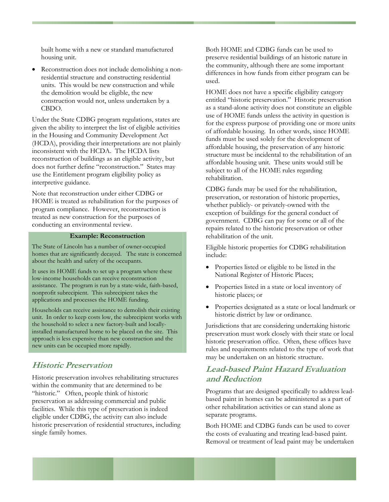built home with a new or standard manufactured housing unit.

• Reconstruction does not include demolishing a nonresidential structure and constructing residential units. This would be new construction and while the demolition would be eligible, the new construction would not, unless undertaken by a CBDO.

Under the State CDBG program regulations, states are given the ability to interpret the list of eligible activities in the Housing and Community Development Act (HCDA), providing their interpretations are not plainly inconsistent with the HCDA. The HCDA lists reconstruction of buildings as an eligible activity, but does not further define "reconstruction." States may use the Entitlement program eligibility policy as interpretive guidance.

Note that reconstruction under either CDBG or HOME is treated as rehabilitation for the purposes of program compliance. However, reconstruction is treated as new construction for the purposes of conducting an environmental review.

#### **Example: Reconstruction**

The State of Lincoln has a number of owner-occupied homes that are significantly decayed. The state is concerned about the health and safety of the occupants.

It uses its HOME funds to set up a program where these low-income households can receive reconstruction assistance. The program is run by a state-wide, faith-based, nonprofit subrecipient. This subrecipient takes the applications and processes the HOME funding.

Households can receive assistance to demolish their existing unit. In order to keep costs low, the subrecipient works with the household to select a new factory-built and locallyinstalled manufactured home to be placed on the site. This approach is less expensive than new construction and the new units can be occupied more rapidly.

### **Historic Preservation**

Historic preservation involves rehabilitating structures within the community that are determined to be "historic." Often, people think of historic preservation as addressing commercial and public facilities. While this type of preservation is indeed eligible under CDBG, the activity can also include historic preservation of residential structures, including single family homes.

Both HOME and CDBG funds can be used to preserve residential buildings of an historic nature in the community, although there are some important differences in how funds from either program can be used.

HOME does not have a specific eligibility category entitled "historic preservation." Historic preservation as a stand-alone activity does not constitute an eligible use of HOME funds unless the activity in question is for the express purpose of providing one or more units of affordable housing. In other words, since HOME funds must be used solely for the development of affordable housing, the preservation of any historic structure must be incidental to the rehabilitation of an affordable housing unit. These units would still be subject to all of the HOME rules regarding rehabilitation.

CDBG funds may be used for the rehabilitation, preservation, or restoration of historic properties, whether publicly- or privately-owned with the exception of buildings for the general conduct of government. CDBG can pay for some or all of the repairs related to the historic preservation or other rehabilitation of the unit.

Eligible historic properties for CDBG rehabilitation include:

- Properties listed or eligible to be listed in the National Register of Historic Places;
- Properties listed in a state or local inventory of historic places; or
- Properties designated as a state or local landmark or historic district by law or ordinance.

Jurisdictions that are considering undertaking historic preservation must work closely with their state or local historic preservation office. Often, these offices have rules and requirements related to the type of work that may be undertaken on an historic structure.

## **Lead-based Paint Hazard Evaluation and Reduction**

Programs that are designed specifically to address leadbased paint in homes can be administered as a part of other rehabilitation activities or can stand alone as separate programs.

Both HOME and CDBG funds can be used to cover the costs of evaluating and treating lead-based paint. Removal or treatment of lead paint may be undertaken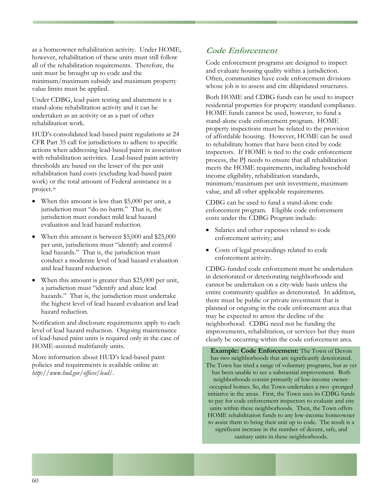as a homeowner rehabilitation activity. Under HOME, however, rehabilitation of these units must still follow all of the rehabilitation requirements. Therefore, the unit must be brought up to code and the minimum/maximum subsidy and maximum property value limits must be applied.

Under CDBG, lead paint testing and abatement is a stand-alone rehabilitation activity and it can be undertaken as an activity or as a part of other rehabilitation work.

HUD's consolidated lead-based paint regulations at 24 CFR Part 35 call for jurisdictions to adhere to specific actions when addressing lead-based paint in association with rehabilitation activities. Lead-based paint activity thresholds are based on the lesser of the per unit rehabilitation hard costs (excluding lead-based paint work) or the total amount of Federal assistance in a project.[ix](#page-96-2)

- When this amount is less than \$5,000 per unit, a jurisdiction must "do no harm." That is, the jurisdiction must conduct mild lead hazard evaluation and lead hazard reduction.
- When this amount is between \$5,000 and \$25,000 per unit, jurisdictions must "identify and control lead hazards." That is, the jurisdiction must conduct a moderate level of lead hazard evaluation and lead hazard reduction.
- When this amount is greater than \$25,000 per unit, a jurisdiction must "identify and abate lead hazards." That is, the jurisdiction must undertake the highest level of lead hazard evaluation and lead hazard reduction.

Notification and disclosure requirements apply to each level of lead hazard reduction. Ongoing maintenance of lead-based paint units is required only in the case of HOME-assisted multifamily units.

More information about HUD's lead-based paint policies and requirements is available online at: *http://www.hud.gov/offices/lead/*.

# **Code Enforcement**

Code enforcement programs are designed to inspect and evaluate housing quality within a jurisdiction. Often, communities have code enforcement divisions whose job is to assess and cite dilapidated structures.

Both HOME and CDBG funds can be used to inspect residential properties for property standard compliance. HOME funds cannot be used, however, to fund a stand-alone code enforcement program. HOME property inspections must be related to the provision of affordable housing. However, HOME can be used to rehabilitate homes that have been cited by code inspectors. If HOME is tied to the code enforcement process, the PJ needs to ensure that all rehabilitation meets the HOME requirements, including household income eligibility, rehabilitation standards, minimum/maximum per unit investment, maximum value, and all other applicable requirements.

CDBG can be used to fund a stand-alone code enforcement program. Eligible code enforcement costs under the CDBG Program include:

- Salaries and other expenses related to code enforcement activity; and
- Costs of legal proceedings related to code enforcement activity.

CDBG-funded code enforcement must be undertaken in deteriorated or deteriorating neighborhoods and cannot be undertaken on a city-wide basis unless the entire community qualifies as deteriorated. In addition, there must be public or private investment that is planned or ongoing in the code enforcement area that may be expected to arrest the decline of the neighborhood. CDBG need not be funding the improvements, rehabilitation, or services but they must clearly be occurring within the code enforcement area.

**Example: Code Enforcement:** The Town of Devon has two neighborhoods that are significantly deteriorated. The Town has tried a range of voluntary programs, but as yet has been unable to see a substantial improvement. Both neighborhoods consist primarily of low-income owneroccupied homes. So, the Town undertakes a two -pronged initiative in the areas. First, the Town uses its CDBG funds to pay for code enforcement inspectors to evaluate and cite units within these neighborhoods. Then, the Town offers HOME rehabilitation funds to any low-income homeowner to assist them to bring their unit up to code. The result is a significant increase in the number of decent, safe, and sanitary units in these neighborhoods.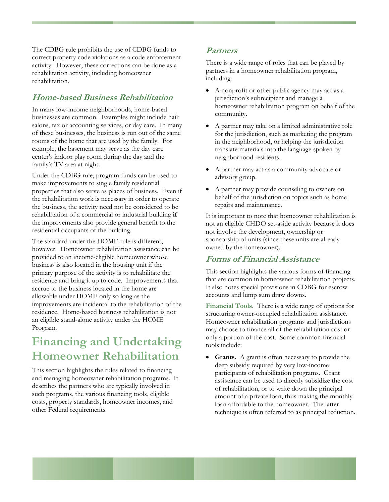The CDBG rule prohibits the use of CDBG funds to correct property code violations as a code enforcement activity. However, these corrections can be done as a rehabilitation activity, including homeowner rehabilitation.

# **Home-based Business Rehabilitation**

In many low-income neighborhoods, home-based businesses are common. Examples might include hair salons, tax or accounting services, or day care. In many of these businesses, the business is run out of the same rooms of the home that are used by the family. For example, the basement may serve as the day care center's indoor play room during the day and the family's TV area at night.

Under the CDBG rule, program funds can be used to make improvements to single family residential properties that also serve as places of business. Even if the rehabilitation work is necessary in order to operate the business, the activity need not be considered to be rehabilitation of a commercial or industrial building **if** the improvements also provide general benefit to the residential occupants of the building.

The standard under the HOME rule is different, however. Homeowner rehabilitation assistance can be provided to an income-eligible homeowner whose business is also located in the housing unit if the primary purpose of the activity is to rehabilitate the residence and bring it up to code. Improvements that accrue to the business located in the home are allowable under HOME only so long as the improvements are incidental to the rehabilitation of the residence. Home-based business rehabilitation is not an eligible stand-alone activity under the HOME Program.

# **Financing and Undertaking Homeowner Rehabilitation**

This section highlights the rules related to financing and managing homeowner rehabilitation programs. It describes the partners who are typically involved in such programs, the various financing tools, eligible costs, property standards, homeowner incomes, and other Federal requirements.

## **Partners**

There is a wide range of roles that can be played by partners in a homeowner rehabilitation program, including:

- A nonprofit or other public agency may act as a jurisdiction's subrecipient and manage a homeowner rehabilitation program on behalf of the community.
- A partner may take on a limited administrative role for the jurisdiction, such as marketing the program in the neighborhood, or helping the jurisdiction translate materials into the language spoken by neighborhood residents.
- A partner may act as a community advocate or advisory group.
- A partner may provide counseling to owners on behalf of the jurisdiction on topics such as home repairs and maintenance.

It is important to note that homeowner rehabilitation is not an eligible CHDO set-aside activity because it does not involve the development, ownership or sponsorship of units (since these units are already owned by the homeowner).

## **Forms of Financial Assistance**

This section highlights the various forms of financing that are common in homeowner rehabilitation projects. It also notes special provisions in CDBG for escrow accounts and lump sum draw downs.

**Financial Tools**. There is a wide range of options for structuring owner-occupied rehabilitation assistance. Homeowner rehabilitation programs and jurisdictions may choose to finance all of the rehabilitation cost or only a portion of the cost. Some common financial tools include:

• **Grants.** A grant is often necessary to provide the deep subsidy required by very low-income participants of rehabilitation programs. Grant assistance can be used to directly subsidize the cost of rehabilitation, or to write down the principal amount of a private loan, thus making the monthly loan affordable to the homeowner. The latter technique is often referred to as principal reduction.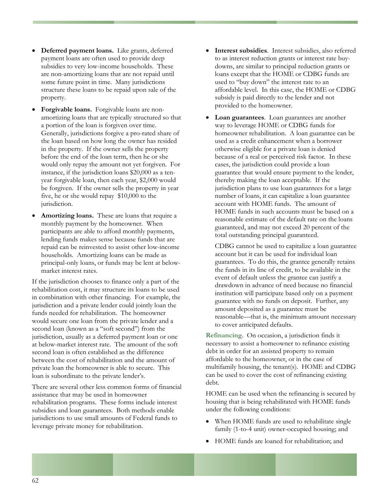- **Deferred payment loans.** Like grants, deferred payment loans are often used to provide deep subsidies to very low-income households. These are non-amortizing loans that are not repaid until some future point in time. Many jurisdictions structure these loans to be repaid upon sale of the property.
- **Forgivable loans.** Forgivable loans are nonamortizing loans that are typically structured so that a portion of the loan is forgiven over time. Generally, jurisdictions forgive a pro-rated share of the loan based on how long the owner has resided in the property. If the owner sells the property before the end of the loan term, then he or she would only repay the amount not yet forgiven. For instance, if the jurisdiction loans \$20,000 as a tenyear forgivable loan, then each year, \$2,000 would be forgiven. If the owner sells the property in year five, he or she would repay \$10,000 to the jurisdiction.
- **Amortizing loans.** These are loans that require a monthly payment by the homeowner. When participants are able to afford monthly payments, lending funds makes sense because funds that are repaid can be reinvested to assist other low-income households. Amortizing loans can be made as principal-only loans, or funds may be lent at belowmarket interest rates.

If the jurisdiction chooses to finance only a part of the rehabilitation cost, it may structure its loans to be used in combination with other financing. For example, the jurisdiction and a private lender could jointly loan the funds needed for rehabilitation. The homeowner would secure one loan from the private lender and a second loan (known as a "soft second") from the jurisdiction, usually as a deferred payment loan or one at below-market interest rate. The amount of the soft second loan is often established as the difference between the cost of rehabilitation and the amount of private loan the homeowner is able to secure. This loan is subordinate to the private lender's.

There are several other less common forms of financial assistance that may be used in homeowner rehabilitation programs. These forms include interest subsidies and loan guarantees. Both methods enable jurisdictions to use small amounts of Federal funds to leverage private money for rehabilitation.

- **Interest subsidies**. Interest subsidies, also referred to as interest reduction grants or interest rate buydowns, are similar to principal reduction grants or loans except that the HOME or CDBG funds are used to "buy down" the interest rate to an affordable level. In this case, the HOME or CDBG subsidy is paid directly to the lender and not provided to the homeowner.
- **Loan guarantees**. Loan guarantees are another way to leverage HOME or CDBG funds for homeowner rehabilitation. A loan guarantee can be used as a credit enhancement when a borrower otherwise eligible for a private loan is denied because of a real or perceived risk factor. In these cases, the jurisdiction could provide a loan guarantee that would ensure payment to the lender, thereby making the loan acceptable. If the jurisdiction plans to use loan guarantees for a large number of loans, it can capitalize a loan guarantee account with HOME funds. The amount of HOME funds in such accounts must be based on a reasonable estimate of the default rate on the loans guaranteed, and may not exceed 20 percent of the total outstanding principal guaranteed.

CDBG cannot be used to capitalize a loan guarantee account but it can be used for individual loan guarantees. To do this, the grantee generally retains the funds in its line of credit, to be available in the event of default unless the grantee can justify a drawdown in advance of need because no financial institution will participate based only on a payment guarantee with no funds on deposit. Further, any amount deposited as a guarantee must be reasonable—that is, the minimum amount necessary to cover anticipated defaults.

**Refinancing**. On occasion, a jurisdiction finds it necessary to assist a homeowner to refinance existing debt in order for an assisted property to remain affordable to the homeowner, or in the case of multifamily housing, the tenant(s). HOME and CDBG can be used to cover the cost of refinancing existing debt.

HOME can be used when the refinancing is secured by housing that is being rehabilitated with HOME funds under the following conditions:

- When HOME funds are used to rehabilitate single family (1-to-4 unit) owner-occupied housing; and
- HOME funds are loaned for rehabilitation; and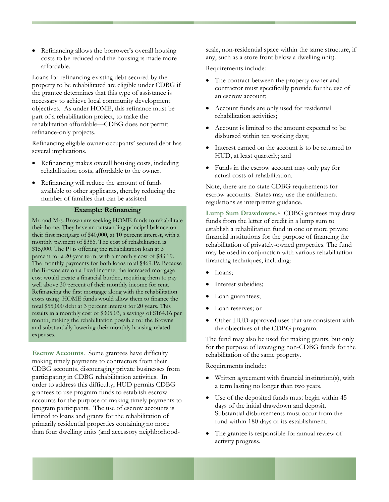• Refinancing allows the borrower's overall housing costs to be reduced and the housing is made more affordable.

Loans for refinancing existing debt secured by the property to be rehabilitated are eligible under CDBG if the grantee determines that this type of assistance is necessary to achieve local community development objectives. As under HOME, this refinance must be part of a rehabilitation project, to make the rehabilitation affordable—CDBG does not permit refinance-only projects.

Refinancing eligible owner-occupants' secured debt has several implications.

- Refinancing makes overall housing costs, including rehabilitation costs, affordable to the owner.
- Refinancing will reduce the amount of funds available to other applicants, thereby reducing the number of families that can be assisted.

#### **Example: Refinancing**

Mr. and Mrs. Brown are seeking HOME funds to rehabilitate their home. They have an outstanding principal balance on their first mortgage of \$40,000, at 10 percent interest, with a monthly payment of \$386. The cost of rehabilitation is \$15,000. The PJ is offering the rehabilitation loan at 3 percent for a 20-year term, with a monthly cost of \$83.19. The monthly payments for both loans total \$469.19. Because the Browns are on a fixed income, the increased mortgage cost would create a financial burden, requiring them to pay well above 30 percent of their monthly income for rent. Refinancing the first mortgage along with the rehabilitation costs using HOME funds would allow them to finance the total \$55,000 debt at 3 percent interest for 20 years. This results in a monthly cost of \$305.03, a savings of \$164.16 per month, making the rehabilitation possible for the Browns and substantially lowering their monthly housing-related expenses.

**Escrow Accounts**. Some grantees have difficulty making timely payments to contractors from their CDBG accounts, discouraging private businesses from participating in CDBG rehabilitation activities. In order to address this difficulty, HUD permits CDBG grantees to use program funds to establish escrow accounts for the purpose of making timely payments to program participants. The use of escrow accounts is limited to loans and grants for the rehabilitation of primarily residential properties containing no more than four dwelling units (and accessory neighborhoodscale, non-residential space within the same structure, if any, such as a store front below a dwelling unit).

Requirements include:

- The contract between the property owner and contractor must specifically provide for the use of an escrow account;
- Account funds are only used for residential rehabilitation activities;
- Account is limited to the amount expected to be disbursed within ten working days;
- Interest earned on the account is to be returned to HUD, at least quarterly; and
- Funds in the escrow account may only pay for actual costs of rehabilitation.

Note, there are no state CDBG requirements for escrow accounts. States may use the entitlement regulations as interpretive guidance.

Lump Sum Drawdowns.<sup>[x](#page-96-2)</sup> CDBG grantees may draw funds from the letter of credit in a lump sum to establish a rehabilitation fund in one or more private financial institutions for the purpose of financing the rehabilitation of privately-owned properties. The fund may be used in conjunction with various rehabilitation financing techniques, including:

- Loans;
- Interest subsidies;
- Loan guarantees;
- Loan reserves; or
- Other HUD-approved uses that are consistent with the objectives of the CDBG program.

The fund may also be used for making grants, but only for the purpose of leveraging non-CDBG funds for the rehabilitation of the same property.

Requirements include:

- Written agreement with financial institution(s), with a term lasting no longer than two years.
- Use of the deposited funds must begin within 45 days of the initial drawdown and deposit. Substantial disbursements must occur from the fund within 180 days of its establishment.
- The grantee is responsible for annual review of activity progress.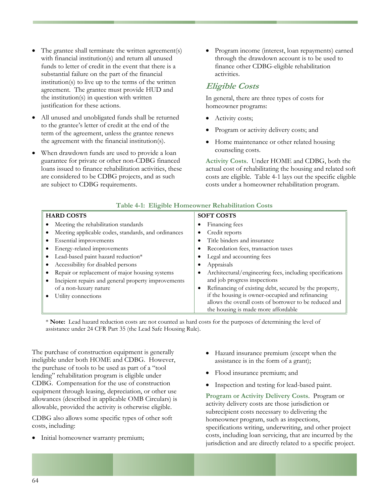- The grantee shall terminate the written agreement(s) with financial institution(s) and return all unused funds to letter of credit in the event that there is a substantial failure on the part of the financial institution(s) to live up to the terms of the written agreement. The grantee must provide HUD and the institution(s) in question with written justification for these actions.
- All unused and unobligated funds shall be returned to the grantee's letter of credit at the end of the term of the agreement, unless the grantee renews the agreement with the financial institution(s).
- When drawdown funds are used to provide a loan guarantee for private or other non-CDBG financed loans issued to finance rehabilitation activities, these are considered to be CDBG projects, and as such are subject to CDBG requirements.

• Program income (interest, loan repayments) earned through the drawdown account is to be used to finance other CDBG-eligible rehabilitation activities.

## **Eligible Costs**

In general, there are three types of costs for homeowner programs:

- Activity costs;
- Program or activity delivery costs; and
- Home maintenance or other related housing counseling costs.

**Activity Costs**. Under HOME and CDBG, both the actual cost of rehabilitating the housing and related soft costs are eligible. Table 4-1 lays out the specific eligible costs under a homeowner rehabilitation program.

| $-1$                                                |                                                                     |  |  |  |
|-----------------------------------------------------|---------------------------------------------------------------------|--|--|--|
| <b>HARD COSTS</b>                                   | <b>SOFT COSTS</b>                                                   |  |  |  |
| Meeting the rehabilitation standards                | Financing fees                                                      |  |  |  |
| Meeting applicable codes, standards, and ordinances | Credit reports<br>٠                                                 |  |  |  |
| Essential improvements                              | Title binders and insurance<br>$\bullet$                            |  |  |  |
| Energy-related improvements                         | Recordation fees, transaction taxes                                 |  |  |  |
| Lead-based paint hazard reduction*                  | Legal and accounting fees                                           |  |  |  |
| Accessibility for disabled persons                  | Appraisals                                                          |  |  |  |
| Repair or replacement of major housing systems      | Architectural/engineering fees, including specifications            |  |  |  |
| Incipient repairs and general property improvements | and job progress inspections                                        |  |  |  |
| of a non-luxury nature                              | Refinancing of existing debt, secured by the property,<br>$\bullet$ |  |  |  |
| Utility connections                                 | if the housing is owner-occupied and refinancing                    |  |  |  |
|                                                     | allows the overall costs of borrower to be reduced and              |  |  |  |
|                                                     | the housing is made more affordable                                 |  |  |  |

#### **Table 4-1: Eligible Homeowner Rehabilitation Costs**

\* **Note:** Lead hazard reduction costs are not counted as hard costs for the purposes of determining the level of assistance under 24 CFR Part 35 (the Lead Safe Housing Rule).

The purchase of construction equipment is generally ineligible under both HOME and CDBG. However, the purchase of tools to be used as part of a "tool lending" rehabilitation program is eligible under CDBG. Compensation for the use of construction equipment through leasing, depreciation, or other use allowances (described in applicable OMB Circulars) is allowable, provided the activity is otherwise eligible.

CDBG also allows some specific types of other soft costs, including:

• Initial homeowner warranty premium;

- Hazard insurance premium (except when the assistance is in the form of a grant);
- Flood insurance premium; and
- Inspection and testing for lead-based paint.

**Program or Activity Delivery Costs**. Program or activity delivery costs are those jurisdiction or subrecipient costs necessary to delivering the homeowner program, such as inspections, specifications writing, underwriting, and other project costs, including loan servicing, that are incurred by the jurisdiction and are directly related to a specific project.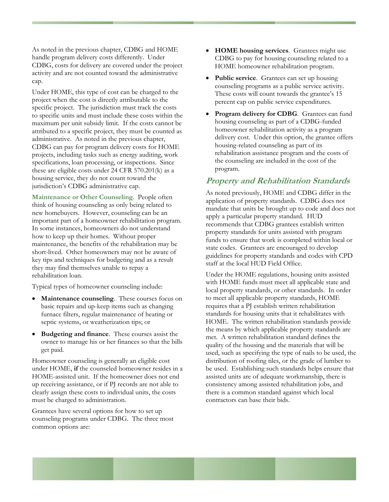As noted in the previous chapter, CDBG and HOME handle program delivery costs differently. Under CDBG, costs for delivery are covered under the project activity and are not counted toward the administrative cap.

Under HOME, this type of cost can be charged to the project when the cost is directly attributable to the specific project. The jurisdiction must track the costs to specific units and must include these costs within the maximum per unit subsidy limit. If the costs cannot be attributed to a specific project, they must be counted as administrative. As noted in the previous chapter, CDBG can pay for program delivery costs for HOME projects, including tasks such as energy auditing, work specifications, loan processing, or inspections. Since these are eligible costs under 24 CFR 570.201(k) as a housing service, they do not count toward the jurisdiction's CDBG administrative cap.

**Maintenance or Other Counseling**. People often think of housing counseling as only being related to new homebuyers. However, counseling can be an important part of a homeowner rehabilitation program. In some instances, homeowners do not understand how to keep up their homes. Without proper maintenance, the benefits of the rehabilitation may be short-lived. Other homeowners may not be aware of key tips and techniques for budgeting and as a result they may find themselves unable to repay a rehabilitation loan.

Typical types of homeowner counseling include:

- **Maintenance counseling**. These courses focus on basic repairs and up-keep items such as changing furnace filters, regular maintenance of heating or septic systems, or weatherization tips; or
- **Budgeting and finance**. These courses assist the owner to manage his or her finances so that the bills get paid.

Homeowner counseling is generally an eligible cost under HOME, **if** the counseled homeowner resides in a HOME-assisted unit. If the homeowner does not end up receiving assistance, or if PJ records are not able to clearly assign these costs to individual units, the costs must be charged to administration.

Grantees have several options for how to set up counseling programs under CDBG. The three most common options are:

- **HOME housing services**. Grantees might use CDBG to pay for housing counseling related to a HOME homeowner rehabilitation program.
- **Public service**. Grantees can set up housing counseling programs as a public service activity. These costs will count towards the grantee's 15 percent cap on public service expenditures.
- **Program delivery for CDBG**. Grantees can fund housing counseling as part of a CDBG-funded homeowner rehabilitation activity as a program delivery cost. Under this option, the grantee offers housing-related counseling as part of its rehabilitation assistance program and the costs of the counseling are included in the cost of the program.

#### **Property and Rehabilitation Standards**

As noted previously, HOME and CDBG differ in the application of property standards. CDBG does not mandate that units be brought up to code and does not apply a particular property standard. HUD recommends that CDBG grantees establish written property standards for units assisted with program funds to ensure that work is completed within local or state codes. Grantees are encouraged to develop guidelines for property standards and codes with CPD staff at the local HUD Field Office.

Under the HOME regulations, housing units assisted with HOME funds must meet all applicable state and local property standards, or other standards. In order to meet all applicable property standards, HOME requires that a PJ establish written rehabilitation standards for housing units that it rehabilitates with HOME. The written rehabilitation standards provide the means by which applicable property standards are met. A written rehabilitation standard defines the quality of the housing and the materials that will be used, such as specifying the type of nails to be used, the distribution of roofing tiles, or the grade of lumber to be used. Establishing such standards helps ensure that assisted units are of adequate workmanship, there is consistency among assisted rehabilitation jobs, and there is a common standard against which local contractors can base their bids.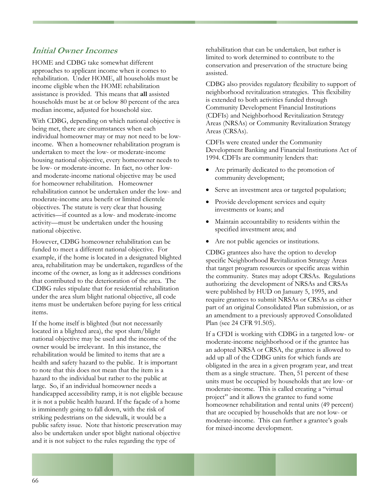## **Initial Owner Incomes**

HOME and CDBG take somewhat different approaches to applicant income when it comes to rehabilitation. Under HOME, all households must be income eligible when the HOME rehabilitation assistance is provided. This means that **all** assisted households must be at or below 80 percent of the area median income, adjusted for household size.

With CDBG, depending on which national objective is being met, there are circumstances when each individual homeowner may or may not need to be lowincome. When a homeowner rehabilitation program is undertaken to meet the low- or moderate-income housing national objective, every homeowner needs to be low- or moderate-income. In fact, no other lowand moderate-income national objective may be used for homeowner rehabilitation. Homeowner rehabilitation cannot be undertaken under the low- and moderate-income area benefit or limited clientele objectives. The statute is very clear that housing activities—if counted as a low- and moderate-income activity—must be undertaken under the housing national objective.

However, CDBG homeowner rehabilitation can be funded to meet a different national objective. For example, if the home is located in a designated blighted area, rehabilitation may be undertaken, regardless of the income of the owner, as long as it addresses conditions that contributed to the deterioration of the area. The CDBG rules stipulate that for residential rehabilitation under the area slum blight national objective, all code items must be undertaken before paying for less critical items.

If the home itself is blighted (but not necessarily located in a blighted area), the spot slum/blight national objective may be used and the income of the owner would be irrelevant. In this instance, the rehabilitation would be limited to items that are a health and safety hazard to the public. It is important to note that this does not mean that the item is a hazard to the individual but rather to the public at large. So, if an individual homeowner needs a handicapped accessibility ramp, it is not eligible because it is not a public health hazard. If the façade of a home is imminently going to fall down, with the risk of striking pedestrians on the sidewalk, it would be a public safety issue. Note that historic preservation may also be undertaken under spot blight national objective and it is not subject to the rules regarding the type of

rehabilitation that can be undertaken, but rather is limited to work determined to contribute to the conservation and preservation of the structure being assisted.

CDBG also provides regulatory flexibility to support of neighborhood revitalization strategies. This flexibility is extended to both activities funded through Community Development Financial Institutions (CDFIs) and Neighborhood Revitalization Strategy Areas (NRSAs) or Community Revitalization Strategy Areas (CRSAs).

CDFIs were created under the Community Development Banking and Financial Institutions Act of 1994. CDFIs are community lenders that:

- Are primarily dedicated to the promotion of community development;
- Serve an investment area or targeted population;
- Provide development services and equity investments or loans; and
- Maintain accountability to residents within the specified investment area; and
- Are not public agencies or institutions.

CDBG grantees also have the option to develop specific Neighborhood Revitalization Strategy Areas that target program resources or specific areas within the community. States may adopt CRSAs. Regulations authorizing the development of NRSAs and CRSAs were published by HUD on January 5, 1995, and require grantees to submit NRSAs or CRSAs as either part of an original Consolidated Plan submission, or as an amendment to a previously approved Consolidated Plan (see 24 CFR 91.505).

If a CFDI is working with CDBG in a targeted low- or moderate-income neighborhood or if the grantee has an adopted NRSA or CRSA, the grantee is allowed to add up all of the CDBG units for which funds are obligated in the area in a given program year, and treat them as a single structure. Then, 51 percent of these units must be occupied by households that are low- or moderate-income. This is called creating a "virtual project" and it allows the grantee to fund some homeowner rehabilitation and rental units (49 percent) that are occupied by households that are not low- or moderate-income. This can further a grantee's goals for mixed-income development.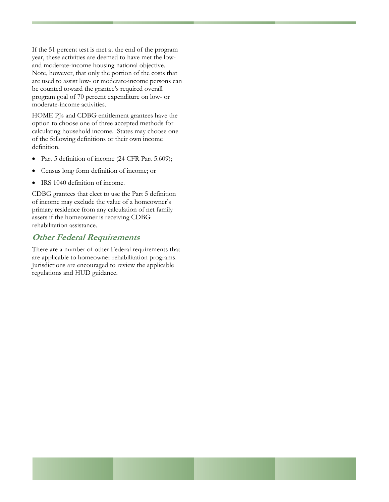If the 51 percent test is met at the end of the program year, these activities are deemed to have met the lowand moderate-income housing national objective. Note, however, that only the portion of the costs that are used to assist low- or moderate-income persons can be counted toward the grantee's required overall program goal of 70 percent expenditure on low- or moderate-income activities.

HOME PJs and CDBG entitlement grantees have the option to choose one of three accepted methods for calculating household income. States may choose one of the following definitions or their own income definition.

- Part 5 definition of income (24 CFR Part 5.609);
- Census long form definition of income; or
- IRS 1040 definition of income.

CDBG grantees that elect to use the Part 5 definition of income may exclude the value of a homeowner's primary residence from any calculation of net family assets if the homeowner is receiving CDBG rehabilitation assistance.

#### **Other Federal Requirements**

There are a number of other Federal requirements that are applicable to homeowner rehabilitation programs. Jurisdictions are encouraged to review the applicable regulations and HUD guidance.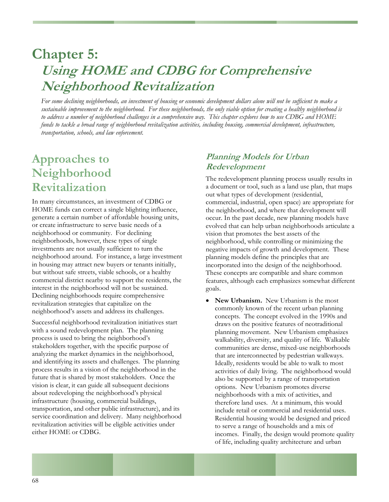# **Chapter 5: Using HOME and CDBG for Comprehensive Neighborhood Revitalization**

*For some declining neighborhoods, an investment of housing or economic development dollars alone will not be sufficient to make a sustainable improvement to the neighborhood. For these neighborhoods, the only viable option for creating a healthy neighborhood is to address a number of neighborhood challenges in a comprehensive way. This chapter explores how to use CDBG and HOME funds to tackle a broad range of neighborhood revitalization activities, including housing, commercial development, infrastructure, transportation, schools, and law enforcement.* 

### **Approaches to Neighborhood Revitalization**

In many circumstances, an investment of CDBG or HOME funds can correct a single blighting influence, generate a certain number of affordable housing units, or create infrastructure to serve basic needs of a neighborhood or community. For declining neighborhoods, however, these types of single investments are not usually sufficient to turn the neighborhood around. For instance, a large investment in housing may attract new buyers or tenants initially, but without safe streets, viable schools, or a healthy commercial district nearby to support the residents, the interest in the neighborhood will not be sustained. Declining neighborhoods require comprehensive revitalization strategies that capitalize on the neighborhood's assets and address its challenges.

Successful neighborhood revitalization initiatives start with a sound redevelopment plan. The planning process is used to bring the neighborhood's stakeholders together, with the specific purpose of analyzing the market dynamics in the neighborhood, and identifying its assets and challenges. The planning process results in a vision of the neighborhood in the future that is shared by most stakeholders. Once the vision is clear, it can guide all subsequent decisions about redeveloping the neighborhood's physical infrastructure (housing, commercial buildings, transportation, and other public infrastructure), and its service coordination and delivery. Many neighborhood revitalization activities will be eligible activities under either HOME or CDBG.

### **Planning Models for Urban Redevelopment**

The redevelopment planning process usually results in a document or tool, such as a land use plan, that maps out what types of development (residential, commercial, industrial, open space) are appropriate for the neighborhood, and where that development will occur. In the past decade, new planning models have evolved that can help urban neighborhoods articulate a vision that promotes the best assets of the neighborhood, while controlling or minimizing the negative impacts of growth and development. These planning models define the principles that are incorporated into the design of the neighborhood. These concepts are compatible and share common features, although each emphasizes somewhat different goals.

• **New Urbanism.** New Urbanism is the most commonly known of the recent urban planning concepts. The concept evolved in the 1990s and draws on the positive features of neotraditional planning movement. New Urbanism emphasizes walkability, diversity, and quality of life. Walkable communities are dense, mixed-use neighborhoods that are interconnected by pedestrian walkways. Ideally, residents would be able to walk to most activities of daily living. The neighborhood would also be supported by a range of transportation options. New Urbanism promotes diverse neighborhoods with a mix of activities, and therefore land uses. At a minimum, this would include retail or commercial and residential uses. Residential housing would be designed and priced to serve a range of households and a mix of incomes. Finally, the design would promote quality of life, including quality architecture and urban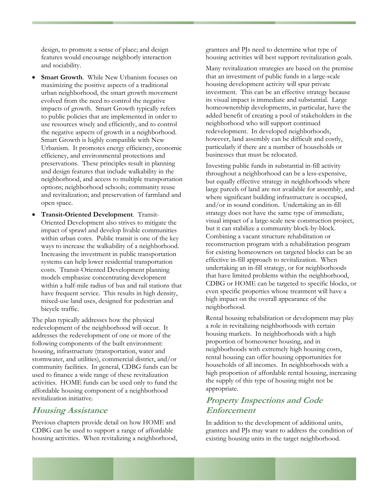design, to promote a sense of place; and design features would encourage neighborly interaction and sociability.

- **Smart Growth**. While New Urbanism focuses on maximizing the positive aspects of a traditional urban neighborhood, the smart growth movement evolved from the need to control the negative impacts of growth. Smart Growth typically refers to public policies that are implemented in order to use resources wisely and efficiently, and to control the negative aspects of growth in a neighborhood. Smart Growth is highly compatible with New Urbanism. It promotes energy efficiency, economic efficiency, and environmental protections and preservations. These principles result in planning and design features that include walkability in the neighborhood, and access to multiple transportation options; neighborhood schools; community reuse and revitalization; and preservation of farmland and open space.
- **Transit-Oriented Development**. Transit-Oriented Development also strives to mitigate the impact of sprawl and develop livable communities within urban cores. Public transit is one of the key ways to increase the walkability of a neighborhood. Increasing the investment in public transportation systems can help lower residential transportation costs. Transit-Oriented Development planning models emphasize concentrating development within a half-mile radius of bus and rail stations that have frequent service. This results in high density, mixed-use land uses, designed for pedestrian and bicycle traffic.

The plan typically addresses how the physical redevelopment of the neighborhood will occur. It addresses the redevelopment of one or more of the following components of the built environment: housing, infrastructure (transportation, water and stormwater, and utilities), commercial district, and/or community facilities. In general, CDBG funds can be used to finance a wide range of these revitalization activities. HOME funds can be used only to fund the affordable housing component of a neighborhood revitalization initiative.

#### **Housing Assistance**

Previous chapters provide detail on how HOME and CDBG can be used to support a range of affordable housing activities. When revitalizing a neighborhood, grantees and PJs need to determine what type of housing activities will best support revitalization goals.

Many revitalization strategies are based on the premise that an investment of public funds in a large-scale housing development activity will spur private investment. This can be an effective strategy because its visual impact is immediate and substantial. Large homeownership developments, in particular, have the added benefit of creating a pool of stakeholders in the neighborhood who will support continued redevelopment. In developed neighborhoods, however, land assembly can be difficult and costly, particularly if there are a number of households or businesses that must be relocated.

Investing public funds in substantial in-fill activity throughout a neighborhood can be a less-expensive, but equally effective strategy in neighborhoods where large parcels of land are not available for assembly, and where significant building infrastructure is occupied, and/or in sound condition. Undertaking an in-fill strategy does not have the same type of immediate, visual impact of a large-scale new construction project, but it can stabilize a community block-by-block. Combining a vacant structure rehabilitation or reconstruction program with a rehabilitation program for existing homeowners on targeted blocks can be an effective in-fill approach to revitalization. When undertaking an in-fill strategy, or for neighborhoods that have limited problems within the neighborhood, CDBG or HOME can be targeted to specific blocks, or even specific properties whose treatment will have a high impact on the overall appearance of the neighborhood.

Rental housing rehabilitation or development may play a role in revitalizing neighborhoods with certain housing markets. In neighborhoods with a high proportion of homeowner housing, and in neighborhoods with extremely high housing costs, rental housing can offer housing opportunities for households of all incomes. In neighborhoods with a high proportion of affordable rental housing, increasing the supply of this type of housing might not be appropriate.

### **Property Inspections and Code Enforcement**

In addition to the development of additional units, grantees and PJs may want to address the condition of existing housing units in the target neighborhood.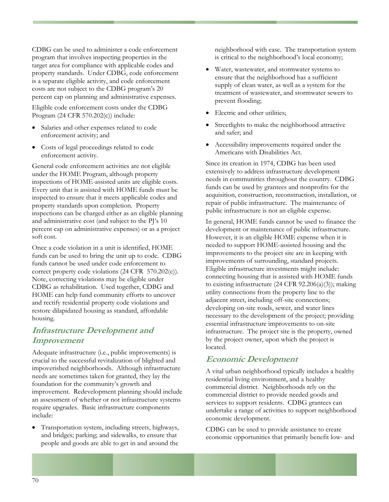CDBG can be used to administer a code enforcement program that involves inspecting properties in the target area for compliance with applicable codes and property standards. Under CDBG, code enforcement is a separate eligible activity, and code enforcement costs are not subject to the CDBG program's 20 percent cap on planning and administrative expenses.

Eligible code enforcement costs under the CDBG Program (24 CFR 570.202(c)) include:

- Salaries and other expenses related to code enforcement activity; and
- Costs of legal proceedings related to code enforcement activity.

General code enforcement activities are not eligible under the HOME Program, although property inspections of HOME-assisted units are eligible costs. Every unit that is assisted with HOME funds must be inspected to ensure that it meets applicable codes and property standards upon completion. Property inspections can be charged either as an eligible planning and administrative cost (and subject to the PJ's 10 percent cap on administrative expenses) or as a project soft cost.

Once a code violation in a unit is identified, HOME funds can be used to bring the unit up to code. CDBG funds cannot be used under code enforcement to correct property code violations (24 CFR 570.202(c)). Note, correcting violations may be eligible under CDBG as rehabilitation. Used together, CDBG and HOME can help fund community efforts to uncover and rectify residential property code violations and restore dilapidated housing as standard, affordable housing.

### **Infrastructure Development and Improvement**

Adequate infrastructure (i.e., public improvements) is crucial to the successful revitalization of blighted and impoverished neighborhoods. Although infrastructure needs are sometimes taken for granted, they lay the foundation for the community's growth and improvement. Redevelopment planning should include an assessment of whether or not infrastructure systems require upgrades. Basic infrastructure components include:

• Transportation system, including streets, highways, and bridges; parking; and sidewalks, to ensure that people and goods are able to get in and around the

neighborhood with ease. The transportation system is critical to the neighborhood's local economy;

- Water, wastewater, and stormwater systems to ensure that the neighborhood has a sufficient supply of clean water, as well as a system for the treatment of wastewater, and stormwater sewers to prevent flooding;
- Electric and other utilities;
- Streetlights to make the neighborhood attractive and safer; and
- Accessibility improvements required under the Americans with Disabilities Act.

Since its creation in 1974, CDBG has been used extensively to address infrastructure development needs in communities throughout the country. CDBG funds can be used by grantees and nonprofits for the acquisition, construction, reconstruction, installation, or repair of public infrastructure. The maintenance of public infrastructure is not an eligible expense.

In general, HOME funds cannot be used to finance the development or maintenance of public infrastructure. However, it is an eligible HOME expense when it is needed to support HOME-assisted housing and the improvements to the project site are in keeping with improvements of surrounding, standard projects. Eligible infrastructure investments might include: connecting housing that is assisted with HOME funds to existing infrastructure (24 CFR 92.206(a)(3)); making utility connections from the property line to the adjacent street, including off-site connections; developing on-site roads, sewer, and water lines necessary to the development of the project; providing essential infrastructure improvements to on-site infrastructure. The project site is the property, owned by the project owner, upon which the project is located.

### **Economic Development**

A vital urban neighborhood typically includes a healthy residential living environment, and a healthy commercial district. Neighborhoods rely on the commercial district to provide needed goods and services to support residents. CDBG grantees can undertake a range of activities to support neighborhood economic development.

CDBG can be used to provide assistance to create economic opportunities that primarily benefit low- and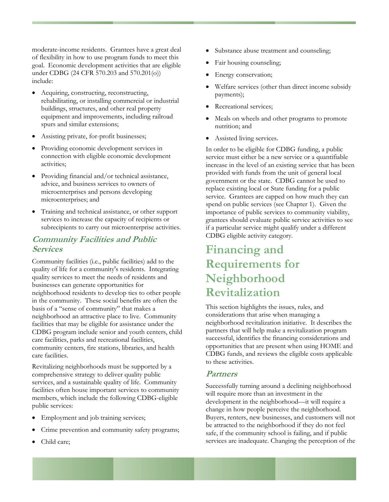moderate-income residents. Grantees have a great deal of flexibility in how to use program funds to meet this goal. Economic development activities that are eligible under CDBG (24 CFR 570.203 and 570.201(o)) include:

- Acquiring, constructing, reconstructing, rehabilitating, or installing commercial or industrial buildings, structures, and other real property equipment and improvements, including railroad spurs and similar extensions;
- Assisting private, for-profit businesses;
- Providing economic development services in connection with eligible economic development activities;
- Providing financial and/or technical assistance, advice, and business services to owners of microenterprises and persons developing microenterprises; and
- Training and technical assistance, or other support services to increase the capacity of recipients or subrecipients to carry out microenterprise activities.

### **Community Facilities and Public Services**

Community facilities (i.e., public facilities) add to the quality of life for a community's residents. Integrating quality services to meet the needs of residents and businesses can generate opportunities for neighborhood residents to develop ties to other people in the community. These social benefits are often the basis of a "sense of community" that makes a neighborhood an attractive place to live. Community facilities that may be eligible for assistance under the CDBG program include senior and youth centers, child care facilities, parks and recreational facilities, community centers, fire stations, libraries, and health care facilities.

Revitalizing neighborhoods must be supported by a comprehensive strategy to deliver quality public services, and a sustainable quality of life. Community facilities often house important services to community members, which include the following CDBG-eligible public services:

- Employment and job training services;
- Crime prevention and community safety programs;
- Substance abuse treatment and counseling;
- Fair housing counseling;
- Energy conservation;
- Welfare services (other than direct income subsidy payments);
- Recreational services;
- Meals on wheels and other programs to promote nutrition; and
- Assisted living services.

In order to be eligible for CDBG funding, a public service must either be a new service or a quantifiable increase in the level of an existing service that has been provided with funds from the unit of general local government or the state. CDBG cannot be used to replace existing local or State funding for a public service. Grantees are capped on how much they can spend on public services (see Chapter 1). Given the importance of public services to community viability, grantees should evaluate public service activities to see if a particular service might qualify under a different CDBG eligible activity category.

### **Financing and Requirements for Neighborhood Revitalization**

This section highlights the issues, rules, and considerations that arise when managing a neighborhood revitalization initiative. It describes the partners that will help make a revitalization program successful, identifies the financing considerations and opportunities that are present when using HOME and CDBG funds, and reviews the eligible costs applicable to these activities.

#### **Partners**

Successfully turning around a declining neighborhood will require more than an investment in the development in the neighborhood—it will require a change in how people perceive the neighborhood. Buyers, renters, new businesses, and customers will not be attracted to the neighborhood if they do not feel safe, if the community school is failing, and if public services are inadequate. Changing the perception of the

Child care;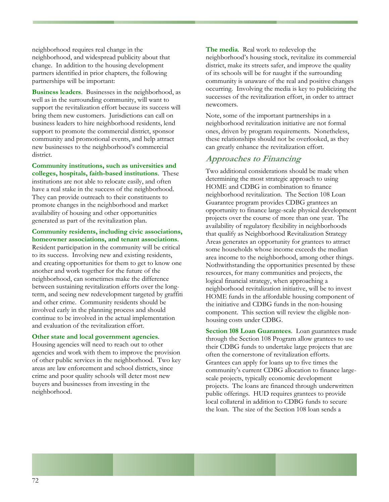neighborhood requires real change in the neighborhood, and widespread publicity about that change. In addition to the housing development partners identified in prior chapters, the following partnerships will be important:

**Business leaders**. Businesses in the neighborhood, as well as in the surrounding community, will want to support the revitalization effort because its success will bring them new customers. Jurisdictions can call on business leaders to hire neighborhood residents, lend support to promote the commercial district, sponsor community and promotional events, and help attract new businesses to the neighborhood's commercial district.

**Community institutions, such as universities and colleges, hospitals, faith-based institutions**. These institutions are not able to relocate easily, and often have a real stake in the success of the neighborhood. They can provide outreach to their constituents to promote changes in the neighborhood and market availability of housing and other opportunities generated as part of the revitalization plan.

#### **Community residents, including civic associations, homeowner associations, and tenant associations**.

Resident participation in the community will be critical to its success. Involving new and existing residents, and creating opportunities for them to get to know one another and work together for the future of the neighborhood, can sometimes make the difference between sustaining revitalization efforts over the longterm, and seeing new redevelopment targeted by graffiti and other crime. Community residents should be involved early in the planning process and should continue to be involved in the actual implementation and evaluation of the revitalization effort.

#### **Other state and local government agencies**.

Housing agencies will need to reach out to other agencies and work with them to improve the provision of other public services in the neighborhood. Two key areas are law enforcement and school districts, since crime and poor quality schools will deter most new buyers and businesses from investing in the neighborhood.

**The media**. Real work to redevelop the neighborhood's housing stock, revitalize its commercial district, make its streets safer, and improve the quality of its schools will be for naught if the surrounding community is unaware of the real and positive changes occurring. Involving the media is key to publicizing the successes of the revitalization effort, in order to attract newcomers.

Note, some of the important partnerships in a neighborhood revitalization initiative are not formal ones, driven by program requirements. Nonetheless, these relationships should not be overlooked, as they can greatly enhance the revitalization effort.

#### **Approaches to Financing**

Two additional considerations should be made when determining the most strategic approach to using HOME and CDBG in combination to finance neighborhood revitalization. The Section 108 Loan Guarantee program provides CDBG grantees an opportunity to finance large-scale physical development projects over the course of more than one year. The availability of regulatory flexibility in neighborhoods that qualify as Neighborhood Revitalization Strategy Areas generates an opportunity for grantees to attract some households whose income exceeds the median area income to the neighborhood, among other things. Nothwithstanding the opportunities presented by these resources, for many communities and projects, the logical financial strategy, when approaching a neighborhood revitalization initiative, will be to invest HOME funds in the affordable housing component of the initiative and CDBG funds in the non-housing component. This section will review the eligible nonhousing costs under CDBG.

**Section 108 Loan Guarantees**. Loan guarantees made through the Section 108 Program allow grantees to use their CDBG funds to undertake large projects that are often the cornerstone of revitalization efforts. Grantees can apply for loans up to five times the community's current CDBG allocation to finance largescale projects, typically economic development projects. The loans are financed through underwritten public offerings. HUD requires grantees to provide local collateral in addition to CDBG funds to secure the loan. The size of the Section 108 loan sends a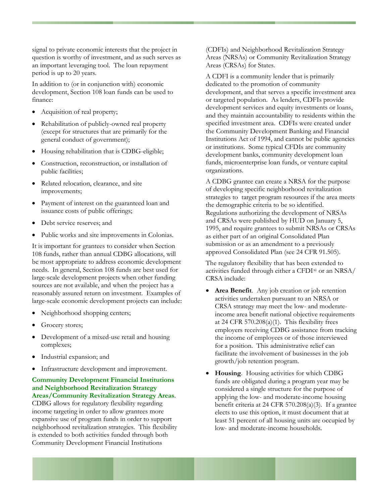signal to private economic interests that the project in question is worthy of investment, and as such serves as an important leveraging tool. The loan repayment period is up to 20 years.

In addition to (or in conjunction with) economic development, Section 108 loan funds can be used to finance:

- Acquisition of real property;
- Rehabilitation of publicly-owned real property (except for structures that are primarily for the general conduct of government);
- Housing rehabilitation that is CDBG-eligible;
- Construction, reconstruction, or installation of public facilities;
- Related relocation, clearance, and site improvements;
- Payment of interest on the guaranteed loan and issuance costs of public offerings;
- Debt service reserves; and
- Public works and site improvements in Colonias.

It is important for grantees to consider when Section 108 funds, rather than annual CDBG allocations, will be most appropriate to address economic development needs. In general, Section 108 funds are best used for large-scale development projects when other funding sources are not available, and when the project has a reasonably assured return on investment. Examples of large-scale economic development projects can include:

- Neighborhood shopping centers;
- Grocery stores;
- Development of a mixed-use retail and housing complexes;
- Industrial expansion; and
- Infrastructure development and improvement.

**Community Development Financial Institutions and Neighborhood Revitalization Strategy Areas/Community Revitalization Strategy Areas**. CDBG allows for regulatory flexibility regarding income targeting in order to allow grantees more expansive use of program funds in order to support neighborhood revitalization strategies. This flexibility is extended to both activities funded through both Community Development Financial Institutions

(CDFIs) and Neighborhood Revitalization Strategy Areas (NRSAs) or Community Revitalization Strategy Areas (CRSAs) for States.

A CDFI is a community lender that is primarily dedicated to the promotion of community development, and that serves a specific investment area or targeted population. As lenders, CDFIs provide development services and equity investments or loans, and they maintain accountability to residents within the specified investment area. CDFIs were created under the Community Development Banking and Financial Institutions Act of 1994, and cannot be public agencies or institutions. Some typical CFDIs are community development banks, community development loan funds, microenterprise loan funds, or venture capital organizations.

A CDBG grantee can create a NRSA for the purpose of developing specific neighborhood revitalization strategies to target program resources if the area meets the demographic criteria to be so identified. Regulations authorizing the development of NRSAs and CRSAs were published by HUD on January 5, 1995, and require grantees to submit NRSAs or CRSAs as either part of an original Consolidated Plan submission or as an amendment to a previously approved Consolidated Plan (see 24 CFR 91.505).

The regulatory flexibility that has been extended to activities funded through either a CFDI[xi](#page-96-0) or an NRSA/ CRSA include:

- **Area Benefit**. Any job creation or job retention activities undertaken pursuant to an NRSA or CRSA strategy may meet the low- and moderateincome area benefit national objective requirements at 24 CFR 570.208(a)(1). This flexibility frees employers receiving CDBG assistance from tracking the income of employees or of those interviewed for a position. This administrative relief can facilitate the involvement of businesses in the job growth/job retention program.
- **Housing**. Housing activities for which CDBG funds are obligated during a program year may be considered a single structure for the purpose of applying the low- and moderate-income housing benefit criteria at 24 CFR 570.208(a)(3). If a grantee elects to use this option, it must document that at least 51 percent of all housing units are occupied by low- and moderate-income households.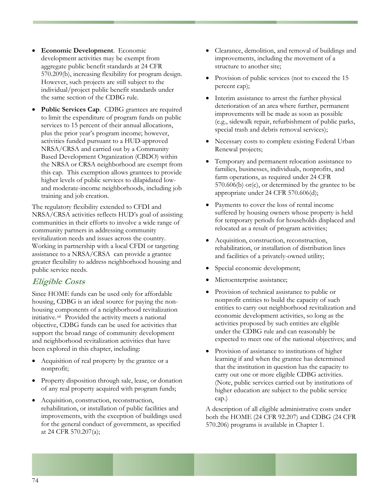- **Economic Development**. Economic development activities may be exempt from aggregate public benefit standards at 24 CFR 570.209(b), increasing flexibility for program design. However, such projects are still subject to the individual/project public benefit standards under the same section of the CDBG rule.
- Public Services Cap. CDBG grantees are required to limit the expenditure of program funds on public services to 15 percent of their annual allocations, plus the prior year's program income; however, activities funded pursuant to a HUD-approved NRSA/CRSA and carried out by a Community Based Development Organization (CBDO) within the NRSA or CRSA neighborhood are exempt from this cap. This exemption allows grantees to provide higher levels of public services to dilapidated lowand moderate-income neighborhoods, including job training and job creation.

The regulatory flexibility extended to CFDI and NRSA/CRSA activities reflects HUD's goal of assisting communities in their efforts to involve a wide range of community partners in addressing community revitalization needs and issues across the country. Working in partnership with a local CFDI or targeting assistance to a NRSA/CRSA can provide a grantee greater flexibility to address neighborhood housing and public service needs.

Since HOME funds can be used only for affordable housing, CDBG is an ideal source for paying the nonhousing components of a neighborhood revitalization initiative.[xii](#page-96-0) Provided the activity meets a national objective, CDBG funds can be used for activities that support the broad range of community development and neighborhood revitalization activities that have been explored in this chapter, including: • Provision of assistance to institutions of higher

- Acquisition of real property by the grantee or a nonprofit;
- Property disposition through sale, lease, or donation of any real property acquired with program funds;
- Acquisition, construction, reconstruction, rehabilitation, or installation of public facilities and improvements, with the exception of buildings used for the general conduct of government, as specified at 24 CFR 570.207(a);
- Clearance, demolition, and removal of buildings and improvements, including the movement of a structure to another site;
- Provision of public services (not to exceed the 15 percent cap);
- Interim assistance to arrest the further physical deterioration of an area where further, permanent improvements will be made as soon as possible (e.g., sidewalk repair, refurbishment of public parks, special trash and debris removal services);
- Necessary costs to complete existing Federal Urban Renewal projects;
- Temporary and permanent relocation assistance to families, businesses, individuals, nonprofits, and farm operations, as required under 24 CFR 570.606(b) or(c), or determined by the grantee to be appropriate under 24 CFR 570.606(d);
- Payments to cover the loss of rental income suffered by housing owners whose property is held for temporary periods for households displaced and relocated as a result of program activities;
- Acquisition, construction, reconstruction, rehabilitation, or installation of distribution lines and facilities of a privately-owned utility;
- Special economic development;
- **Eligible Costs**  Microenterprise assistance;
	- Provision of technical assistance to public or nonprofit entities to build the capacity of such entities to carry out neighborhood revitalization and economic development activities, so long as the activities proposed by such entities are eligible under the CDBG rule and can reasonably be expected to meet one of the national objectives; and
	- learning if and when the grantee has determined that the institution in question has the capacity to carry out one or more eligible CDBG activities. (Note, public services carried out by institutions of higher education are subject to the public service cap.)

A description of all eligible administrative costs under both the HOME (24 CFR 92.207) and CDBG (24 CFR 570.206) programs is available in Chapter 1.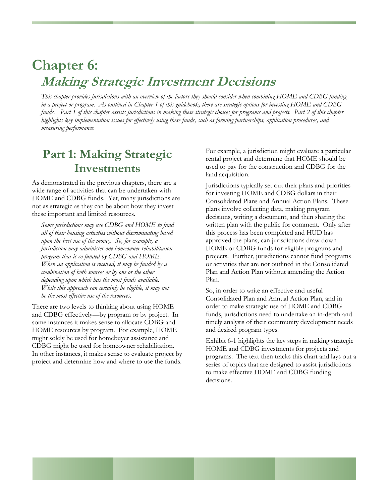# **Chapter 6: Making Strategic Investment Decisions**

*This chapter provides jurisdictions with an overview of the factors they should consider when combining HOME and CDBG funding in a project or program. As outlined in Chapter 1 of this guidebook, there are strategic options for investing HOME and CDBG funds. Part 1 of this chapter assists jurisdictions in making these strategic choices for programs and projects. Part 2 of this chapter highlights key implementation issues for effectively using these funds, such as forming partnerships, application procedures, and measuring performance.* 

### **Part 1: Making Strategic Investments**

As demonstrated in the previous chapters, there are a wide range of activities that can be undertaken with HOME and CDBG funds. Yet, many jurisdictions are not as strategic as they can be about how they invest these important and limited resources.

*Some jurisdictions may use CDBG and HOME to fund all of their housing activities without discriminating based upon the best use of the money. So, for example, a jurisdiction may administer one homeowner rehabilitation program that is co-funded by CDBG and HOME. When an application is received, it may be funded by a combination of both sources or by one or the other depending upon which has the most funds available. While this approach can certainly be eligible, it may not be the most effective use of the resources.* 

There are two levels to thinking about using HOME and CDBG effectively—by program or by project. In some instances it makes sense to allocate CDBG and HOME resources by program. For example, HOME might solely be used for homebuyer assistance and CDBG might be used for homeowner rehabilitation. In other instances, it makes sense to evaluate project by project and determine how and where to use the funds.

For example, a jurisdiction might evaluate a particular rental project and determine that HOME should be used to pay for the construction and CDBG for the land acquisition.

Jurisdictions typically set out their plans and priorities for investing HOME and CDBG dollars in their Consolidated Plans and Annual Action Plans. These plans involve collecting data, making program decisions, writing a document, and then sharing the written plan with the public for comment. Only after this process has been completed and HUD has approved the plans, can jurisdictions draw down HOME or CDBG funds for eligible programs and projects. Further, jurisdictions cannot fund programs or activities that are not outlined in the Consolidated Plan and Action Plan without amending the Action Plan.

So, in order to write an effective and useful Consolidated Plan and Annual Action Plan, and in order to make strategic use of HOME and CDBG funds, jurisdictions need to undertake an in-depth and timely analysis of their community development needs and desired program types.

Exhibit 6-1 highlights the key steps in making strategic HOME and CDBG investments for projects and programs. The text then tracks this chart and lays out a series of topics that are designed to assist jurisdictions to make effective HOME and CDBG funding decisions.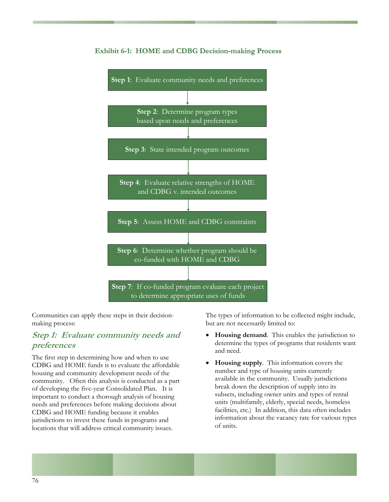

#### **Exhibit 6-1: HOME and CDBG Decision-making Process**

Communities can apply these steps in their decisionmaking process:

#### **Step 1: Evaluate community needs and preferences**

The first step in determining how and when to use CDBG and HOME funds is to evaluate the affordable housing and community development needs of the community. Often this analysis is conducted as a part of developing the five-year Consolidated Plan. It is important to conduct a thorough analysis of housing needs and preferences before making decisions about CDBG and HOME funding because it enables jurisdictions to invest these funds in programs and locations that will address critical community issues.

The types of information to be collected might include, but are not necessarily limited to:

- **Housing demand**. This enables the jurisdiction to determine the types of programs that residents want and need.
- **Housing supply**. This information covers the number and type of housing units currently available in the community. Usually jurisdictions break down the description of supply into its subsets, including owner units and types of rental units (multifamily, elderly, special needs, homeless facilities, etc.) In addition, this data often includes information about the vacancy rate for various types of units.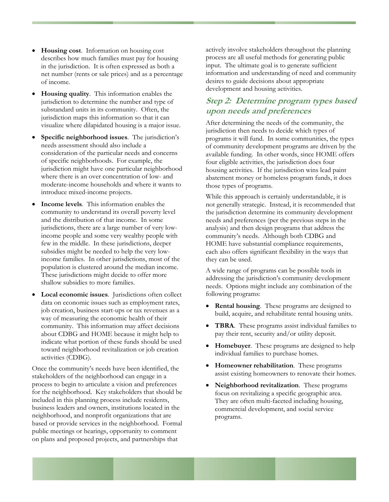- **Housing cost**. Information on housing cost describes how much families must pay for housing in the jurisdiction. It is often expressed as both a net number (rents or sale prices) and as a percentage of income.
- **Housing quality**. This information enables the jurisdiction to determine the number and type of substandard units in its community. Often, the jurisdiction maps this information so that it can visualize where dilapidated housing is a major issue.
- **Specific neighborhood issues**. The jurisdiction's needs assessment should also include a consideration of the particular needs and concerns of specific neighborhoods. For example, the jurisdiction might have one particular neighborhood where there is an over concentration of low- and moderate-income households and where it wants to introduce mixed-income projects.
- **Income levels**. This information enables the community to understand its overall poverty level and the distribution of that income. In some jurisdictions, there are a large number of very lowincome people and some very wealthy people with few in the middle. In these jurisdictions, deeper subsidies might be needed to help the very lowincome families. In other jurisdictions, most of the population is clustered around the median income. These jurisdictions might decide to offer more shallow subsidies to more families.
- **Local economic issues**. Jurisdictions often collect data on economic issues such as employment rates, job creation, business start-ups or tax revenues as a way of measuring the economic health of their community. This information may affect decisions about CDBG and HOME because it might help to indicate what portion of these funds should be used toward neighborhood revitalization or job creation activities (CDBG).

Once the community's needs have been identified, the stakeholders of the neighborhood can engage in a process to begin to articulate a vision and preferences for the neighborhood. Key stakeholders that should be included in this planning process include residents, business leaders and owners, institutions located in the neighborhood, and nonprofit organizations that are based or provide services in the neighborhood. Formal public meetings or hearings, opportunity to comment on plans and proposed projects, and partnerships that

actively involve stakeholders throughout the planning process are all useful methods for generating public input. The ultimate goal is to generate sufficient information and understanding of need and community desires to guide decisions about appropriate development and housing activities.

### **Step 2: Determine program types based upon needs and preferences**

After determining the needs of the community, the jurisdiction then needs to decide which types of programs it will fund. In some communities, the types of community development programs are driven by the available funding. In other words, since HOME offers four eligible activities, the jurisdiction does four housing activities. If the jurisdiction wins lead paint abatement money or homeless program funds, it does those types of programs.

While this approach is certainly understandable, it is not generally strategic. Instead, it is recommended that the jurisdiction determine its community development needs and preferences (per the previous steps in the analysis) and then design programs that address the community's needs. Although both CDBG and HOME have substantial compliance requirements, each also offers significant flexibility in the ways that they can be used.

A wide range of programs can be possible tools in addressing the jurisdiction's community development needs. Options might include any combination of the following programs:

- **Rental housing**. These programs are designed to build, acquire, and rehabilitate rental housing units.
- **TBRA**. These programs assist individual families to pay their rent, security and/or utility deposit.
- **Homebuyer**. These programs are designed to help individual families to purchase homes.
- **Homeowner rehabilitation**. These programs assist existing homeowners to renovate their homes.
- **Neighborhood revitalization**. These programs focus on revitalizing a specific geographic area. They are often multi-faceted including housing, commercial development, and social service programs.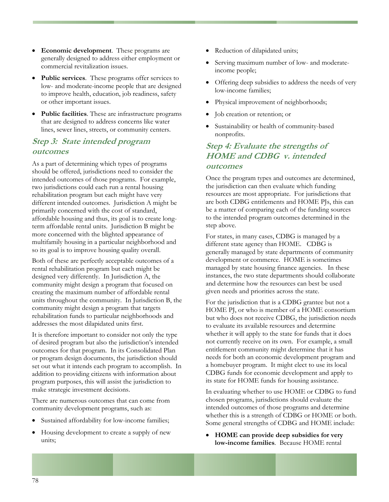- **Economic development**. These programs are generally designed to address either employment or commercial revitalization issues.
- **Public services**. These programs offer services to low- and moderate-income people that are designed to improve health, education, job readiness, safety or other important issues.
- **Public facilities**. These are infrastructure programs that are designed to address concerns like water lines, sewer lines, streets, or community centers.

#### **Step 3: State intended program outcomes**

As a part of determining which types of programs should be offered, jurisdictions need to consider the intended outcomes of those programs. For example, two jurisdictions could each run a rental housing rehabilitation program but each might have very different intended outcomes. Jurisdiction A might be primarily concerned with the cost of standard, affordable housing and thus, its goal is to create longterm affordable rental units. Jurisdiction B might be more concerned with the blighted appearance of multifamily housing in a particular neighborhood and so its goal is to improve housing quality overall.

Both of these are perfectly acceptable outcomes of a rental rehabilitation program but each might be designed very differently. In Jurisdiction A, the community might design a program that focused on creating the maximum number of affordable rental units throughout the community. In Jurisdiction B, the community might design a program that targets rehabilitation funds to particular neighborhoods and addresses the most dilapidated units first.

It is therefore important to consider not only the type of desired program but also the jurisdiction's intended outcomes for that program. In its Consolidated Plan or program design documents, the jurisdiction should set out what it intends each program to accomplish. In addition to providing citizens with information about program purposes, this will assist the jurisdiction to make strategic investment decisions.

There are numerous outcomes that can come from community development programs, such as:

- Sustained affordability for low-income families;
- Housing development to create a supply of new units;
- Reduction of dilapidated units;
- Serving maximum number of low- and moderateincome people;
- Offering deep subsidies to address the needs of very low-income families;
- Physical improvement of neighborhoods;
- Job creation or retention; or
- Sustainability or health of community-based nonprofits.

#### **Step 4: Evaluate the strengths of HOME and CDBG v. intended outcomes**

Once the program types and outcomes are determined, the jurisdiction can then evaluate which funding resources are most appropriate. For jurisdictions that are both CDBG entitlements and HOME PJs, this can be a matter of comparing each of the funding sources to the intended program outcomes determined in the step above.

For states, in many cases, CDBG is managed by a different state agency than HOME. CDBG is generally managed by state departments of community development or commerce. HOME is sometimes managed by state housing finance agencies. In these instances, the two state departments should collaborate and determine how the resources can best be used given needs and priorities across the state.

For the jurisdiction that is a CDBG grantee but not a HOME PJ, or who is member of a HOME consortium but who does not receive CDBG, the jurisdiction needs to evaluate its available resources and determine whether it will apply to the state for funds that it does not currently receive on its own. For example, a small entitlement community might determine that it has needs for both an economic development program and a homebuyer program. It might elect to use its local CDBG funds for economic development and apply to its state for HOME funds for housing assistance.

In evaluating whether to use HOME or CDBG to fund chosen programs, jurisdictions should evaluate the intended outcomes of those programs and determine whether this is a strength of CDBG or HOME or both. Some general strengths of CDBG and HOME include:

• **HOME can provide deep subsidies for very low-income families***.* Because HOME rental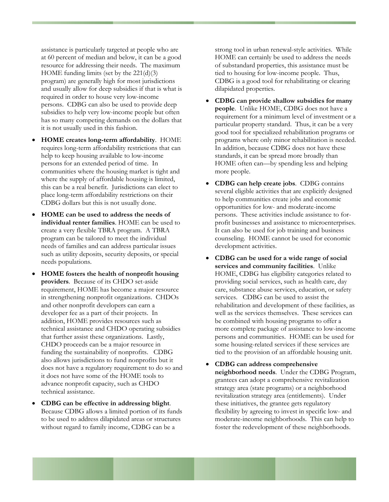assistance is particularly targeted at people who are at 60 percent of median and below, it can be a good resource for addressing their needs. The maximum HOME funding limits (set by the 221(d)(3) program) are generally high for most jurisdictions and usually allow for deep subsidies if that is what is required in order to house very low-income persons. CDBG can also be used to provide deep subsidies to help very low-income people but often has so many competing demands on the dollars that it is not usually used in this fashion.

- **HOME creates long-term affordability**. HOME requires long-term affordability restrictions that can help to keep housing available to low-income persons for an extended period of time. In communities where the housing market is tight and where the supply of affordable housing is limited, this can be a real benefit. Jurisdictions can elect to place long-term affordability restrictions on their CDBG dollars but this is not usually done.
- **HOME can be used to address the needs of individual renter families**. HOME can be used to create a very flexible TBRA program. A TBRA program can be tailored to meet the individual needs of families and can address particular issues such as utility deposits, security deposits, or special needs populations.
- **HOME fosters the health of nonprofit housing providers**. Because of its CHDO set-aside requirement, HOME has become a major resource in strengthening nonprofit organizations. CHDOs and other nonprofit developers can earn a developer fee as a part of their projects. In addition, HOME provides resources such as technical assistance and CHDO operating subsidies that further assist these organizations. Lastly, CHDO proceeds can be a major resource in funding the sustainability of nonprofits. CDBG also allows jurisdictions to fund nonprofits but it does not have a regulatory requirement to do so and it does not have some of the HOME tools to advance nonprofit capacity, such as CHDO technical assistance.
- **CDBG can be effective in addressing blight**. Because CDBG allows a limited portion of its funds to be used to address dilapidated areas or structures without regard to family income, CDBG can be a

strong tool in urban renewal-style activities. While HOME can certainly be used to address the needs of substandard properties, this assistance must be tied to housing for low-income people. Thus, CDBG is a good tool for rehabilitating or clearing dilapidated properties.

- **CDBG can provide shallow subsidies for many people**. Unlike HOME, CDBG does not have a requirement for a minimum level of investment or a particular property standard. Thus, it can be a very good tool for specialized rehabilitation programs or programs where only minor rehabilitation is needed. In addition, because CDBG does not have these standards, it can be spread more broadly than HOME often can—by spending less and helping more people.
- **CDBG can help create jobs**. CDBG contains several eligible activities that are explicitly designed to help communities create jobs and economic opportunities for low- and moderate-income persons. These activities include assistance to forprofit businesses and assistance to microenterprises. It can also be used for job training and business counseling. HOME cannot be used for economic development activities.
- **CDBG can be used for a wide range of social services and community facilities**. Unlike HOME, CDBG has eligibility categories related to providing social services, such as health care, day care, substance abuse services, education, or safety services. CDBG can be used to assist the rehabilitation and development of these facilities, as well as the services themselves. These services can be combined with housing programs to offer a more complete package of assistance to low-income persons and communities. HOME can be used for some housing-related services if these services are tied to the provision of an affordable housing unit.
- **CDBG can address comprehensive neighborhood needs**. Under the CDBG Program, grantees can adopt a comprehensive revitalization strategy area (state programs) or a neighborhood revitalization strategy area (entitlements). Under these initiatives, the grantee gets regulatory flexibility by agreeing to invest in specific low- and moderate-income neighborhoods. This can help to foster the redevelopment of these neighborhoods.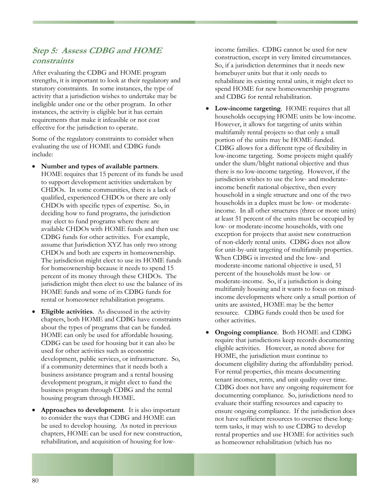### **Step 5: Assess CDBG and HOME constraints**

After evaluating the CDBG and HOME program strengths, it is important to look at their regulatory and statutory constraints. In some instances, the type of activity that a jurisdiction wishes to undertake may be ineligible under one or the other program. In other instances, the activity is eligible but it has certain requirements that make it infeasible or not cost effective for the jurisdiction to operate.

Some of the regulatory constraints to consider when evaluating the use of HOME and CDBG funds include:

- **Number and types of available partners**. HOME requires that 15 percent of its funds be used to support development activities undertaken by CHDOs. In some communities, there is a lack of qualified, experienced CHDOs or there are only CHDOs with specific types of expertise. So, in deciding how to fund programs, the jurisdiction may elect to fund programs where there are available CHDOs with HOME funds and then use CDBG funds for other activities. For example, assume that Jurisdiction XYZ has only two strong CHDOs and both are experts in homeownership. The jurisdiction might elect to use its HOME funds for homeownership because it needs to spend 15 percent of its money through these CHDOs. The jurisdiction might then elect to use the balance of its HOME funds and some of its CDBG funds for rental or homeowner rehabilitation programs.
- **Eligible activities**. As discussed in the activity chapters, both HOME and CDBG have constraints about the types of programs that can be funded. HOME can only be used for affordable housing. CDBG can be used for housing but it can also be used for other activities such as economic development, public services, or infrastructure. So, if a community determines that it needs both a business assistance program and a rental housing development program, it might elect to fund the business program through CDBG and the rental housing program through HOME.
- **Approaches to development**. It is also important to consider the ways that CDBG and HOME can be used to develop housing. As noted in previous chapters, HOME can be used for new construction, rehabilitation, and acquisition of housing for low-

income families. CDBG cannot be used for new construction, except in very limited circumstances. So, if a jurisdiction determines that it needs new homebuyer units but that it only needs to rehabilitate its existing rental units, it might elect to spend HOME for new homeownership programs and CDBG for rental rehabilitation.

- **Low-income targeting**. HOME requires that all households occupying HOME units be low-income. However, it allows for targeting of units within multifamily rental projects so that only a small portion of the units may be HOME-funded. CDBG allows for a different type of flexibility in low-income targeting. Some projects might qualify under the slum/blight national objective and thus there is no low-income targeting. However, if the jurisdiction wishes to use the low- and moderateincome benefit national objective, then every household in a single structure and one of the two households in a duplex must be low- or moderateincome. In all other structures (three or more units) at least 51 percent of the units must be occupied by low- or moderate-income households, with one exception for projects that assist new construction of non-elderly rental units. CDBG does not allow for unit-by-unit targeting of multifamily properties. When CDBG is invested and the low- and moderate-income national objective is used, 51 percent of the households must be low- or moderate-income. So, if a jurisdiction is doing multifamily housing and it wants to focus on mixedincome developments where only a small portion of units are assisted, HOME may be the better resource. CDBG funds could then be used for other activities.
- **Ongoing compliance**. Both HOME and CDBG require that jurisdictions keep records documenting eligible activities. However, as noted above for HOME, the jurisdiction must continue to document eligibility during the affordability period. For rental properties, this means documenting tenant incomes, rents, and unit quality over time. CDBG does not have any ongoing requirement for documenting compliance. So, jurisdictions need to evaluate their staffing resources and capacity to ensure ongoing compliance. If the jurisdiction does not have sufficient resources to oversee these longterm tasks, it may wish to use CDBG to develop rental properties and use HOME for activities such as homeowner rehabilitation (which has no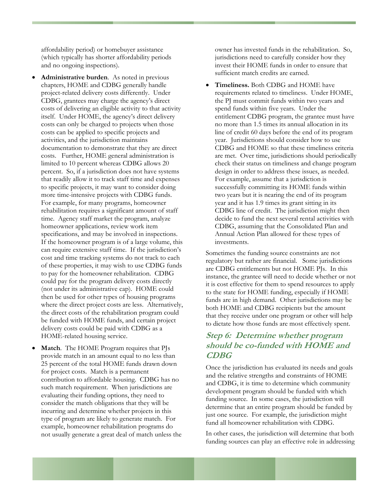affordability period) or homebuyer assistance (which typically has shorter affordability periods and no ongoing inspections).

- **Administrative burden**. As noted in previous chapters, HOME and CDBG generally handle project-related delivery costs differently. Under CDBG, grantees may charge the agency's direct costs of delivering an eligible activity to that activity itself. Under HOME, the agency's direct delivery costs can only be charged to projects when those costs can be applied to specific projects and activities, and the jurisdiction maintains documentation to demonstrate that they are direct costs. Further, HOME general administration is limited to 10 percent whereas CDBG allows 20 percent. So, if a jurisdiction does not have systems that readily allow it to track staff time and expenses to specific projects, it may want to consider doing more time-intensive projects with CDBG funds. For example, for many programs, homeowner rehabilitation requires a significant amount of staff time. Agency staff market the program, analyze homeowner applications, review work item specifications, and may be involved in inspections. If the homeowner program is of a large volume, this can require extensive staff time. If the jurisdiction's cost and time tracking systems do not track to each of these properties, it may wish to use CDBG funds to pay for the homeowner rehabilitation. CDBG could pay for the program delivery costs directly (not under its administrative cap). HOME could then be used for other types of housing programs where the direct project costs are less. Alternatively, the direct costs of the rehabilitation program could be funded with HOME funds, and certain project delivery costs could be paid with CDBG as a HOME-related housing service.
- **Match**. The HOME Program requires that PJs provide match in an amount equal to no less than 25 percent of the total HOME funds drawn down for project costs. Match is a permanent contribution to affordable housing. CDBG has no such match requirement. When jurisdictions are evaluating their funding options, they need to consider the match obligations that they will be incurring and determine whether projects in this type of program are likely to generate match. For example, homeowner rehabilitation programs do not usually generate a great deal of match unless the

owner has invested funds in the rehabilitation. So, jurisdictions need to carefully consider how they invest their HOME funds in order to ensure that sufficient match credits are earned.

• **Timeliness.** Both CDBG and HOME have requirements related to timeliness. Under HOME, the PJ must commit funds within two years and spend funds within five years. Under the entitlement CDBG program, the grantee must have no more than 1.5 times its annual allocation in its line of credit 60 days before the end of its program year. Jurisdictions should consider how to use CDBG and HOME so that these timeliness criteria are met. Over time, jurisdictions should periodically check their status on timeliness and change program design in order to address these issues, as needed. For example, assume that a jurisdiction is successfully committing its HOME funds within two years but it is nearing the end of its program year and it has 1.9 times its grant sitting in its CDBG line of credit. The jurisdiction might then decide to fund the next several rental activities with CDBG, assuming that the Consolidated Plan and Annual Action Plan allowed for these types of investments.

Sometimes the funding source constraints are not regulatory but rather are financial. Some jurisdictions are CDBG entitlements but not HOME PJs. In this instance, the grantee will need to decide whether or not it is cost effective for them to spend resources to apply to the state for HOME funding, especially if HOME funds are in high demand. Other jurisdictions may be both HOME and CDBG recipients but the amount that they receive under one program or other will help to dictate how those funds are most effectively spent.

### **Step 6: Determine whether program should be co-funded with HOME and CDBG**

Once the jurisdiction has evaluated its needs and goals and the relative strengths and constraints of HOME and CDBG, it is time to determine which community development program should be funded with which funding source. In some cases, the jurisdiction will determine that an entire program should be funded by just one source. For example, the jurisdiction might fund all homeowner rehabilitation with CDBG.

In other cases, the jurisdiction will determine that both funding sources can play an effective role in addressing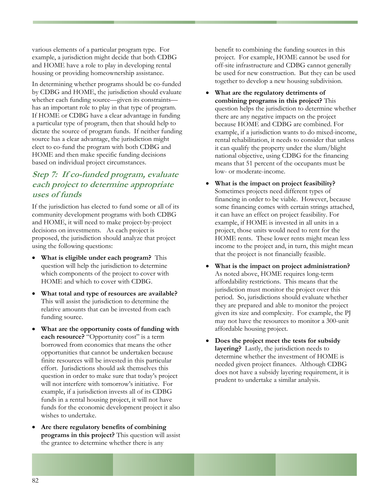various elements of a particular program type. For example, a jurisdiction might decide that both CDBG and HOME have a role to play in developing rental housing or providing homeownership assistance.

In determining whether programs should be co-funded by CDBG and HOME, the jurisdiction should evaluate whether each funding source—given its constraints has an important role to play in that type of program. If HOME or CDBG have a clear advantage in funding a particular type of program, then that should help to dictate the source of program funds. If neither funding source has a clear advantage, the jurisdiction might elect to co-fund the program with both CDBG and HOME and then make specific funding decisions based on individual project circumstances.

### **Step 7: If co-funded program, evaluate each project to determine appropriate uses of funds**

If the jurisdiction has elected to fund some or all of its community development programs with both CDBG and HOME, it will need to make project-by-project decisions on investments. As each project is proposed, the jurisdiction should analyze that project using the following questions:

- **What is eligible under each program?** This question will help the jurisdiction to determine which components of the project to cover with HOME and which to cover with CDBG.
- **What total and type of resources are available?**  This will assist the jurisdiction to determine the relative amounts that can be invested from each funding source.
- **What are the opportunity costs of funding with each resource?** "Opportunity cost" is a term borrowed from economics that means the other opportunities that cannot be undertaken because finite resources will be invested in this particular effort. Jurisdictions should ask themselves this question in order to make sure that today's project will not interfere with tomorrow's initiative. For example, if a jurisdiction invests all of its CDBG funds in a rental housing project, it will not have funds for the economic development project it also wishes to undertake.
- **Are there regulatory benefits of combining programs in this project?** This question will assist the grantee to determine whether there is any

benefit to combining the funding sources in this project. For example, HOME cannot be used for off-site infrastructure and CDBG cannot generally be used for new construction. But they can be used together to develop a new housing subdivision.

- **What are the regulatory detriments of combining programs in this project?** This question helps the jurisdiction to determine whether there are any negative impacts on the project because HOME and CDBG are combined. For example, if a jurisdiction wants to do mixed-income, rental rehabilitation, it needs to consider that unless it can qualify the property under the slum/blight national objective, using CDBG for the financing means that 51 percent of the occupants must be low- or moderate-income.
- **What is the impact on project feasibility?** Sometimes projects need different types of financing in order to be viable. However, because some financing comes with certain strings attached, it can have an effect on project feasibility. For example, if HOME is invested in all units in a project, those units would need to rent for the HOME rents. These lower rents might mean less income to the project and, in turn, this might mean that the project is not financially feasible.
- **What is the impact on project administration?** As noted above, HOME requires long-term affordability restrictions. This means that the jurisdiction must monitor the project over this period. So, jurisdictions should evaluate whether they are prepared and able to monitor the project given its size and complexity. For example, the PJ may not have the resources to monitor a 300-unit affordable housing project.
- **Does the project meet the tests for subsidy layering?** Lastly, the jurisdiction needs to determine whether the investment of HOME is needed given project finances. Although CDBG does not have a subsidy layering requirement, it is prudent to undertake a similar analysis.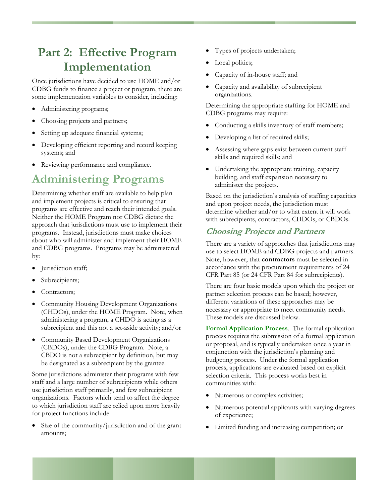### **Part 2: Effective Program Implementation**

Once jurisdictions have decided to use HOME and/or CDBG funds to finance a project or program, there are some implementation variables to consider, including:

- Administering programs;
- Choosing projects and partners;
- Setting up adequate financial systems;
- Developing efficient reporting and record keeping systems; and
- Reviewing performance and compliance.

### **Administering Programs**

Determining whether staff are available to help plan and implement projects is critical to ensuring that programs are effective and reach their intended goals. Neither the HOME Program nor CDBG dictate the approach that jurisdictions must use to implement their programs. Instead, jurisdictions must make choices about who will administer and implement their HOME and CDBG programs. Programs may be administered by:

- Jurisdiction staff;
- Subrecipients;
- Contractors;
- Community Housing Development Organizations (CHDOs), under the HOME Program. Note, when administering a program, a CHDO is acting as a subrecipient and this not a set-aside activity; and/or
- Community Based Development Organizations (CBDOs), under the CDBG Program. Note, a CBDO is not a subrecipient by definition, but may be designated as a subrecipient by the grantee.

Some jurisdictions administer their programs with few staff and a large number of subrecipients while others use jurisdiction staff primarily, and few subrecipient organizations. Factors which tend to affect the degree to which jurisdiction staff are relied upon more heavily for project functions include:

• Size of the community/jurisdiction and of the grant amounts;

- Types of projects undertaken;
- Local politics;
- Capacity of in-house staff; and
- Capacity and availability of subrecipient organizations.

Determining the appropriate staffing for HOME and CDBG programs may require:

- Conducting a skills inventory of staff members;
- Developing a list of required skills;
- Assessing where gaps exist between current staff skills and required skills; and
- Undertaking the appropriate training, capacity building, and staff expansion necessary to administer the projects.

Based on the jurisdiction's analysis of staffing capacities and upon project needs, the jurisdiction must determine whether and/or to what extent it will work with subrecipients, contractors, CHDOs, or CBDOs.

#### **Choosing Projects and Partners**

There are a variety of approaches that jurisdictions may use to select HOME and CDBG projects and partners. Note, however, that **contractors** must be selected in accordance with the procurement requirements of 24 CFR Part 85 (or 24 CFR Part 84 for subrecipients).

There are four basic models upon which the project or partner selection process can be based; however, different variations of these approaches may be necessary or appropriate to meet community needs. These models are discussed below.

**Formal Application Process**. The formal application process requires the submission of a formal application or proposal, and is typically undertaken once a year in conjunction with the jurisdiction's planning and budgeting process. Under the formal application process, applications are evaluated based on explicit selection criteria. This process works best in communities with:

- Numerous or complex activities;
- Numerous potential applicants with varying degrees of experience;
- Limited funding and increasing competition; or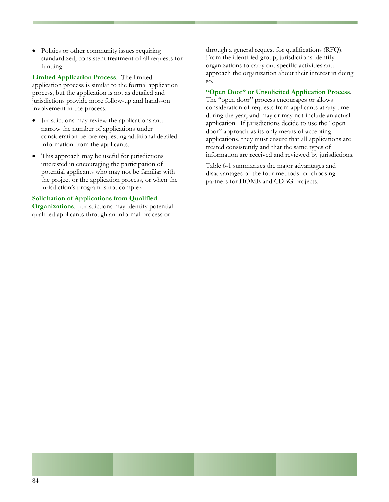• Politics or other community issues requiring standardized, consistent treatment of all requests for funding.

**Limited Application Process**. The limited application process is similar to the formal application process, but the application is not as detailed and jurisdictions provide more follow-up and hands-on involvement in the process.

- Jurisdictions may review the applications and narrow the number of applications under consideration before requesting additional detailed information from the applicants.
- This approach may be useful for jurisdictions interested in encouraging the participation of potential applicants who may not be familiar with the project or the application process, or when the jurisdiction's program is not complex.

#### **Solicitation of Applications from Qualified**

**Organizations**. Jurisdictions may identify potential qualified applicants through an informal process or

through a general request for qualifications (RFQ). From the identified group, jurisdictions identify organizations to carry out specific activities and approach the organization about their interest in doing so.

#### **"Open Door" or Unsolicited Application Process**.

The "open door" process encourages or allows consideration of requests from applicants at any time during the year, and may or may not include an actual application. If jurisdictions decide to use the "open door" approach as its only means of accepting applications, they must ensure that all applications are treated consistently and that the same types of information are received and reviewed by jurisdictions.

Table 6-1 summarizes the major advantages and disadvantages of the four methods for choosing partners for HOME and CDBG projects.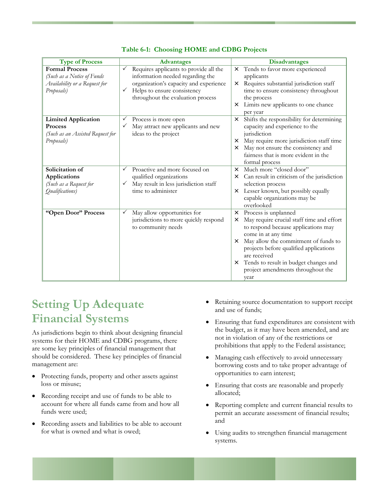| <b>Type of Process</b>                                                                             | <b>Advantages</b>                                                                                                                                                                                             | <b>Disadvantages</b>                                                                                                                                                                                                                                                                                                                                                    |
|----------------------------------------------------------------------------------------------------|---------------------------------------------------------------------------------------------------------------------------------------------------------------------------------------------------------------|-------------------------------------------------------------------------------------------------------------------------------------------------------------------------------------------------------------------------------------------------------------------------------------------------------------------------------------------------------------------------|
| <b>Formal Process</b><br>(Such as a Notice of Funds<br>Availability or a Request for<br>Proposals) | Requires applicants to provide all the<br>$\checkmark$<br>information needed regarding the<br>organization's capacity and experience<br>Helps to ensure consistency<br>✓<br>throughout the evaluation process | Tends to favor more experienced<br>$\times$<br>applicants<br>Requires substantial jurisdiction staff<br>$\times$<br>time to ensure consistency throughout<br>the process<br>Limits new applicants to one chance<br>$\times$<br>per year                                                                                                                                 |
| <b>Limited Application</b><br>Process<br>(Such as an Assisted Request for<br>Proposals)            | Process is more open<br>May attract new applicants and new<br>$\checkmark$<br>ideas to the project                                                                                                            | Shifts the responsibility for determining<br>$\times$<br>capacity and experience to the<br>jurisdiction<br>May require more jurisdiction staff time<br>$\times$<br>May not ensure the consistency and<br>$\times$<br>fairness that is more evident in the<br>formal process                                                                                             |
| Solicitation of<br><b>Applications</b><br>(Such as a Request for<br>Qualifications)                | Proactive and more focused on<br>✓<br>qualified organizations<br>May result in less jurisdiction staff<br>✓<br>time to administer                                                                             | Much more "closed door"<br>$\times$<br>Can result in criticism of the jurisdiction<br>$\times$<br>selection process<br>Lesser known, but possibly equally<br>$\times$<br>capable organizations may be<br>overlooked                                                                                                                                                     |
| "Open Door" Process                                                                                | May allow opportunities for<br>✓<br>jurisdictions to more quickly respond<br>to community needs                                                                                                               | Process is unplanned<br>$\times$<br>May require crucial staff time and effort<br>$\times$<br>to respond because applications may<br>come in at any time<br>May allow the commitment of funds to<br>$\times$<br>projects before qualified applications<br>are received<br>Tends to result in budget changes and<br>$\times$<br>project amendments throughout the<br>year |

**Table 6-1: Choosing HOME and CDBG Projects** 

### **Setting Up Adequate Financial Systems**

As jurisdictions begin to think about designing financial systems for their HOME and CDBG programs, there are some key principles of financial management that should be considered. These key principles of financial management are:

- Protecting funds, property and other assets against loss or misuse;
- Recording receipt and use of funds to be able to account for where all funds came from and how all funds were used;
- Recording assets and liabilities to be able to account for what is owned and what is owed;
- Retaining source documentation to support receipt and use of funds;
- Ensuring that fund expenditures are consistent with the budget, as it may have been amended, and are not in violation of any of the restrictions or prohibitions that apply to the Federal assistance;
- Managing cash effectively to avoid unnecessary borrowing costs and to take proper advantage of opportunities to earn interest;
- Ensuring that costs are reasonable and properly allocated;
- Reporting complete and current financial results to permit an accurate assessment of financial results; and
- Using audits to strengthen financial management systems.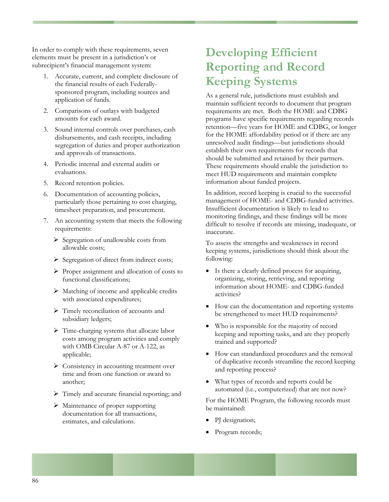In order to comply with these requirements, seven elements must be present in a jurisdiction's or subrecipient's financial management system:

- 1. Accurate, current, and complete disclosure of the financial results of each Federallysponsored program, including sources and application of funds.
- 2. Comparisons of outlays with budgeted amounts for each award.
- 3. Sound internal controls over purchases, cash disbursements, and cash receipts, including segregation of duties and proper authorization and approvals of transactions.
- 4. Periodic internal and external audits or evaluations.
- 5. Record retention policies.
- 6. Documentation of accounting policies, particularly those pertaining to cost charging, timesheet preparation, and procurement.
- 7. An accounting system that meets the following requirements:
	- ¾ Segregation of unallowable costs from allowable costs;
	- ¾ Segregation of direct from indirect costs;
	- ¾ Proper assignment and allocation of costs to functional classifications;
	- ¾ Matching of income and applicable credits with associated expenditures;
	- ¾ Timely reconciliation of accounts and subsidiary ledgers;
	- ¾ Time-charging systems that allocate labor costs among program activities and comply with OMB Circular A-87 or A-122, as applicable;
	- ▶ Consistency in accounting treatment over time and from one function or award to another;
	- ¾ Timely and accurate financial reporting; and
	- ¾ Maintenance of proper supporting documentation for all transactions, estimates, and calculations.

# **Developing Efficient Reporting and Record Keeping Systems**

As a general rule, jurisdictions must establish and maintain sufficient records to document that program requirements are met. Both the HOME and CDBG programs have specific requirements regarding records retention—five years for HOME and CDBG, or longer for the HOME affordability period or if there are any unresolved audit findings—but jurisdictions should establish their own requirements for records that should be submitted and retained by their partners. These requirements should enable the jurisdiction to meet HUD requirements and maintain complete information about funded projects.

In addition, record keeping is crucial to the successful management of HOME- and CDBG-funded activities. Insufficient documentation is likely to lead to monitoring findings, and these findings will be more difficult to resolve if records are missing, inadequate, or inaccurate.

To assess the strengths and weaknesses in record keeping systems, jurisdictions should think about the following:

- Is there a clearly defined process for acquiring, organizing, storing, retrieving, and reporting information about HOME- and CDBG-funded activities?
- How can the documentation and reporting systems be strengthened to meet HUD requirements?
- Who is responsible for the majority of record keeping and reporting tasks, and are they properly trained and supported?
- How can standardized procedures and the removal of duplicative records streamline the record keeping and reporting process?
- What types of records and reports could be automated (i.e., computerized) that are not now?

For the HOME Program, the following records must be maintained:

- PI designation;
- Program records;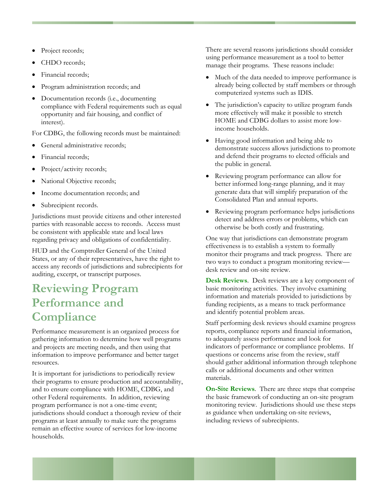- Project records;
- CHDO records;
- Financial records;
- Program administration records; and
- Documentation records (i.e., documenting compliance with Federal requirements such as equal opportunity and fair housing, and conflict of interest).

For CDBG, the following records must be maintained:

- General administrative records;
- Financial records;
- Project/activity records;
- National Objective records;
- Income documentation records; and
- Subrecipient records.

Jurisdictions must provide citizens and other interested parties with reasonable access to records. Access must be consistent with applicable state and local laws regarding privacy and obligations of confidentiality.

HUD and the Comptroller General of the United States, or any of their representatives, have the right to access any records of jurisdictions and subrecipients for auditing, excerpt, or transcript purposes.

## **Reviewing Program Performance and Compliance**

Performance measurement is an organized process for gathering information to determine how well programs and projects are meeting needs, and then using that information to improve performance and better target resources.

It is important for jurisdictions to periodically review their programs to ensure production and accountability, and to ensure compliance with HOME, CDBG, and other Federal requirements. In addition, reviewing program performance is not a one-time event; jurisdictions should conduct a thorough review of their programs at least annually to make sure the programs remain an effective source of services for low-income households.

There are several reasons jurisdictions should consider using performance measurement as a tool to better manage their programs. These reasons include:

- Much of the data needed to improve performance is already being collected by staff members or through computerized systems such as IDIS.
- The jurisdiction's capacity to utilize program funds more effectively will make it possible to stretch HOME and CDBG dollars to assist more lowincome households.
- Having good information and being able to demonstrate success allows jurisdictions to promote and defend their programs to elected officials and the public in general.
- Reviewing program performance can allow for better informed long-range planning, and it may generate data that will simplify preparation of the Consolidated Plan and annual reports.
- Reviewing program performance helps jurisdictions detect and address errors or problems, which can otherwise be both costly and frustrating.

One way that jurisdictions can demonstrate program effectiveness is to establish a system to formally monitor their programs and track progress. There are two ways to conduct a program monitoring review desk review and on-site review.

**Desk Reviews**. Desk reviews are a key component of basic monitoring activities. They involve examining information and materials provided to jurisdictions by funding recipients, as a means to track performance and identify potential problem areas.

Staff performing desk reviews should examine progress reports, compliance reports and financial information, to adequately assess performance and look for indicators of performance or compliance problems. If questions or concerns arise from the review, staff should gather additional information through telephone calls or additional documents and other written materials.

**On-Site Reviews**. There are three steps that comprise the basic framework of conducting an on-site program monitoring review. Jurisdictions should use these steps as guidance when undertaking on-site reviews, including reviews of subrecipients.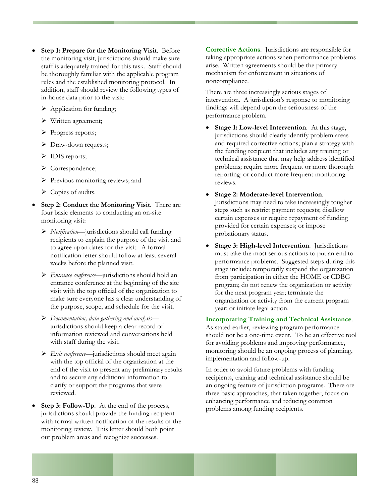- **Step 1: Prepare for the Monitoring Visit**. Before the monitoring visit, jurisdictions should make sure staff is adequately trained for this task. Staff should be thoroughly familiar with the applicable program rules and the established monitoring protocol. In addition, staff should review the following types of in-house data prior to the visit:
	- > Application for funding;
	- ¾ Written agreement;
	- ¾ Progress reports;
	- > Draw-down requests;
	- > IDIS reports;
	- ¾ Correspondence;
	- ¾ Previous monitoring reviews; and
	- ¾ Copies of audits.
- **Step 2: Conduct the Monitoring Visit.** There are four basic elements to conducting an on-site monitoring visit:
	- ¾ *Notification*—jurisdictions should call funding recipients to explain the purpose of the visit and to agree upon dates for the visit. A formal notification letter should follow at least several weeks before the planned visit.
	- ¾ *Entrance conference*—jurisdictions should hold an entrance conference at the beginning of the site visit with the top official of the organization to make sure everyone has a clear understanding of the purpose, scope, and schedule for the visit.
	- ¾ *Documentation, data gathering and analysis* jurisdictions should keep a clear record of information reviewed and conversations held with staff during the visit.
	- ¾ *Exit conference*—jurisdictions should meet again with the top official of the organization at the end of the visit to present any preliminary results and to secure any additional information to clarify or support the programs that were reviewed.
- **Step 3: Follow-Up.** At the end of the process, jurisdictions should provide the funding recipient with formal written notification of the results of the monitoring review. This letter should both point out problem areas and recognize successes.

**Corrective Actions**. Jurisdictions are responsible for taking appropriate actions when performance problems arise. Written agreements should be the primary mechanism for enforcement in situations of noncompliance.

There are three increasingly serious stages of intervention. A jurisdiction's response to monitoring findings will depend upon the seriousness of the performance problem.

- **Stage 1: Low-level Intervention.** At this stage, jurisdictions should clearly identify problem areas and required corrective actions; plan a strategy with the funding recipient that includes any training or technical assistance that may help address identified problems; require more frequent or more thorough reporting; or conduct more frequent monitoring reviews.
- **Stage 2: Moderate-level Intervention**. Jurisdictions may need to take increasingly tougher steps such as restrict payment requests; disallow certain expenses or require repayment of funding provided for certain expenses; or impose probationary status.
- **Stage 3: High-level Intervention.** Jurisdictions must take the most serious actions to put an end to performance problems. Suggested steps during this stage include: temporarily suspend the organization from participation in either the HOME or CDBG program; do not renew the organization or activity for the next program year; terminate the organization or activity from the current program year; or initiate legal action.

#### **Incorporating Training and Technical Assistance**.

As stated earlier, reviewing program performance should not be a one-time event. To be an effective tool for avoiding problems and improving performance, monitoring should be an ongoing process of planning, implementation and follow-up.

In order to avoid future problems with funding recipients, training and technical assistance should be an ongoing feature of jurisdiction programs. There are three basic approaches, that taken together, focus on enhancing performance and reducing common problems among funding recipients.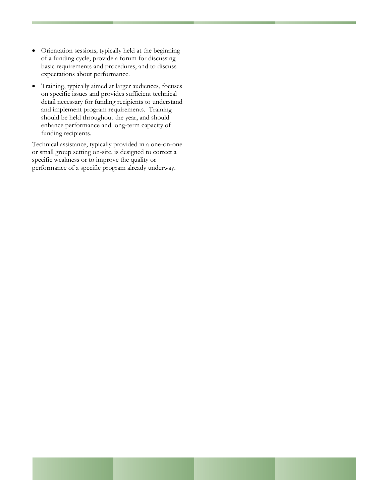- Orientation sessions, typically held at the beginning of a funding cycle, provide a forum for discussing basic requirements and procedures, and to discuss expectations about performance.
- Training, typically aimed at larger audiences, focuses on specific issues and provides sufficient technical detail necessary for funding recipients to understand and implement program requirements. Training should be held throughout the year, and should enhance performance and long-term capacity of funding recipients.

Technical assistance, typically provided in a one-on-one or small group setting on-site, is designed to correct a specific weakness or to improve the quality or performance of a specific program already underway.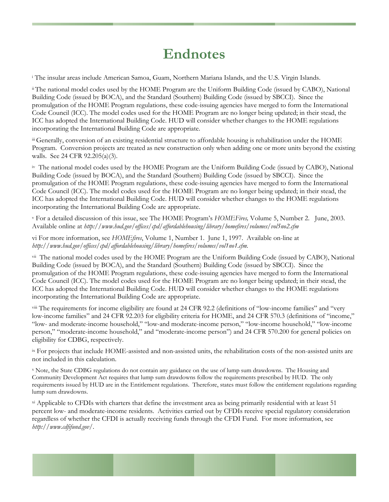# **Endnotes**

<sup>i</sup> The insular areas include American Samoa, Guam, Northern Mariana Islands, and the U.S. Virgin Islands.

ii The national model codes used by the HOME Program are the Uniform Building Code (issued by CABO), National Building Code (issued by BOCA), and the Standard (Southern) Building Code (issued by SBCCI). Since the promulgation of the HOME Program regulations, these code-issuing agencies have merged to form the International Code Council (ICC). The model codes used for the HOME Program are no longer being updated; in their stead, the ICC has adopted the International Building Code. HUD will consider whether changes to the HOME regulations incorporating the International Building Code are appropriate.

iii Generally, conversion of an existing residential structure to affordable housing is rehabilitation under the HOME Program. Conversion projects are treated as new construction only when adding one or more units beyond the existing walls. See 24 CFR 92.205(a)(3).

iv The national model codes used by the HOME Program are the Uniform Building Code (issued by CABO), National Building Code (issued by BOCA), and the Standard (Southern) Building Code (issued by SBCCI). Since the promulgation of the HOME Program regulations, these code-issuing agencies have merged to form the International Code Council (ICC). The model codes used for the HOME Program are no longer being updated; in their stead, the ICC has adopted the International Building Code. HUD will consider whether changes to the HOME regulations incorporating the International Building Code are appropriate.

v For a detailed discussion of this issue, see The HOME Program's *HOMEFires,* Volume 5, Number 2. June, 2003. Available online at *http://www.hud.gov/offices/cpd/affordablehousing/library/homefires/volumes/vol5no2.cfm*

vi For more information, see *HOMEfires*, Volume 1, Number 1. June 1, 1997. Available on-line at *http://www.hud.gov/offices/cpd/affordablehousing/library/homefires/volumes/vol1no1.cfm.*

vii The national model codes used by the HOME Program are the Uniform Building Code (issued by CABO), National Building Code (issued by BOCA), and the Standard (Southern) Building Code (issued by SBCCI). Since the promulgation of the HOME Program regulations, these code-issuing agencies have merged to form the International Code Council (ICC). The model codes used for the HOME Program are no longer being updated; in their stead, the ICC has adopted the International Building Code. HUD will consider whether changes to the HOME regulations incorporating the International Building Code are appropriate.

viii The requirements for income eligibility are found at 24 CFR 92.2 (definitions of "low-income families" and "very low-income families" and 24 CFR 92.203 for eligibility criteria for HOME, and 24 CFR 570.3 (definitions of "income," "low- and moderate-income household," "low-and moderate-income person," "low-income household," "low-income person," "moderate-income household," and "moderate-income person") and 24 CFR 570.200 for general policies on eligibility for CDBG, respectively.

ix For projects that include HOME-assisted and non-assisted units, the rehabilitation costs of the non-assisted units are not included in this calculation.

x Note, the State CDBG regulations do not contain any guidance on the use of lump sum drawdowns. The Housing and Community Development Act requires that lump sum drawdowns follow the requirements prescribed by HUD. The only requirements issued by HUD are in the Entitlement regulations. Therefore, states must follow the entitlement regulations regarding lump sum drawdowns.

xi Applicable to CFDIs with charters that define the investment area as being primarily residential with at least 51 percent low- and moderate-income residents. Activities carried out by CFDIs receive special regulatory consideration regardless of whether the CFDI is actually receiving funds through the CFDI Fund. For more information, see *http://www.cdfifund.gov/*.